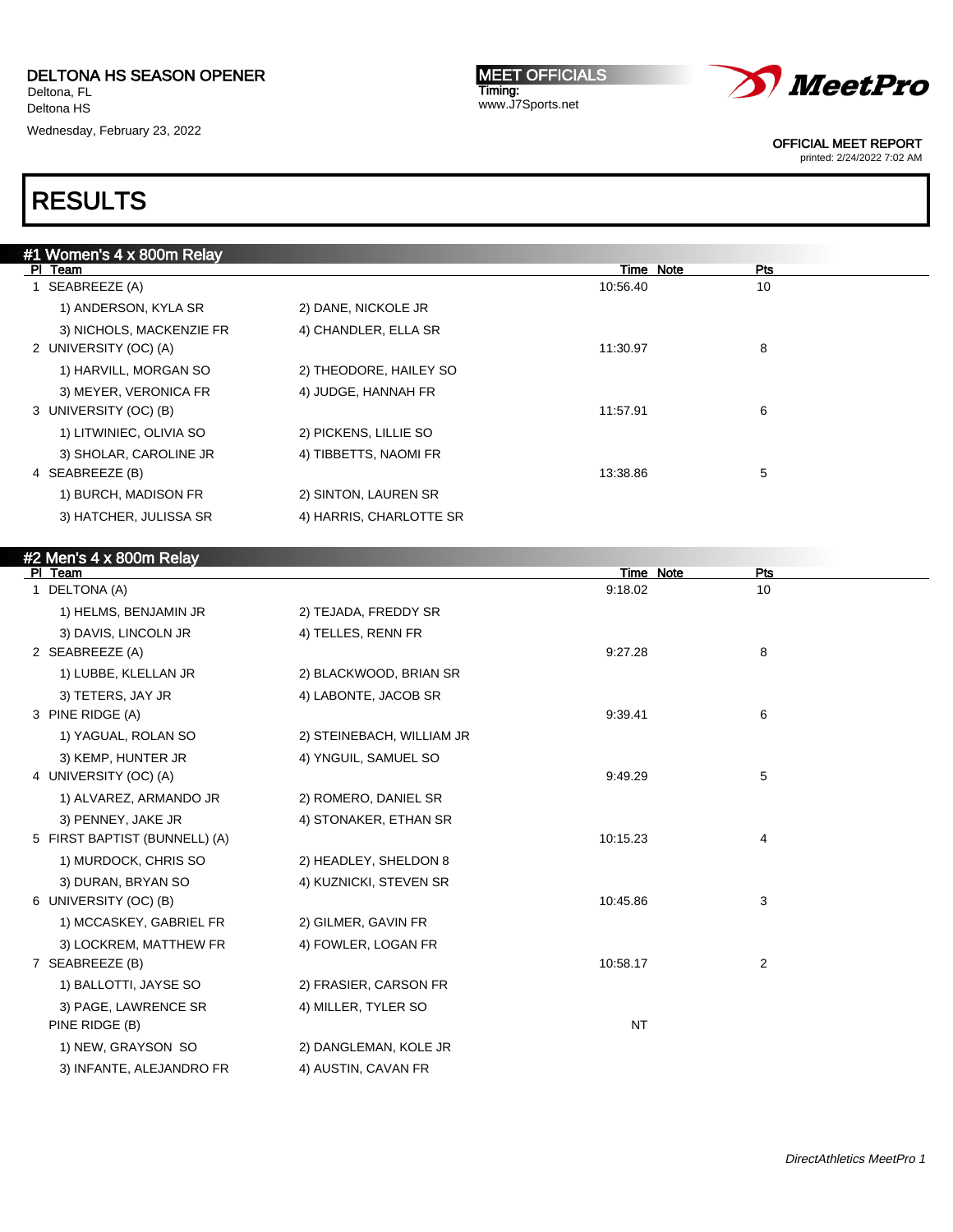Wednesday, February 23, 2022

**MEET OFFICIALS** Timing: www.J7Sports.net



OFFICIAL MEET REPORT

printed: 2/24/2022 7:02 AM

## RESULTS

| #1 Women's 4 x 800m Relay |                         |           |     |  |
|---------------------------|-------------------------|-----------|-----|--|
| PI Team                   |                         | Time Note | Pts |  |
| SEABREEZE (A)             |                         | 10:56.40  | 10  |  |
| 1) ANDERSON, KYLA SR      | 2) DANE, NICKOLE JR     |           |     |  |
| 3) NICHOLS, MACKENZIE FR  | 4) CHANDLER, ELLA SR    |           |     |  |
| 2 UNIVERSITY (OC) (A)     |                         | 11:30.97  | 8   |  |
| 1) HARVILL, MORGAN SO     | 2) THEODORE, HAILEY SO  |           |     |  |
| 3) MEYER, VERONICA FR     | 4) JUDGE, HANNAH FR     |           |     |  |
| 3 UNIVERSITY (OC) (B)     |                         | 11:57.91  | 6   |  |
| 1) LITWINIEC, OLIVIA SO   | 2) PICKENS, LILLIE SO   |           |     |  |
| 3) SHOLAR, CAROLINE JR    | 4) TIBBETTS, NAOMI FR   |           |     |  |
| 4 SEABREEZE (B)           |                         | 13:38.86  | 5   |  |
| 1) BURCH, MADISON FR      | 2) SINTON, LAUREN SR    |           |     |  |
| 3) HATCHER, JULISSA SR    | 4) HARRIS, CHARLOTTE SR |           |     |  |
|                           |                         |           |     |  |

### #2 Men's 4 x 800m Relay

| PI Team                       |                           | Time Note | Pts |  |
|-------------------------------|---------------------------|-----------|-----|--|
| DELTONA (A)<br>1              |                           | 9:18.02   | 10  |  |
| 1) HELMS, BENJAMIN JR         | 2) TEJADA, FREDDY SR      |           |     |  |
| 3) DAVIS, LINCOLN JR          | 4) TELLES, RENN FR        |           |     |  |
| 2 SEABREEZE (A)               |                           | 9:27.28   | 8   |  |
| 1) LUBBE, KLELLAN JR          | 2) BLACKWOOD, BRIAN SR    |           |     |  |
| 3) TETERS, JAY JR             | 4) LABONTE, JACOB SR      |           |     |  |
| 3 PINE RIDGE (A)              |                           | 9:39.41   | 6   |  |
| 1) YAGUAL, ROLAN SO           | 2) STEINEBACH, WILLIAM JR |           |     |  |
| 3) KEMP, HUNTER JR            | 4) YNGUIL, SAMUEL SO      |           |     |  |
| 4 UNIVERSITY (OC) (A)         |                           | 9:49.29   | 5   |  |
| 1) ALVAREZ, ARMANDO JR        | 2) ROMERO, DANIEL SR      |           |     |  |
| 3) PENNEY, JAKE JR            | 4) STONAKER, ETHAN SR     |           |     |  |
| 5 FIRST BAPTIST (BUNNELL) (A) |                           | 10:15.23  | 4   |  |
| 1) MURDOCK, CHRIS SO          | 2) HEADLEY, SHELDON 8     |           |     |  |
| 3) DURAN, BRYAN SO            | 4) KUZNICKI, STEVEN SR    |           |     |  |
| 6 UNIVERSITY (OC) (B)         |                           | 10:45.86  | 3   |  |
| 1) MCCASKEY, GABRIEL FR       | 2) GILMER, GAVIN FR       |           |     |  |
| 3) LOCKREM, MATTHEW FR        | 4) FOWLER, LOGAN FR       |           |     |  |
| 7 SEABREEZE (B)               |                           | 10:58.17  | 2   |  |
| 1) BALLOTTI, JAYSE SO         | 2) FRASIER, CARSON FR     |           |     |  |
| 3) PAGE, LAWRENCE SR          | 4) MILLER, TYLER SO       |           |     |  |
| PINE RIDGE (B)                |                           | <b>NT</b> |     |  |
| 1) NEW, GRAYSON SO            | 2) DANGLEMAN, KOLE JR     |           |     |  |
| 3) INFANTE, ALEJANDRO FR      | 4) AUSTIN, CAVAN FR       |           |     |  |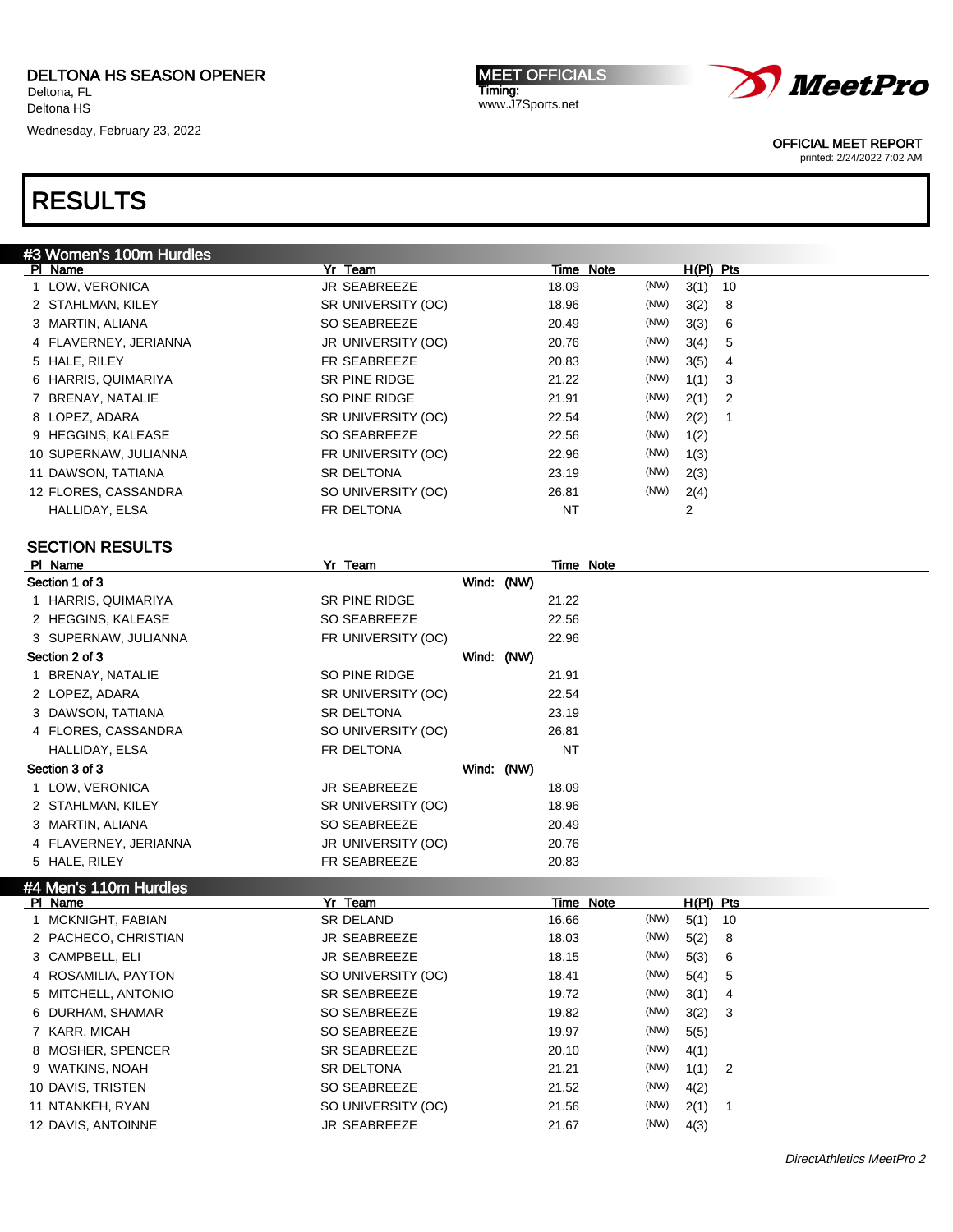Wednesday, February 23, 2022

MEET OFFICIALS Timing: www.J7Sports.net



OFFICIAL MEET REPORT

printed: 2/24/2022 7:02 AM

| #3 Women's 100m Hurdles |                    |            |           |                  |
|-------------------------|--------------------|------------|-----------|------------------|
| PI Name                 | Yr Team            |            | Time Note | H(PI) Pts        |
| 1 LOW, VERONICA         | JR SEABREEZE       | 18.09      | (NW)      | 3(1)<br>10       |
| 2 STAHLMAN, KILEY       | SR UNIVERSITY (OC) | 18.96      | (NW)      | 3(2)<br>8        |
| 3 MARTIN, ALIANA        | SO SEABREEZE       | 20.49      | (NW)      | 3(3)<br>6        |
| 4 FLAVERNEY, JERIANNA   | JR UNIVERSITY (OC) | 20.76      | (NW)      | 3(4)<br>5        |
| 5 HALE, RILEY           | FR SEABREEZE       | 20.83      | (NW)      | 3(5)<br>4        |
| 6 HARRIS, QUIMARIYA     | SR PINE RIDGE      | 21.22      | (NW)      | 1(1)<br>3        |
| 7 BRENAY, NATALIE       | SO PINE RIDGE      | 21.91      | (NW)      | 2(1)<br>2        |
| 8 LOPEZ, ADARA          | SR UNIVERSITY (OC) | 22.54      | (NW)      | 2(2)<br>1        |
| 9 HEGGINS, KALEASE      | SO SEABREEZE       | 22.56      | (NW)      | 1(2)             |
| 10 SUPERNAW, JULIANNA   | FR UNIVERSITY (OC) | 22.96      | (NW)      | 1(3)             |
| 11 DAWSON, TATIANA      | SR DELTONA         | 23.19      | (NW)      | 2(3)             |
| 12 FLORES, CASSANDRA    | SO UNIVERSITY (OC) | 26.81      | (NW)      | 2(4)             |
| HALLIDAY, ELSA          | FR DELTONA         | <b>NT</b>  |           | $\overline{2}$   |
|                         |                    |            |           |                  |
| <b>SECTION RESULTS</b>  |                    |            |           |                  |
| PI Name                 | Yr Team            |            | Time Note |                  |
| Section 1 of 3          |                    | Wind: (NW) |           |                  |
| 1 HARRIS, QUIMARIYA     | SR PINE RIDGE      | 21.22      |           |                  |
| 2 HEGGINS, KALEASE      | SO SEABREEZE       | 22.56      |           |                  |
| 3 SUPERNAW, JULIANNA    | FR UNIVERSITY (OC) | 22.96      |           |                  |
| Section 2 of 3          |                    | Wind: (NW) |           |                  |
| 1 BRENAY, NATALIE       | SO PINE RIDGE      | 21.91      |           |                  |
| 2 LOPEZ, ADARA          | SR UNIVERSITY (OC) | 22.54      |           |                  |
| 3 DAWSON, TATIANA       | <b>SR DELTONA</b>  | 23.19      |           |                  |
| 4 FLORES, CASSANDRA     | SO UNIVERSITY (OC) | 26.81      |           |                  |
| HALLIDAY, ELSA          | FR DELTONA         | NT         |           |                  |
| Section 3 of 3          |                    | Wind: (NW) |           |                  |
| 1 LOW, VERONICA         | JR SEABREEZE       | 18.09      |           |                  |
| 2 STAHLMAN, KILEY       | SR UNIVERSITY (OC) | 18.96      |           |                  |
| 3 MARTIN, ALIANA        | SO SEABREEZE       | 20.49      |           |                  |
| 4 FLAVERNEY, JERIANNA   | JR UNIVERSITY (OC) | 20.76      |           |                  |
| 5 HALE, RILEY           | FR SEABREEZE       | 20.83      |           |                  |
| #4 Men's 110m Hurdles   |                    |            |           |                  |
| PI Name                 | Yr Team            |            | Time Note | $H(PI)$ Pts      |
| 1 MCKNIGHT, FABIAN      | <b>SR DELAND</b>   | 16.66      | (NW)      | 5(1)<br>10       |
| O DACHECO CHDISTIAN     | ID CEADDEE7E       | 19.02      | (NM)      | E(2)<br>$\Omega$ |

| MCKNIGHT, FABIAN     | SR DELAND           | 16.66 | (NW) | $5(1)$ 10 |      |
|----------------------|---------------------|-------|------|-----------|------|
| 2 PACHECO, CHRISTIAN | <b>JR SEABREEZE</b> | 18.03 | (NW) | 5(2)      | - 8  |
| 3 CAMPBELL, ELI      | <b>JR SEABREEZE</b> | 18.15 | (NW) | 5(3) 6    |      |
| 4 ROSAMILIA, PAYTON  | SO UNIVERSITY (OC)  | 18.41 | (NW) | 5(4)      | $-5$ |
| 5 MITCHELL, ANTONIO  | SR SEABREEZE        | 19.72 | (NW) | $3(1)$ 4  |      |
| 6 DURHAM, SHAMAR     | SO SEABREEZE        | 19.82 | (NW) | 3(2) 3    |      |
| 7 KARR, MICAH        | SO SEABREEZE        | 19.97 | (NW) | 5(5)      |      |
| 8 MOSHER, SPENCER    | SR SEABREEZE        | 20.10 | (NW) | 4(1)      |      |
| 9 WATKINS, NOAH      | <b>SR DELTONA</b>   | 21.21 | (NW) | $1(1)$ 2  |      |
| 10 DAVIS, TRISTEN    | SO SEABREEZE        | 21.52 | (NW) | 4(2)      |      |
| 11 NTANKEH, RYAN     | SO UNIVERSITY (OC)  | 21.56 | (NW) | 2(1)      |      |
| 12 DAVIS, ANTOINNE   | <b>JR SEABREEZE</b> | 21.67 | (NW) | 4(3)      |      |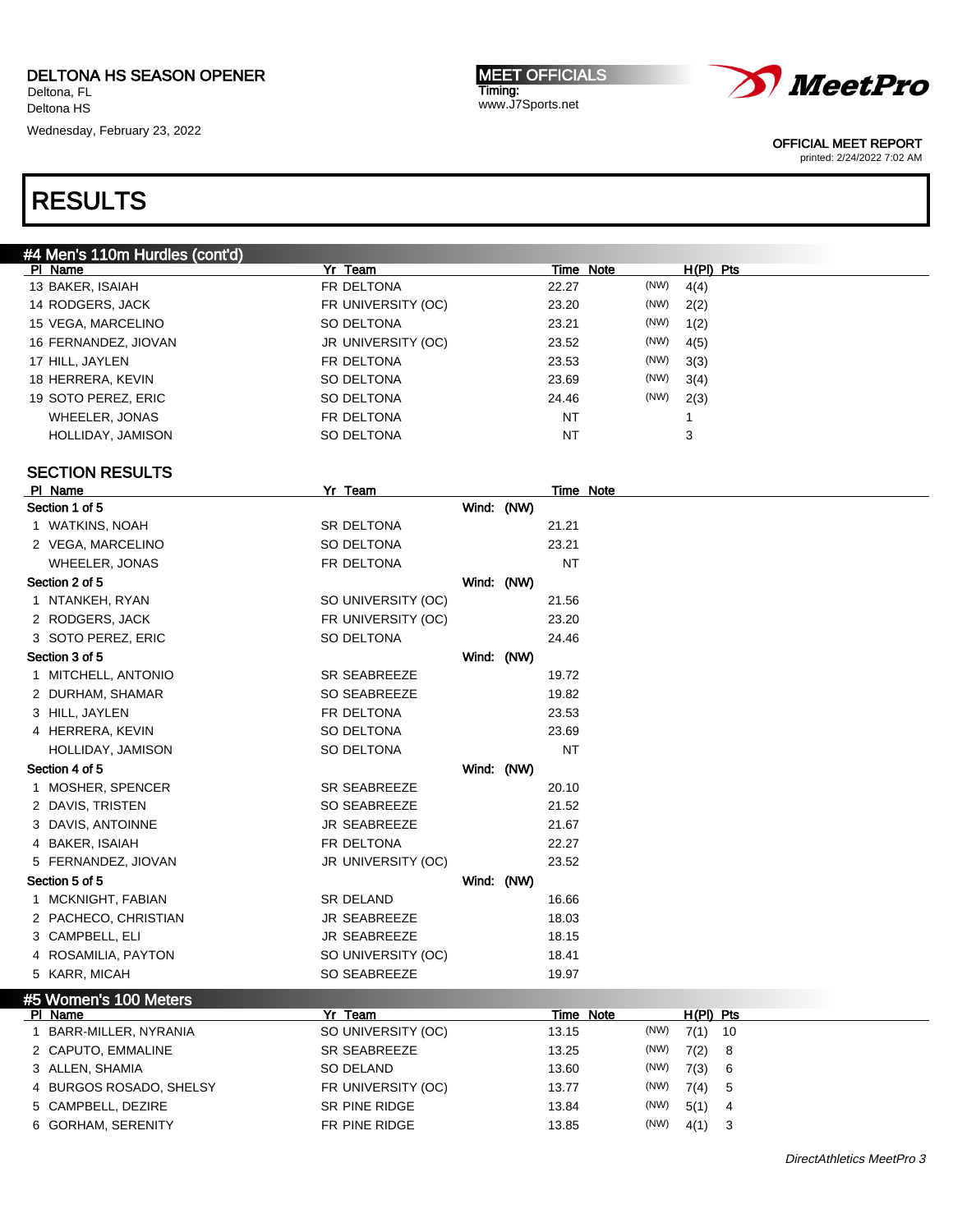Deltona HS

Wednesday, February 23, 2022

MEET OFFICIALS Timing: www.J7Sports.net



OFFICIAL MEET REPORT

printed: 2/24/2022 7:02 AM

| #4 Men's 110m Hurdles (cont'd) |                    |            |           |                  |      |             |    |
|--------------------------------|--------------------|------------|-----------|------------------|------|-------------|----|
| PI Name                        | Yr Team            |            |           | Time Note        |      | $H(PI)$ Pts |    |
| 13 BAKER, ISAIAH               | FR DELTONA         |            | 22.27     |                  | (NW) | 4(4)        |    |
| 14 RODGERS, JACK               | FR UNIVERSITY (OC) |            | 23.20     |                  | (NW) | 2(2)        |    |
| 15 VEGA, MARCELINO             | SO DELTONA         |            | 23.21     |                  | (NW) | 1(2)        |    |
| 16 FERNANDEZ, JIOVAN           | JR UNIVERSITY (OC) |            | 23.52     |                  | (NW) | 4(5)        |    |
| 17 HILL, JAYLEN                | FR DELTONA         |            | 23.53     |                  | (NW) | 3(3)        |    |
| 18 HERRERA, KEVIN              | SO DELTONA         |            | 23.69     |                  | (NW) | 3(4)        |    |
| 19 SOTO PEREZ, ERIC            | SO DELTONA         |            | 24.46     |                  | (NW) | 2(3)        |    |
| <b>WHEELER, JONAS</b>          | FR DELTONA         |            | <b>NT</b> |                  |      | 1           |    |
| HOLLIDAY, JAMISON              | SO DELTONA         |            | <b>NT</b> |                  |      | 3           |    |
|                                |                    |            |           |                  |      |             |    |
| <b>SECTION RESULTS</b>         |                    |            |           |                  |      |             |    |
| PI Name                        | Yr Team            |            |           | <b>Time Note</b> |      |             |    |
| Section 1 of 5                 |                    | Wind: (NW) |           |                  |      |             |    |
| 1 WATKINS, NOAH                | SR DELTONA         |            | 21.21     |                  |      |             |    |
| 2 VEGA, MARCELINO              | SO DELTONA         |            | 23.21     |                  |      |             |    |
| <b>WHEELER, JONAS</b>          | FR DELTONA         |            | NT        |                  |      |             |    |
| Section 2 of 5                 |                    | Wind: (NW) |           |                  |      |             |    |
| 1 NTANKEH, RYAN                | SO UNIVERSITY (OC) |            | 21.56     |                  |      |             |    |
| 2 RODGERS, JACK                | FR UNIVERSITY (OC) |            | 23.20     |                  |      |             |    |
| 3 SOTO PEREZ, ERIC             | SO DELTONA         |            | 24.46     |                  |      |             |    |
| Section 3 of 5                 |                    | Wind: (NW) |           |                  |      |             |    |
| 1 MITCHELL, ANTONIO            | SR SEABREEZE       |            | 19.72     |                  |      |             |    |
| 2 DURHAM, SHAMAR               | SO SEABREEZE       |            | 19.82     |                  |      |             |    |
| 3 HILL, JAYLEN                 | FR DELTONA         |            | 23.53     |                  |      |             |    |
| 4 HERRERA, KEVIN               | SO DELTONA         |            | 23.69     |                  |      |             |    |
| HOLLIDAY, JAMISON              | SO DELTONA         |            | <b>NT</b> |                  |      |             |    |
| Section 4 of 5                 |                    | Wind: (NW) |           |                  |      |             |    |
| 1 MOSHER, SPENCER              | SR SEABREEZE       |            | 20.10     |                  |      |             |    |
| 2 DAVIS, TRISTEN               | SO SEABREEZE       |            | 21.52     |                  |      |             |    |
| 3 DAVIS, ANTOINNE              | JR SEABREEZE       |            | 21.67     |                  |      |             |    |
| 4 BAKER, ISAIAH                | FR DELTONA         |            | 22.27     |                  |      |             |    |
| 5 FERNANDEZ, JIOVAN            | JR UNIVERSITY (OC) |            | 23.52     |                  |      |             |    |
| Section 5 of 5                 |                    | Wind: (NW) |           |                  |      |             |    |
| 1 MCKNIGHT, FABIAN             | SR DELAND          |            | 16.66     |                  |      |             |    |
| 2 PACHECO, CHRISTIAN           | JR SEABREEZE       |            | 18.03     |                  |      |             |    |
| 3 CAMPBELL, ELI                | JR SEABREEZE       |            | 18.15     |                  |      |             |    |
| 4 ROSAMILIA, PAYTON            | SO UNIVERSITY (OC) |            | 18.41     |                  |      |             |    |
| 5 KARR, MICAH                  | SO SEABREEZE       |            | 19.97     |                  |      |             |    |
|                                |                    |            |           |                  |      |             |    |
| #5 Women's 100 Meters          |                    |            |           |                  |      |             |    |
| PI Name                        | Yr Team            |            |           | <b>Time Note</b> |      | H(PI) Pts   |    |
| 1 BARR-MILLER, NYRANIA         | SO UNIVERSITY (OC) |            | 13.15     |                  | (NW) | 7(1)        | 10 |
| 2 CAPUTO, EMMALINE             | SR SEABREEZE       |            | 13.25     |                  | (NW) | 7(2)        | 8  |
| 3 ALLEN, SHAMIA                | SO DELAND          |            | 13.60     |                  | (NW) | 7(3)        | 6  |
| 4 BURGOS ROSADO, SHELSY        | FR UNIVERSITY (OC) |            | 13.77     |                  | (NW) | 7(4)        | 5  |
| 5 CAMPBELL, DEZIRE             | SR PINE RIDGE      |            | 13.84     |                  | (NW) | 5(1)        | 4  |
| 6 GORHAM, SERENITY             | FR PINE RIDGE      |            | 13.85     |                  | (NW) | $4(1)$ 3    |    |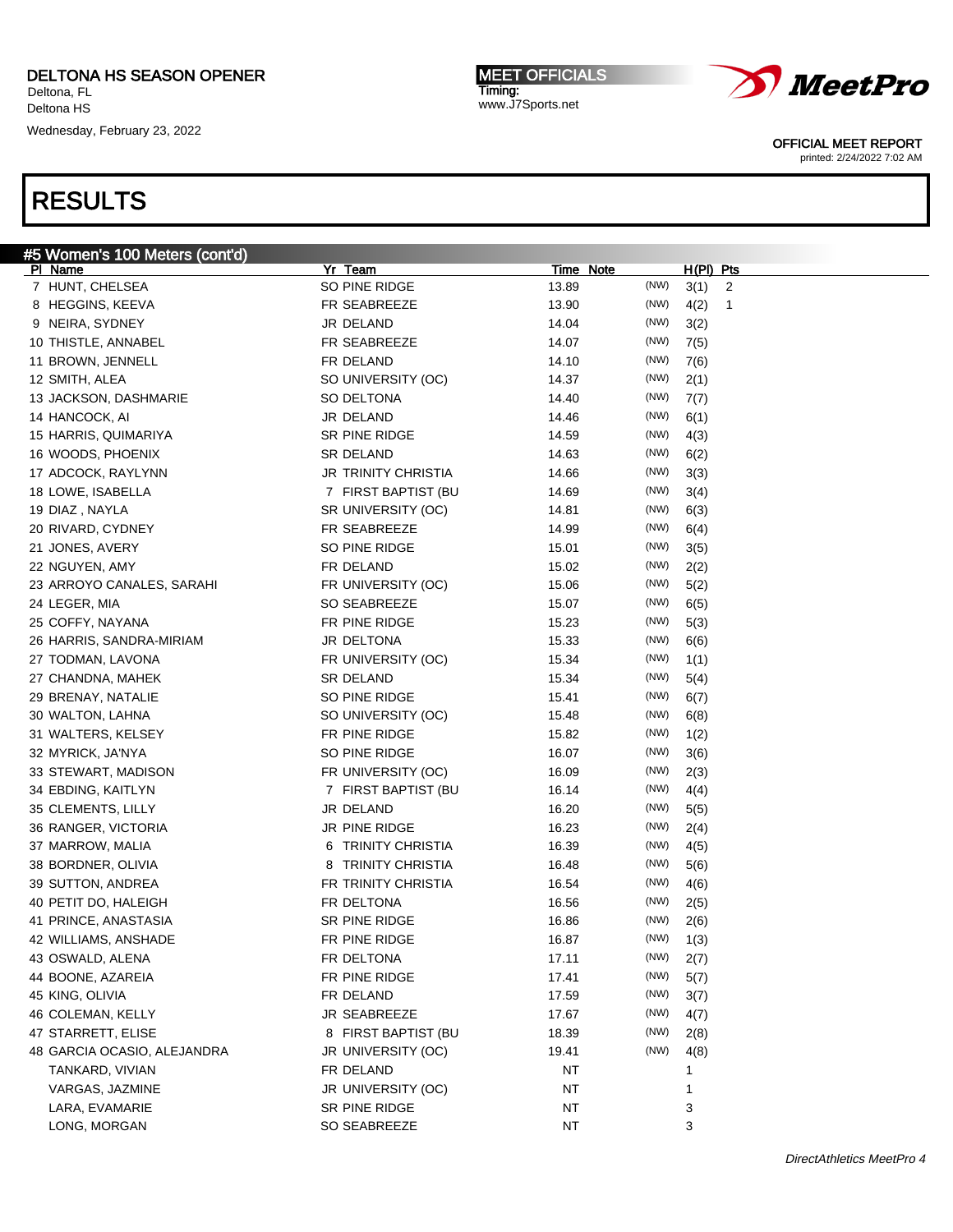Wednesday, February 23, 2022

MEET OFFICIALS Timing: www.J7Sports.net



OFFICIAL MEET REPORT

printed: 2/24/2022 7:02 AM

| #5 Women's 100 Meters (cont'd) |                              |           |      |                  |              |
|--------------------------------|------------------------------|-----------|------|------------------|--------------|
| PI Name                        | Yr Team                      | Time Note |      | <u>H(PI) Pts</u> |              |
| 7 HUNT, CHELSEA                | SO PINE RIDGE                | 13.89     | (NW) | 3(1)             | 2            |
| 8 HEGGINS, KEEVA               | FR SEABREEZE                 | 13.90     | (NW) | 4(2)             | $\mathbf{1}$ |
| 9 NEIRA, SYDNEY                | JR DELAND                    | 14.04     | (NW) | 3(2)             |              |
| 10 THISTLE, ANNABEL            | FR SEABREEZE                 | 14.07     | (NW) | 7(5)             |              |
| 11 BROWN, JENNELL              | FR DELAND                    | 14.10     | (NW) | 7(6)             |              |
| 12 SMITH, ALEA                 | SO UNIVERSITY (OC)           | 14.37     | (NW) | 2(1)             |              |
| 13 JACKSON, DASHMARIE          | SO DELTONA                   | 14.40     | (NW) | 7(7)             |              |
| 14 HANCOCK, AI                 | JR DELAND                    | 14.46     | (NW) | 6(1)             |              |
| 15 HARRIS, QUIMARIYA           | SR PINE RIDGE                | 14.59     | (NW) | 4(3)             |              |
| 16 WOODS, PHOENIX              | SR DELAND                    | 14.63     | (NW) | 6(2)             |              |
| 17 ADCOCK, RAYLYNN             | JR TRINITY CHRISTIA          | 14.66     | (NW) | 3(3)             |              |
| 18 LOWE, ISABELLA              | 7 FIRST BAPTIST (BU          | 14.69     | (NW) | 3(4)             |              |
| 19 DIAZ, NAYLA                 | SR UNIVERSITY (OC)           | 14.81     | (NW) | 6(3)             |              |
| 20 RIVARD, CYDNEY              | FR SEABREEZE                 | 14.99     | (NW) | 6(4)             |              |
| 21 JONES, AVERY                | SO PINE RIDGE                | 15.01     | (NW) | 3(5)             |              |
| 22 NGUYEN, AMY                 | FR DELAND                    | 15.02     | (NW) | 2(2)             |              |
| 23 ARROYO CANALES, SARAHI      | FR UNIVERSITY (OC)           | 15.06     | (NW) | 5(2)             |              |
| 24 LEGER, MIA                  | SO SEABREEZE                 | 15.07     | (NW) | 6(5)             |              |
| 25 COFFY, NAYANA               | FR PINE RIDGE                | 15.23     | (NW) | 5(3)             |              |
| 26 HARRIS, SANDRA-MIRIAM       | JR DELTONA                   | 15.33     | (NW) | 6(6)             |              |
| 27 TODMAN, LAVONA              | FR UNIVERSITY (OC)           | 15.34     | (NW) | 1(1)             |              |
| 27 CHANDNA, MAHEK              | SR DELAND                    | 15.34     | (NW) | 5(4)             |              |
| 29 BRENAY, NATALIE             | SO PINE RIDGE                | 15.41     | (NW) | 6(7)             |              |
| 30 WALTON, LAHNA               | SO UNIVERSITY (OC)           | 15.48     | (NW) | 6(8)             |              |
| 31 WALTERS, KELSEY             | FR PINE RIDGE                | 15.82     | (NW) |                  |              |
|                                |                              |           | (NW) | 1(2)             |              |
| 32 MYRICK, JA'NYA              | SO PINE RIDGE                | 16.07     | (NW) | 3(6)             |              |
| 33 STEWART, MADISON            | FR UNIVERSITY (OC)           | 16.09     |      | 2(3)             |              |
| 34 EBDING, KAITLYN             | 7 FIRST BAPTIST (BU          | 16.14     | (NW) | 4(4)             |              |
| 35 CLEMENTS, LILLY             | JR DELAND                    | 16.20     | (NW) | 5(5)             |              |
| 36 RANGER, VICTORIA            | JR PINE RIDGE                | 16.23     | (NW) | 2(4)             |              |
| 37 MARROW, MALIA               | <b>TRINITY CHRISTIA</b><br>6 | 16.39     | (NW) | 4(5)             |              |
| 38 BORDNER, OLIVIA             | <b>TRINITY CHRISTIA</b><br>8 | 16.48     | (NW) | 5(6)             |              |
| 39 SUTTON, ANDREA              | FR TRINITY CHRISTIA          | 16.54     | (NW) | 4(6)             |              |
| 40 PETIT DO, HALEIGH           | FR DELTONA                   | 16.56     | (NW) | 2(5)             |              |
| 41 PRINCE, ANASTASIA           | SR PINE RIDGE                | 16.86     | (NW) | 2(6)             |              |
| 42 WILLIAMS, ANSHADE           | FR PINE RIDGE                | 16.87     | (NW) | 1(3)             |              |
| 43 OSWALD, ALENA               | FR DELTONA                   | 17.11     | (NW) | 2(7)             |              |
| 44 BOONE, AZAREIA              | FR PINE RIDGE                | 17.41     | (NW) | 5(7)             |              |
| 45 KING, OLIVIA                | FR DELAND                    | 17.59     | (NW) | 3(7)             |              |
| 46 COLEMAN, KELLY              | JR SEABREEZE                 | 17.67     | (NW) | 4(7)             |              |
| 47 STARRETT, ELISE             | 8 FIRST BAPTIST (BU          | 18.39     | (NW) | 2(8)             |              |
| 48 GARCIA OCASIO, ALEJANDRA    | JR UNIVERSITY (OC)           | 19.41     | (NW) | 4(8)             |              |
| TANKARD, VIVIAN                | FR DELAND                    | NT        |      |                  |              |
| VARGAS, JAZMINE                | JR UNIVERSITY (OC)           | <b>NT</b> |      | 1                |              |
| LARA, EVAMARIE                 | SR PINE RIDGE                | NT        |      | 3                |              |
| LONG, MORGAN                   | SO SEABREEZE                 | NT        |      | 3                |              |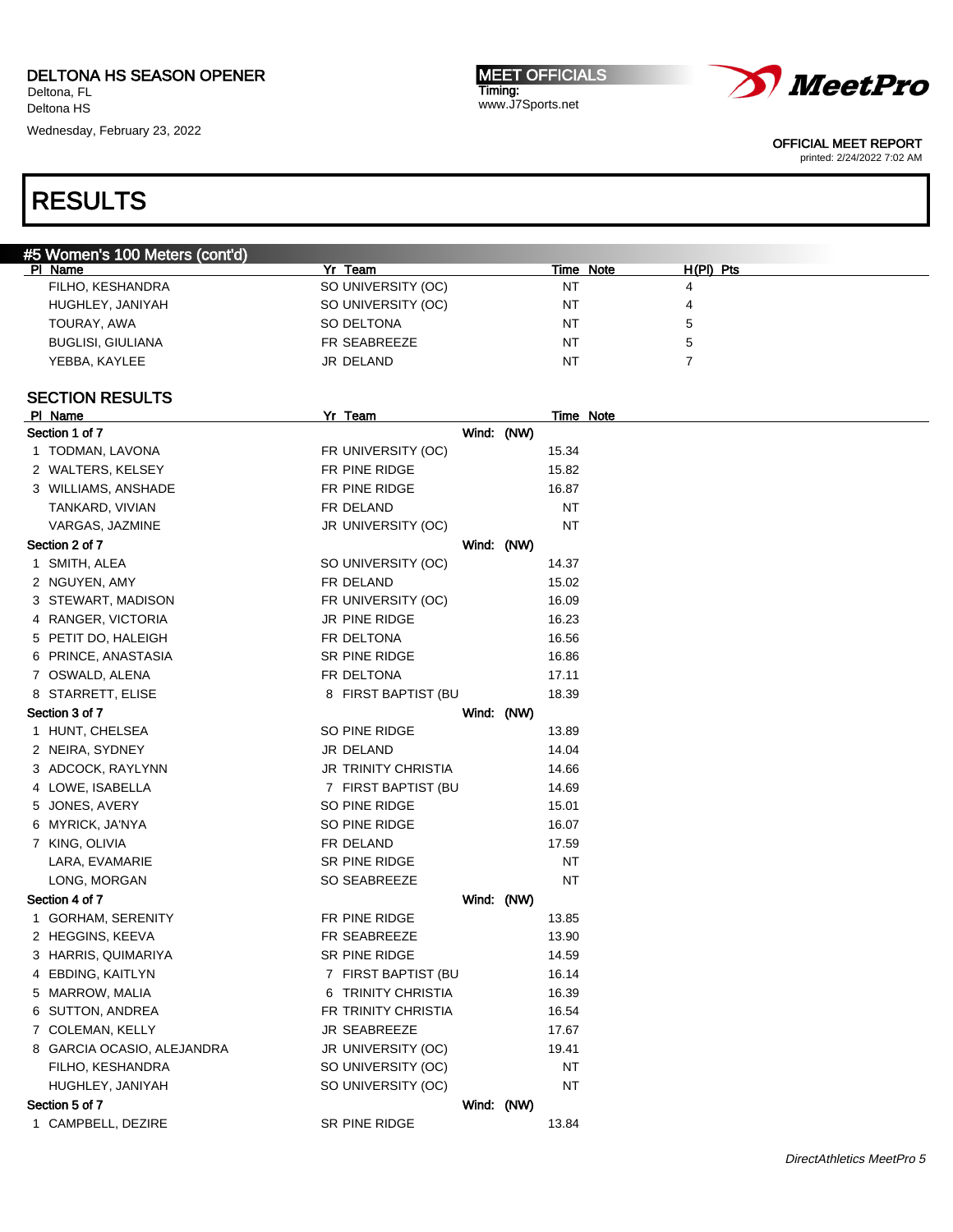Deltona HS

Wednesday, February 23, 2022

MEET OFFICIALS Timing: www.J7Sports.net



OFFICIAL MEET REPORT

printed: 2/24/2022 7:02 AM

| #5 Women's 100 Meters (cont'd) |                            |                  |                |  |
|--------------------------------|----------------------------|------------------|----------------|--|
| PI Name                        | Yr Team                    | Time Note        | $H(PI)$ Pts    |  |
| FILHO, KESHANDRA               | SO UNIVERSITY (OC)         | NT               | 4              |  |
| HUGHLEY, JANIYAH               | SO UNIVERSITY (OC)         | <b>NT</b>        | 4              |  |
| TOURAY, AWA                    | SO DELTONA                 | ΝT               | 5              |  |
| <b>BUGLISI, GIULIANA</b>       | FR SEABREEZE               | ΝT               | 5              |  |
| YEBBA, KAYLEE                  | JR DELAND                  | NT               | $\overline{7}$ |  |
|                                |                            |                  |                |  |
| <b>SECTION RESULTS</b>         |                            |                  |                |  |
| PI Name                        | Yr Team                    | <b>Time Note</b> |                |  |
| Section 1 of 7                 |                            | Wind: (NW)       |                |  |
| 1 TODMAN, LAVONA               | FR UNIVERSITY (OC)         | 15.34            |                |  |
| 2 WALTERS, KELSEY              | FR PINE RIDGE              | 15.82            |                |  |
| 3 WILLIAMS, ANSHADE            | FR PINE RIDGE              | 16.87            |                |  |
| TANKARD, VIVIAN                | FR DELAND                  | ΝT               |                |  |
| VARGAS, JAZMINE                | JR UNIVERSITY (OC)         | <b>NT</b>        |                |  |
| Section 2 of 7                 |                            | Wind: (NW)       |                |  |
| 1 SMITH, ALEA                  | SO UNIVERSITY (OC)         | 14.37            |                |  |
| 2 NGUYEN, AMY                  | FR DELAND                  | 15.02            |                |  |
| 3 STEWART, MADISON             | FR UNIVERSITY (OC)         | 16.09            |                |  |
| 4 RANGER, VICTORIA             | JR PINE RIDGE              | 16.23            |                |  |
| 5 PETIT DO, HALEIGH            | FR DELTONA                 | 16.56            |                |  |
| 6 PRINCE, ANASTASIA            | SR PINE RIDGE              | 16.86            |                |  |
| 7 OSWALD, ALENA                | FR DELTONA                 | 17.11            |                |  |
| 8 STARRETT, ELISE              | 8 FIRST BAPTIST (BU        | 18.39            |                |  |
| Section 3 of 7                 |                            | Wind: (NW)       |                |  |
| 1 HUNT, CHELSEA                | SO PINE RIDGE              | 13.89            |                |  |
| 2 NEIRA, SYDNEY                | JR DELAND                  | 14.04            |                |  |
|                                | <b>JR TRINITY CHRISTIA</b> |                  |                |  |
| 3 ADCOCK, RAYLYNN              |                            | 14.66            |                |  |
| 4 LOWE, ISABELLA               | 7 FIRST BAPTIST (BU        | 14.69            |                |  |
| 5 JONES, AVERY                 | SO PINE RIDGE              | 15.01            |                |  |
| 6 MYRICK, JA'NYA               | SO PINE RIDGE              | 16.07            |                |  |
| 7 KING, OLIVIA                 | FR DELAND                  | 17.59            |                |  |
| LARA, EVAMARIE                 | SR PINE RIDGE              | ΝT               |                |  |
| LONG, MORGAN                   | SO SEABREEZE               | <b>NT</b>        |                |  |
| Section 4 of 7                 |                            | Wind: (NW)       |                |  |
| 1 GORHAM, SERENITY             | FR PINE RIDGE              | 13.85            |                |  |
| 2 HEGGINS, KEEVA               | FR SEABREEZE               | 13.90            |                |  |
| 3 HARRIS, QUIMARIYA            | SR PINE RIDGE              | 14.59            |                |  |
| 4 EBDING, KAITLYN              | 7 FIRST BAPTIST (BU        | 16.14            |                |  |
| 5 MARROW, MALIA                | 6 TRINITY CHRISTIA         | 16.39            |                |  |
| 6 SUTTON, ANDREA               | FR TRINITY CHRISTIA        | 16.54            |                |  |
| 7 COLEMAN, KELLY               | <b>JR SEABREEZE</b>        | 17.67            |                |  |
| 8 GARCIA OCASIO, ALEJANDRA     | JR UNIVERSITY (OC)         | 19.41            |                |  |
| FILHO, KESHANDRA               | SO UNIVERSITY (OC)         | ΝT               |                |  |
| HUGHLEY, JANIYAH               | SO UNIVERSITY (OC)         | <b>NT</b>        |                |  |
| Section 5 of 7                 |                            | Wind: (NW)       |                |  |
| 1 CAMPBELL, DEZIRE             | SR PINE RIDGE              | 13.84            |                |  |
|                                |                            |                  |                |  |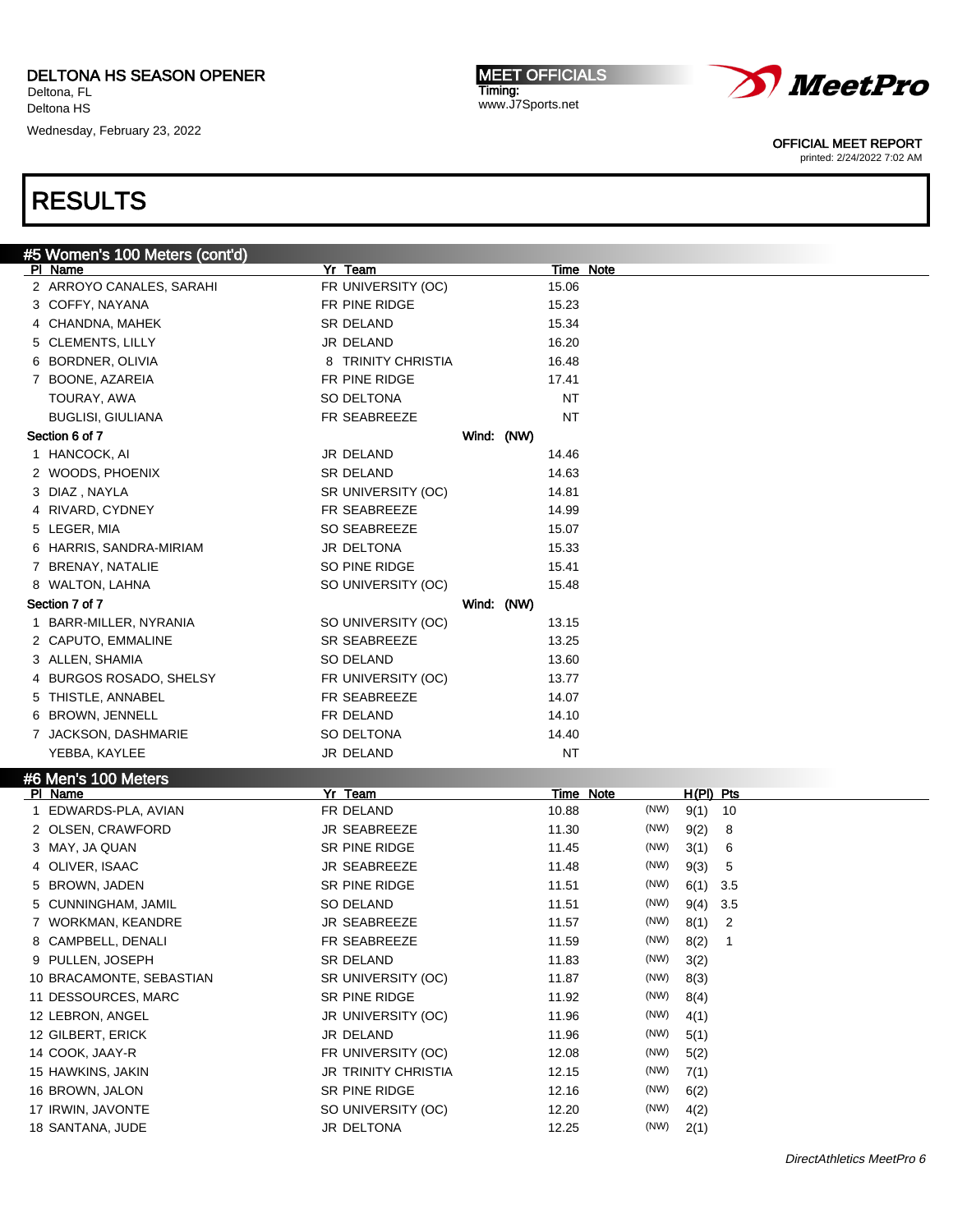Wednesday, February 23, 2022

MEET OFFICIALS Timing: www.J7Sports.net



OFFICIAL MEET REPORT

printed: 2/24/2022 7:02 AM

|   | #5 Women's 100 Meters (cont'd) |                     |            |           |           |             |     |  |
|---|--------------------------------|---------------------|------------|-----------|-----------|-------------|-----|--|
|   | PI Name                        | Yr Team             |            |           | Time Note |             |     |  |
|   | 2 ARROYO CANALES, SARAHI       | FR UNIVERSITY (OC)  |            | 15.06     |           |             |     |  |
|   | 3 COFFY, NAYANA                | FR PINE RIDGE       |            | 15.23     |           |             |     |  |
|   | 4 CHANDNA, MAHEK               | <b>SR DELAND</b>    |            | 15.34     |           |             |     |  |
|   | 5 CLEMENTS, LILLY              | JR DELAND           |            | 16.20     |           |             |     |  |
|   | 6 BORDNER, OLIVIA              | 8 TRINITY CHRISTIA  |            | 16.48     |           |             |     |  |
|   | 7 BOONE, AZAREIA               | FR PINE RIDGE       |            | 17.41     |           |             |     |  |
|   | TOURAY, AWA                    | SO DELTONA          |            | NT        |           |             |     |  |
|   | <b>BUGLISI, GIULIANA</b>       | FR SEABREEZE        |            | <b>NT</b> |           |             |     |  |
|   | Section 6 of 7                 |                     | Wind: (NW) |           |           |             |     |  |
|   | 1 HANCOCK, AI                  | JR DELAND           |            | 14.46     |           |             |     |  |
|   | 2 WOODS, PHOENIX               | <b>SR DELAND</b>    |            | 14.63     |           |             |     |  |
|   | 3 DIAZ, NAYLA                  | SR UNIVERSITY (OC)  |            | 14.81     |           |             |     |  |
|   | 4 RIVARD, CYDNEY               | FR SEABREEZE        |            | 14.99     |           |             |     |  |
|   | 5 LEGER, MIA                   | <b>SO SEABREEZE</b> |            | 15.07     |           |             |     |  |
|   | 6 HARRIS, SANDRA-MIRIAM        | JR DELTONA          |            | 15.33     |           |             |     |  |
| 7 | BRENAY, NATALIE                | SO PINE RIDGE       |            | 15.41     |           |             |     |  |
|   | 8 WALTON, LAHNA                | SO UNIVERSITY (OC)  |            | 15.48     |           |             |     |  |
|   | Section 7 of 7                 |                     | Wind: (NW) |           |           |             |     |  |
|   | 1 BARR-MILLER, NYRANIA         | SO UNIVERSITY (OC)  |            | 13.15     |           |             |     |  |
|   | 2 CAPUTO, EMMALINE             | SR SEABREEZE        |            | 13.25     |           |             |     |  |
|   | 3 ALLEN, SHAMIA                | SO DELAND           |            | 13.60     |           |             |     |  |
|   | 4 BURGOS ROSADO, SHELSY        | FR UNIVERSITY (OC)  |            | 13.77     |           |             |     |  |
|   | 5 THISTLE, ANNABEL             | FR SEABREEZE        |            | 14.07     |           |             |     |  |
|   | 6 BROWN, JENNELL               | FR DELAND           |            | 14.10     |           |             |     |  |
|   | 7 JACKSON, DASHMARIE           | SO DELTONA          |            | 14.40     |           |             |     |  |
|   | YEBBA, KAYLEE                  | JR DELAND           |            | NT        |           |             |     |  |
|   | #6 Men's 100 Meters            |                     |            |           |           |             |     |  |
|   | PI Name                        | Yr Team             |            |           | Time Note | $H(PI)$ Pts |     |  |
|   | 1 EDWARDS-PLA, AVIAN           | FR DELAND           |            | 10.88     | (NW)      | 9(1)        | 10  |  |
|   | 2 OLSEN, CRAWFORD              | JR SEABREEZE        |            | 11.30     | (NW)      | 9(2)        | 8   |  |
|   | 3 MAY, JA QUAN                 | SR PINE RIDGE       |            | 11.45     | (NW)      | 3(1)        | 6   |  |
|   | 4 OLIVER, ISAAC                | JR SEABREEZE        |            | 11.48     | (NW)      | 9(3)        | 5   |  |
|   | 5 BROWN, JADEN                 | SR PINE RIDGE       |            | 11.51     | (NW)      | 6(1)        | 3.5 |  |
|   | 5 CUNNINGHAM, JAMIL            | <b>SO DELAND</b>    |            | 11.51     | (NW)      | 9(4)        | 3.5 |  |
|   | 7 WORKMAN, KEANDRE             | JR SEABREEZE        |            | 11.57     | (NW)      | 8(1)        | 2   |  |

| <b>DRUWIN, JADEIN</b>    | OR FINE RIDGE              | 1 G.I I | (1411) | 0.11 0.0   |                |
|--------------------------|----------------------------|---------|--------|------------|----------------|
| 5 CUNNINGHAM, JAMIL      | SO DELAND                  | 11.51   | (NW)   | $9(4)$ 3.5 |                |
| 7 WORKMAN, KEANDRE       | <b>JR SEABREEZE</b>        | 11.57   | (NW)   | 8(1)       | $\overline{2}$ |
| 8 CAMPBELL, DENALI       | FR SEABREEZE               | 11.59   | (NW)   | 8(2)       |                |
| 9 PULLEN, JOSEPH         | SR DELAND                  | 11.83   | (NW)   | 3(2)       |                |
| 10 BRACAMONTE, SEBASTIAN | SR UNIVERSITY (OC)         | 11.87   | (NW)   | 8(3)       |                |
| 11 DESSOURCES, MARC      | SR PINE RIDGE              | 11.92   | (NW)   | 8(4)       |                |
| 12 LEBRON, ANGEL         | JR UNIVERSITY (OC)         | 11.96   | (NW)   | 4(1)       |                |
| 12 GILBERT, ERICK        | JR DELAND                  | 11.96   | (NW)   | 5(1)       |                |
| 14 COOK, JAAY-R          | FR UNIVERSITY (OC)         | 12.08   | (NW)   | 5(2)       |                |
| 15 HAWKINS, JAKIN        | <b>JR TRINITY CHRISTIA</b> | 12.15   | (NW)   | 7(1)       |                |
| 16 BROWN, JALON          | SR PINE RIDGE              | 12.16   | (NW)   | 6(2)       |                |
| 17 IRWIN, JAVONTE        | SO UNIVERSITY (OC)         | 12.20   | (NW)   | 4(2)       |                |
| 18 SANTANA, JUDE         | JR DELTONA                 | 12.25   | (NW)   | 2(1)       |                |
|                          |                            |         |        |            |                |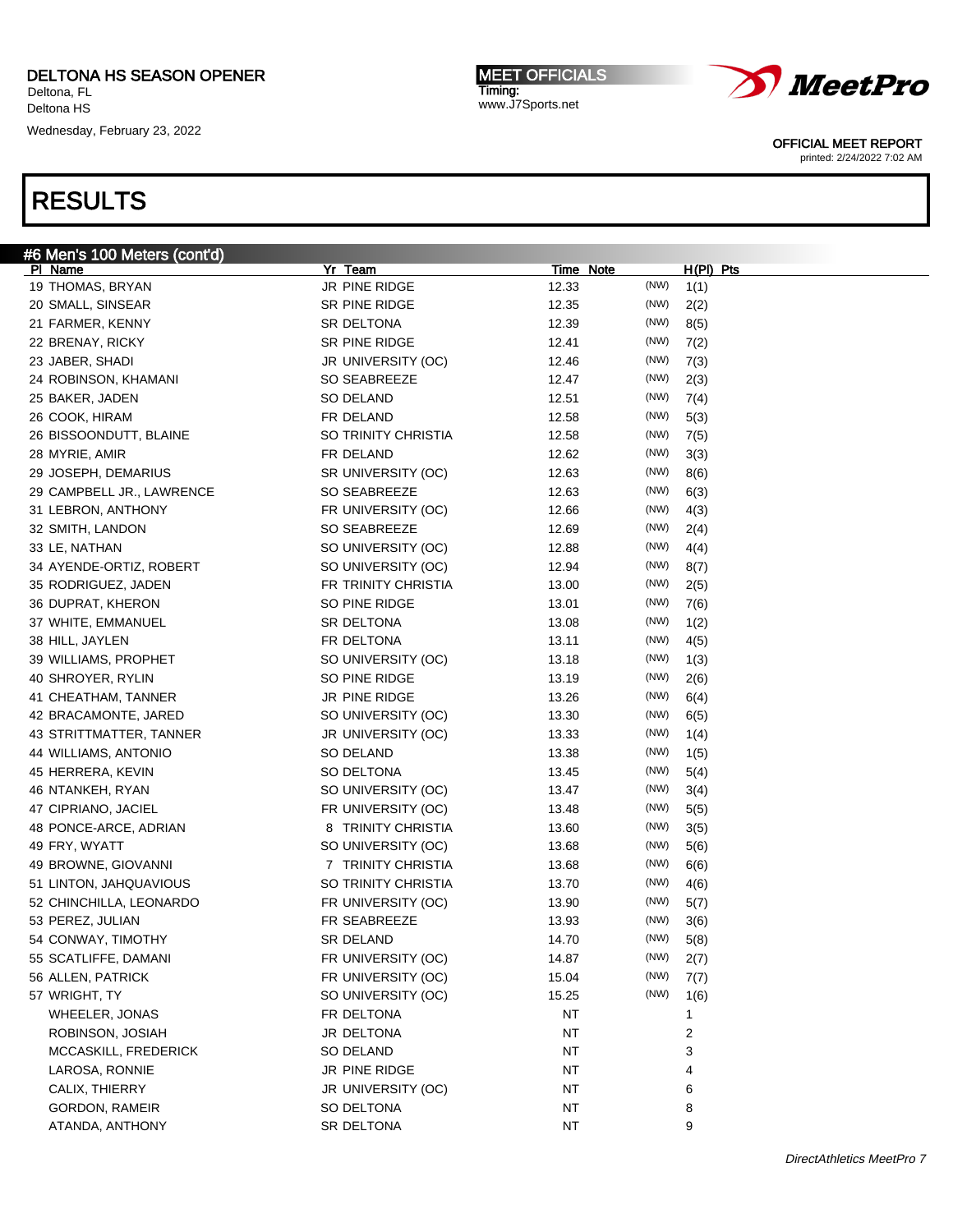Wednesday, February 23, 2022

# RESULTS

| <b>MEET OFFICIALS</b> |
|-----------------------|
| Timing:               |
| www.J7Sports.net      |
|                       |
|                       |
|                       |
|                       |



OFFICIAL MEET REPORT

printed: 2/24/2022 7:02 AM

| #6 Men's 100 Meters (cont'd) |                     |           |      |             |
|------------------------------|---------------------|-----------|------|-------------|
| <b>PI Name</b>               | Yr Team             | Time Note |      | $H(PI)$ Pts |
| 19 THOMAS, BRYAN             | JR PINE RIDGE       | 12.33     | (NW) | 1(1)        |
| 20 SMALL, SINSEAR            | SR PINE RIDGE       | 12.35     | (NW) | 2(2)        |
| 21 FARMER, KENNY             | SR DELTONA          | 12.39     | (NW) | 8(5)        |
| 22 BRENAY, RICKY             | SR PINE RIDGE       | 12.41     | (NW) | 7(2)        |
| 23 JABER, SHADI              | JR UNIVERSITY (OC)  | 12.46     | (NW) | 7(3)        |
| 24 ROBINSON, KHAMANI         | SO SEABREEZE        | 12.47     | (NW) | 2(3)        |
| 25 BAKER, JADEN              | SO DELAND           | 12.51     | (NW) | 7(4)        |
| 26 COOK, HIRAM               | FR DELAND           | 12.58     | (NW) | 5(3)        |
| 26 BISSOONDUTT, BLAINE       | SO TRINITY CHRISTIA | 12.58     | (NW) | 7(5)        |
| 28 MYRIE, AMIR               | FR DELAND           | 12.62     | (NW) | 3(3)        |
| 29 JOSEPH, DEMARIUS          | SR UNIVERSITY (OC)  | 12.63     | (NW) | 8(6)        |
| 29 CAMPBELL JR., LAWRENCE    | SO SEABREEZE        | 12.63     | (NW) | 6(3)        |
| 31 LEBRON, ANTHONY           | FR UNIVERSITY (OC)  | 12.66     | (NW) | 4(3)        |
| 32 SMITH, LANDON             | SO SEABREEZE        | 12.69     | (NW) | 2(4)        |
| 33 LE, NATHAN                | SO UNIVERSITY (OC)  | 12.88     | (NW) | 4(4)        |
| 34 AYENDE-ORTIZ, ROBERT      | SO UNIVERSITY (OC)  | 12.94     | (NW) | 8(7)        |
| 35 RODRIGUEZ, JADEN          | FR TRINITY CHRISTIA | 13.00     | (NW) | 2(5)        |
|                              |                     |           | (NW) |             |
| 36 DUPRAT, KHERON            | SO PINE RIDGE       | 13.01     | (NW) | 7(6)        |
| 37 WHITE, EMMANUEL           | SR DELTONA          | 13.08     |      | 1(2)        |
| 38 HILL, JAYLEN              | FR DELTONA          | 13.11     | (NW) | 4(5)        |
| 39 WILLIAMS, PROPHET         | SO UNIVERSITY (OC)  | 13.18     | (NW) | 1(3)        |
| 40 SHROYER, RYLIN            | so pine ridge       | 13.19     | (NW) | 2(6)        |
| 41 CHEATHAM, TANNER          | JR PINE RIDGE       | 13.26     | (NW) | 6(4)        |
| 42 BRACAMONTE, JARED         | SO UNIVERSITY (OC)  | 13.30     | (NW) | 6(5)        |
| 43 STRITTMATTER, TANNER      | JR UNIVERSITY (OC)  | 13.33     | (NW) | 1(4)        |
| 44 WILLIAMS, ANTONIO         | SO DELAND           | 13.38     | (NW) | 1(5)        |
| 45 HERRERA, KEVIN            | SO DELTONA          | 13.45     | (NW) | 5(4)        |
| 46 NTANKEH, RYAN             | SO UNIVERSITY (OC)  | 13.47     | (NW) | 3(4)        |
| 47 CIPRIANO, JACIEL          | FR UNIVERSITY (OC)  | 13.48     | (NW) | 5(5)        |
| 48 PONCE-ARCE, ADRIAN        | 8 TRINITY CHRISTIA  | 13.60     | (NW) | 3(5)        |
| 49 FRY, WYATT                | SO UNIVERSITY (OC)  | 13.68     | (NW) | 5(6)        |
| 49 BROWNE, GIOVANNI          | 7 TRINITY CHRISTIA  | 13.68     | (NW) | 6(6)        |
| 51 LINTON, JAHQUAVIOUS       | SO TRINITY CHRISTIA | 13.70     | (NW) | 4(6)        |
| 52 CHINCHILLA, LEONARDO      | FR UNIVERSITY (OC)  | 13.90     | (NW) | 5(7)        |
| 53 PEREZ, JULIAN             | FR SEABREEZE        | 13.93     | (NW) | 3(6)        |
| 54 CONWAY, TIMOTHY           | <b>SR DELAND</b>    | 14.70     | (NW) | 5(8)        |
| 55 SCATLIFFE, DAMANI         | FR UNIVERSITY (OC)  | 14.87     | (NW) | 2(7)        |
| 56 ALLEN, PATRICK            | FR UNIVERSITY (OC)  | 15.04     | (NW) | 7(7)        |
| 57 WRIGHT, TY                | SO UNIVERSITY (OC)  | 15.25     | (NW) | 1(6)        |
| WHEELER, JONAS               | FR DELTONA          | <b>NT</b> |      | 1           |
| ROBINSON, JOSIAH             | JR DELTONA          | <b>NT</b> |      | 2           |
| MCCASKILL, FREDERICK         | SO DELAND           | <b>NT</b> |      | 3           |
| LAROSA, RONNIE               | JR PINE RIDGE       | <b>NT</b> |      | 4           |
| CALIX, THIERRY               | JR UNIVERSITY (OC)  | <b>NT</b> |      | 6           |
| GORDON, RAMEIR               | SO DELTONA          | <b>NT</b> |      | 8           |
|                              | SR DELTONA          |           |      | 9           |
| ATANDA, ANTHONY              |                     | NT        |      |             |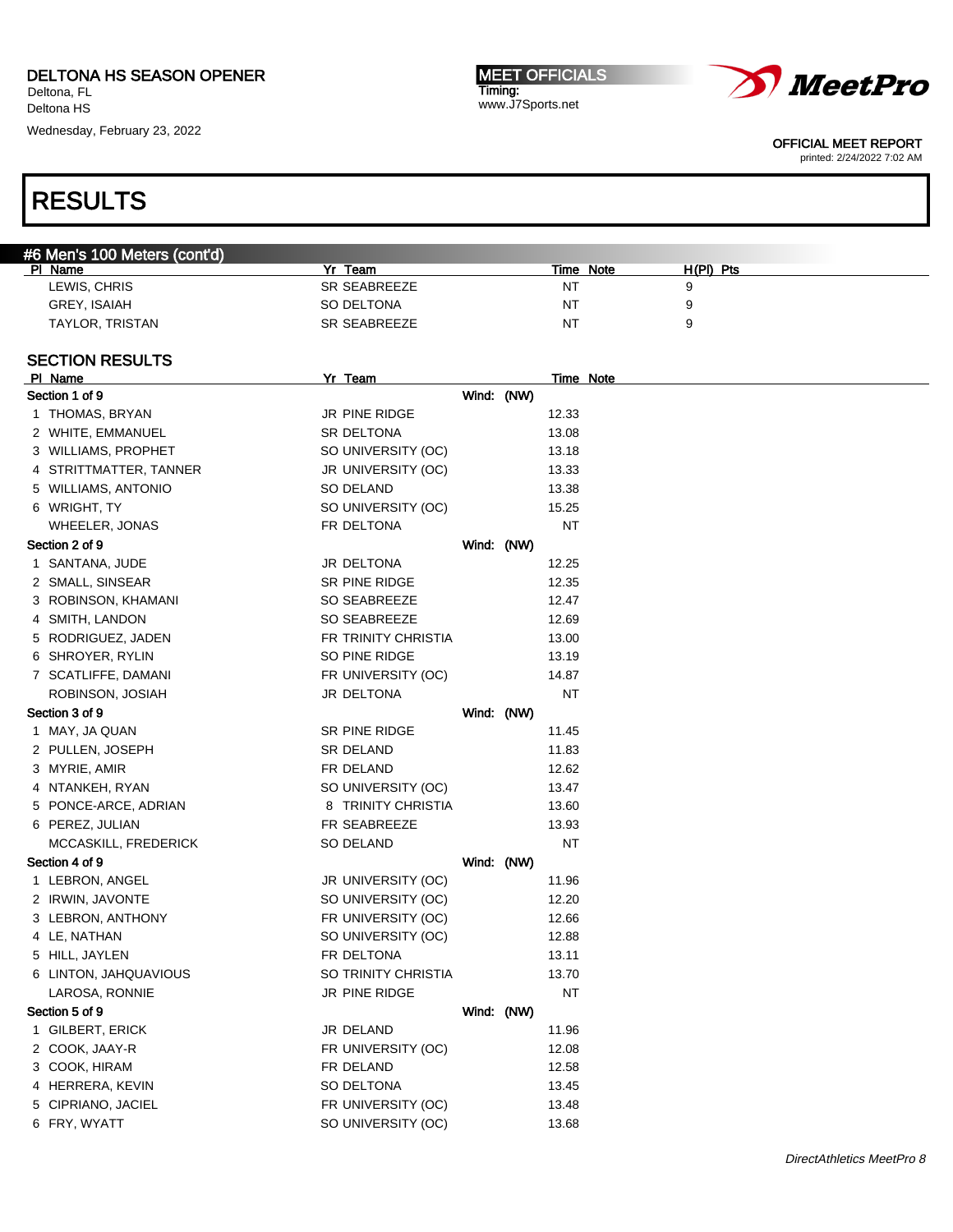### DELTONA HS SEASON OPENER

Deltona, FL Deltona HS

Wednesday, February 23, 2022

**MEET OFFICIALS** Timing: www.J7Sports.net



OFFICIAL MEET REPORT

printed: 2/24/2022 7:02 AM

### RESULTS

|  | #6 Men's 100 Meters (cont'd) |  |
|--|------------------------------|--|
|  |                              |  |

| PI Name             | Yr Team      | Note<br>Time | H(PI)<br>Pts |
|---------------------|--------------|--------------|--------------|
| LEWIS, CHRIS        | SR SEABREEZE | <b>NT</b>    |              |
| <b>GREY. ISAIAH</b> | SO DELTONA   | <b>NT</b>    |              |
| TAYLOR, TRISTAN     | SR SEABREEZE | <b>NT</b>    |              |

#### SECTION RESULTS

| PI Name                | Yr Team             |            | Time Note |  |
|------------------------|---------------------|------------|-----------|--|
| Section 1 of 9         |                     | Wind: (NW) |           |  |
| 1 THOMAS, BRYAN        | JR PINE RIDGE       |            | 12.33     |  |
| 2 WHITE, EMMANUEL      | SR DELTONA          |            | 13.08     |  |
| 3 WILLIAMS, PROPHET    | SO UNIVERSITY (OC)  |            | 13.18     |  |
| 4 STRITTMATTER, TANNER | JR UNIVERSITY (OC)  |            | 13.33     |  |
| 5 WILLIAMS, ANTONIO    | SO DELAND           |            | 13.38     |  |
| 6 WRIGHT, TY           | SO UNIVERSITY (OC)  |            | 15.25     |  |
| WHEELER, JONAS         | FR DELTONA          |            | <b>NT</b> |  |
| Section 2 of 9         |                     | Wind: (NW) |           |  |
| 1 SANTANA, JUDE        | JR DELTONA          |            | 12.25     |  |
| 2 SMALL, SINSEAR       | SR PINE RIDGE       |            | 12.35     |  |
| 3 ROBINSON, KHAMANI    | SO SEABREEZE        |            | 12.47     |  |
| 4 SMITH, LANDON        | SO SEABREEZE        |            | 12.69     |  |
| 5 RODRIGUEZ, JADEN     | FR TRINITY CHRISTIA |            | 13.00     |  |
| 6 SHROYER, RYLIN       | SO PINE RIDGE       |            | 13.19     |  |
| 7 SCATLIFFE, DAMANI    | FR UNIVERSITY (OC)  |            | 14.87     |  |
| ROBINSON, JOSIAH       | JR DELTONA          |            | NT        |  |
| Section 3 of 9         |                     | Wind: (NW) |           |  |
| 1 MAY, JA QUAN         | SR PINE RIDGE       |            | 11.45     |  |
| 2 PULLEN, JOSEPH       | SR DELAND           |            | 11.83     |  |
| 3 MYRIE, AMIR          | FR DELAND           |            | 12.62     |  |
| 4 NTANKEH, RYAN        | SO UNIVERSITY (OC)  |            | 13.47     |  |
| 5 PONCE-ARCE, ADRIAN   | 8 TRINITY CHRISTIA  |            | 13.60     |  |
| 6 PEREZ, JULIAN        | FR SEABREEZE        |            | 13.93     |  |
| MCCASKILL, FREDERICK   | SO DELAND           |            | NT        |  |
| Section 4 of 9         |                     | Wind: (NW) |           |  |
| 1 LEBRON, ANGEL        | JR UNIVERSITY (OC)  |            | 11.96     |  |
| 2 IRWIN, JAVONTE       | SO UNIVERSITY (OC)  |            | 12.20     |  |
| 3 LEBRON, ANTHONY      | FR UNIVERSITY (OC)  |            | 12.66     |  |
| 4 LE, NATHAN           | SO UNIVERSITY (OC)  |            | 12.88     |  |
| 5 HILL, JAYLEN         | FR DELTONA          |            | 13.11     |  |
| 6 LINTON, JAHQUAVIOUS  | SO TRINITY CHRISTIA |            | 13.70     |  |
| LAROSA, RONNIE         | JR PINE RIDGE       |            | NT        |  |
| Section 5 of 9         |                     | Wind: (NW) |           |  |
| 1 GILBERT, ERICK       | JR DELAND           |            | 11.96     |  |
| 2 COOK, JAAY-R         | FR UNIVERSITY (OC)  |            | 12.08     |  |
| 3 COOK, HIRAM          | FR DELAND           |            | 12.58     |  |
| 4 HERRERA, KEVIN       | SO DELTONA          |            | 13.45     |  |
| 5 CIPRIANO, JACIEL     | FR UNIVERSITY (OC)  |            | 13.48     |  |
| 6 FRY, WYATT           | SO UNIVERSITY (OC)  |            | 13.68     |  |
|                        |                     |            |           |  |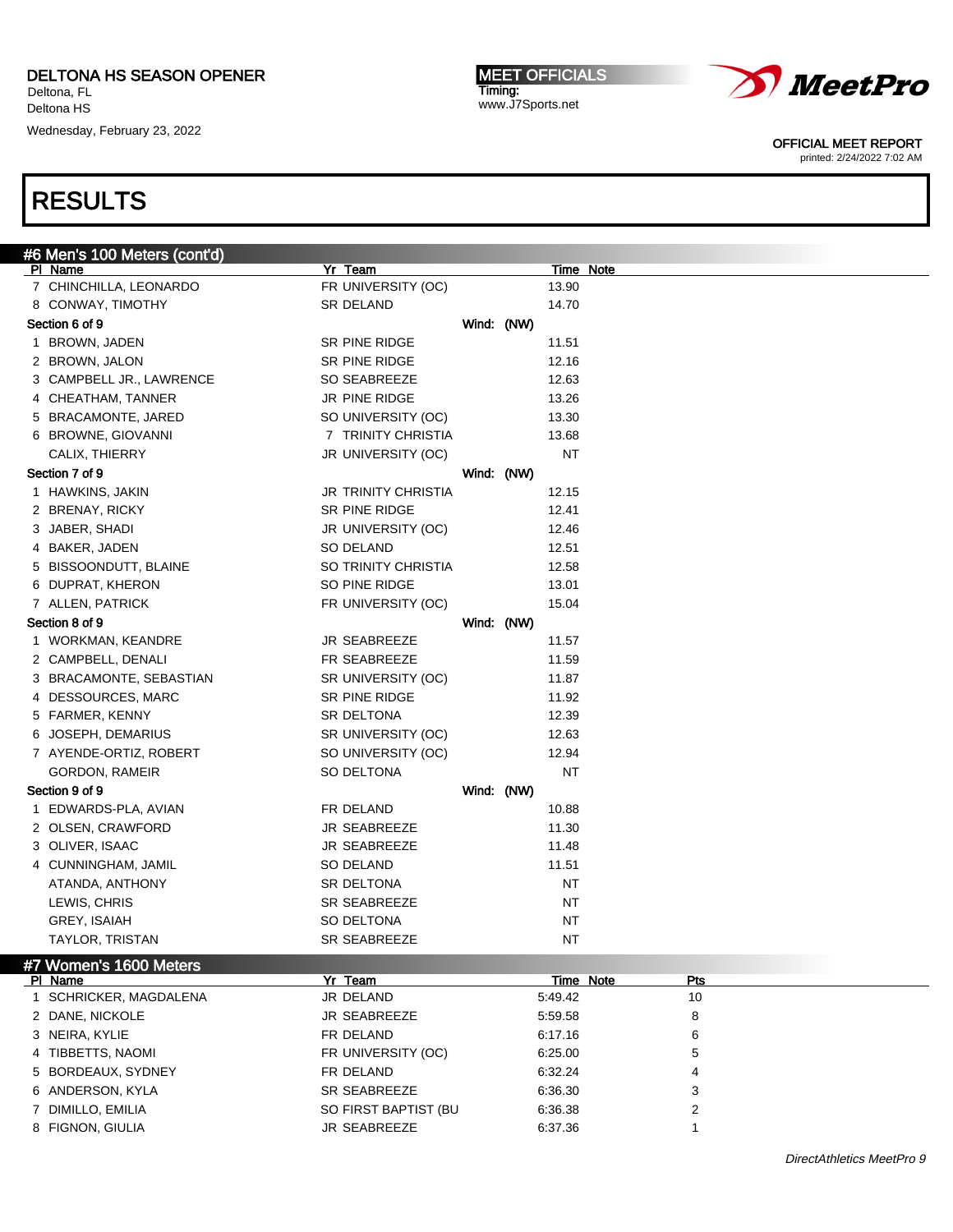Wednesday, February 23, 2022

MEET OFFICIALS Timing: www.J7Sports.net



OFFICIAL MEET REPORT

printed: 2/24/2022 7:02 AM

## RESULTS

| #6 Men's 100 Meters (cont'd) |                            |            |           |                  |
|------------------------------|----------------------------|------------|-----------|------------------|
| PI Name                      | Yr Team                    |            |           | Time Note        |
| 7 CHINCHILLA, LEONARDO       | FR UNIVERSITY (OC)         |            | 13.90     |                  |
| 8 CONWAY, TIMOTHY            | SR DELAND                  |            | 14.70     |                  |
| Section 6 of 9               |                            | Wind: (NW) |           |                  |
| 1 BROWN, JADEN               | SR PINE RIDGE              |            | 11.51     |                  |
| 2 BROWN, JALON               | SR PINE RIDGE              |            | 12.16     |                  |
| 3 CAMPBELL JR., LAWRENCE     | SO SEABREEZE               |            | 12.63     |                  |
| 4 CHEATHAM, TANNER           | JR PINE RIDGE              |            | 13.26     |                  |
| 5 BRACAMONTE, JARED          | SO UNIVERSITY (OC)         |            | 13.30     |                  |
| 6 BROWNE, GIOVANNI           | 7 TRINITY CHRISTIA         |            | 13.68     |                  |
| CALIX, THIERRY               | JR UNIVERSITY (OC)         |            | <b>NT</b> |                  |
| Section 7 of 9               |                            | Wind: (NW) |           |                  |
| 1 HAWKINS, JAKIN             | <b>JR TRINITY CHRISTIA</b> |            | 12.15     |                  |
| 2 BRENAY, RICKY              | SR PINE RIDGE              |            | 12.41     |                  |
| 3 JABER, SHADI               | JR UNIVERSITY (OC)         |            | 12.46     |                  |
| 4 BAKER, JADEN               | SO DELAND                  |            | 12.51     |                  |
| 5 BISSOONDUTT, BLAINE        | SO TRINITY CHRISTIA        |            | 12.58     |                  |
| 6 DUPRAT, KHERON             | SO PINE RIDGE              |            | 13.01     |                  |
| 7 ALLEN, PATRICK             | FR UNIVERSITY (OC)         |            | 15.04     |                  |
| Section 8 of 9               |                            | Wind: (NW) |           |                  |
| 1 WORKMAN, KEANDRE           | JR SEABREEZE               |            | 11.57     |                  |
| 2 CAMPBELL, DENALI           | FR SEABREEZE               |            | 11.59     |                  |
| 3 BRACAMONTE, SEBASTIAN      | SR UNIVERSITY (OC)         |            | 11.87     |                  |
| 4 DESSOURCES, MARC           | SR PINE RIDGE              |            | 11.92     |                  |
| 5 FARMER, KENNY              | SR DELTONA                 |            | 12.39     |                  |
| 6 JOSEPH, DEMARIUS           | SR UNIVERSITY (OC)         |            | 12.63     |                  |
| 7 AYENDE-ORTIZ, ROBERT       | SO UNIVERSITY (OC)         |            | 12.94     |                  |
| GORDON, RAMEIR               | SO DELTONA                 |            | <b>NT</b> |                  |
| Section 9 of 9               |                            | Wind: (NW) |           |                  |
| 1 EDWARDS-PLA, AVIAN         | FR DELAND                  |            | 10.88     |                  |
| 2 OLSEN, CRAWFORD            | <b>JR SEABREEZE</b>        |            | 11.30     |                  |
| 3 OLIVER, ISAAC              | <b>JR SEABREEZE</b>        |            | 11.48     |                  |
| 4 CUNNINGHAM, JAMIL          | SO DELAND                  |            | 11.51     |                  |
| ATANDA, ANTHONY              | SR DELTONA                 |            | <b>NT</b> |                  |
| LEWIS, CHRIS                 | SR SEABREEZE               |            | NT        |                  |
| GREY, ISAIAH                 | SO DELTONA                 |            | NT        |                  |
| <b>TAYLOR, TRISTAN</b>       | SR SEABREEZE               |            | NT        |                  |
| #7 Women's 1600 Meters       |                            |            |           |                  |
| PI Name                      | Yr Team                    |            |           | Time Note<br>Pts |
| 1 SCHRICKER, MAGDALENA       | JR DELAND                  |            | 5:49.42   | 10               |
| 2 DANE, NICKOLE              | JR SEABREEZE               |            | 5:59.58   | 8                |
| 3 NEIRA, KYLIE               | FR DELAND                  |            | 6:17.16   | 6                |
| 4 TIBBETTS, NAOMI            | FR UNIVERSITY (OC)         |            | 6:25.00   | 5                |
| 5 BORDEAUX, SYDNEY           | FR DELAND                  |            | 6:32.24   | 4                |
| 6 ANDERSON, KYLA             | SR SEABREEZE               |            | 6:36.30   | 3                |
| 7 DIMILLO, EMILIA            | SO FIRST BAPTIST (BU       |            | 6:36.38   | $\overline{2}$   |

8 FIGNON, GIULIA JR SEABREEZE 6:37.36 1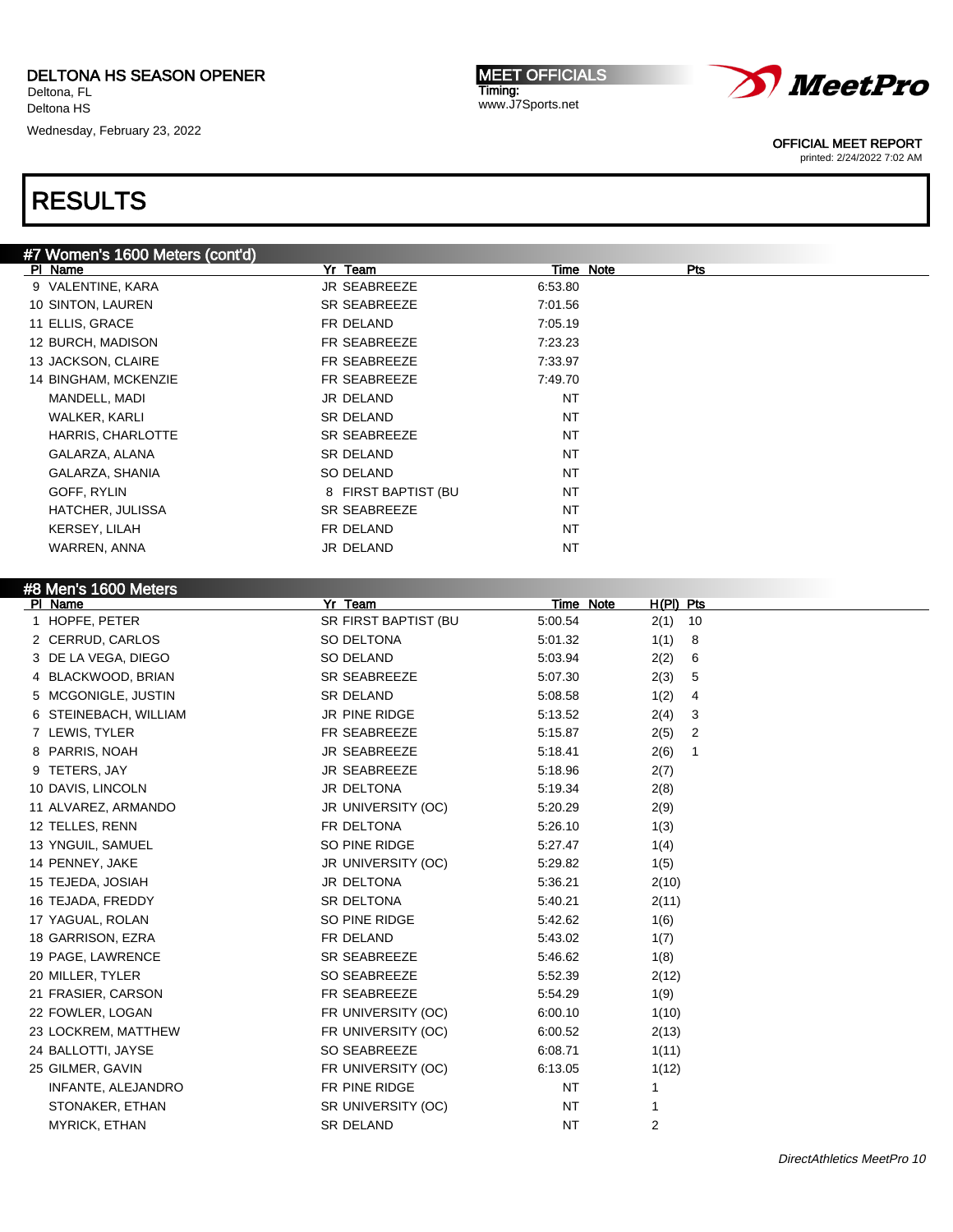Wednesday, February 23, 2022

MEET OFFICIALS Timing: www.J7Sports.net



OFFICIAL MEET REPORT

printed: 2/24/2022 7:02 AM

| #7 Women's 1600 Meters (cont'd) |                      |                  |                        |  |
|---------------------------------|----------------------|------------------|------------------------|--|
| PI Name                         | Yr Team              | Time Note        | Pts                    |  |
| 9 VALENTINE, KARA               | JR SEABREEZE         | 6:53.80          |                        |  |
| 10 SINTON, LAUREN               | SR SEABREEZE         | 7:01.56          |                        |  |
| 11 ELLIS, GRACE                 | FR DELAND            | 7:05.19          |                        |  |
| 12 BURCH, MADISON               | FR SEABREEZE         | 7:23.23          |                        |  |
| 13 JACKSON, CLAIRE              | FR SEABREEZE         | 7:33.97          |                        |  |
| 14 BINGHAM, MCKENZIE            | FR SEABREEZE         | 7:49.70          |                        |  |
| MANDELL, MADI                   | JR DELAND            | <b>NT</b>        |                        |  |
| WALKER, KARLI                   | SR DELAND            | NT               |                        |  |
| HARRIS, CHARLOTTE               | SR SEABREEZE         | NT               |                        |  |
| GALARZA, ALANA                  | SR DELAND            | NT               |                        |  |
| GALARZA, SHANIA                 | SO DELAND            | NT               |                        |  |
| GOFF, RYLIN                     | 8 FIRST BAPTIST (BU  | NT               |                        |  |
| HATCHER, JULISSA                | SR SEABREEZE         | NT               |                        |  |
| KERSEY, LILAH                   | FR DELAND            | NT               |                        |  |
| WARREN, ANNA                    | JR DELAND            | NT               |                        |  |
|                                 |                      |                  |                        |  |
| #8 Men's 1600 Meters            |                      |                  |                        |  |
| PI Name                         | Yr Team              | <b>Time Note</b> | H(PI) Pts              |  |
| 1 HOPFE, PETER                  | SR FIRST BAPTIST (BU | 5:00.54          | $2(1)$ 10              |  |
| 2 CERRUD, CARLOS                | SO DELTONA           | 5:01.32          | 1(1)<br>8              |  |
| 3 DE LA VEGA, DIEGO             | SO DELAND            | 5:03.94          | 2(2)<br>6              |  |
| 4 BLACKWOOD, BRIAN              | SR SEABREEZE         | 5:07.30          | 5<br>2(3)              |  |
| 5 MCGONIGLE, JUSTIN             | SR DELAND            | 5:08.58          | 1(2)<br>4              |  |
| 6 STEINEBACH, WILLIAM           | JR PINE RIDGE        | 5:13.52          | 2(4)<br>3              |  |
| 7 LEWIS, TYLER                  | FR SEABREEZE         | 5:15.87          | $\overline{2}$<br>2(5) |  |
| 8 PARRIS, NOAH                  | JR SEABREEZE         | 5:18.41          | 2(6)<br>1              |  |
| 9 TETERS, JAY                   | JR SEABREEZE         | 5:18.96          |                        |  |
|                                 |                      |                  | 2(7)                   |  |
| 10 DAVIS, LINCOLN               | JR DELTONA           | 5:19.34          | 2(8)                   |  |
| 11 ALVAREZ, ARMANDO             | JR UNIVERSITY (OC)   | 5:20.29          | 2(9)                   |  |
| 12 TELLES, RENN                 | FR DELTONA           | 5:26.10          | 1(3)                   |  |
| 13 YNGUIL, SAMUEL               | SO PINE RIDGE        | 5:27.47          | 1(4)                   |  |
| 14 PENNEY, JAKE                 | JR UNIVERSITY (OC)   | 5:29.82          | 1(5)                   |  |
| 15 TEJEDA, JOSIAH               | JR DELTONA           | 5:36.21          | 2(10)                  |  |
| 16 TEJADA, FREDDY               | SR DELTONA           | 5:40.21          | 2(11)                  |  |
| 17 YAGUAL, ROLAN                | SO PINE RIDGE        | 5:42.62          | 1(6)                   |  |
| 18 GARRISON, EZRA               | FR DELAND            | 5:43.02          | 1(7)                   |  |
| 19 PAGE, LAWRENCE               | SR SEABREEZE         | 5:46.62          | 1(8)                   |  |
| 20 MILLER, TYLER                | SO SEABREEZE         | 5:52.39          | 2(12)                  |  |
| 21 FRASIER, CARSON              | FR SEABREEZE         | 5:54.29          | 1(9)                   |  |
| 22 FOWLER, LOGAN                | FR UNIVERSITY (OC)   | 6:00.10          | 1(10)                  |  |
| 23 LOCKREM, MATTHEW             | FR UNIVERSITY (OC)   | 6:00.52          | 2(13)                  |  |
| 24 BALLOTTI, JAYSE              | SO SEABREEZE         | 6:08.71          | 1(11)                  |  |
| 25 GILMER, GAVIN                | FR UNIVERSITY (OC)   | 6:13.05          | 1(12)                  |  |
| INFANTE, ALEJANDRO              | FR PINE RIDGE        | NT               | 1                      |  |
| STONAKER, ETHAN                 | SR UNIVERSITY (OC)   | ΝT               | 1                      |  |
| <b>MYRICK, ETHAN</b>            | SR DELAND            | NT               | $\overline{2}$         |  |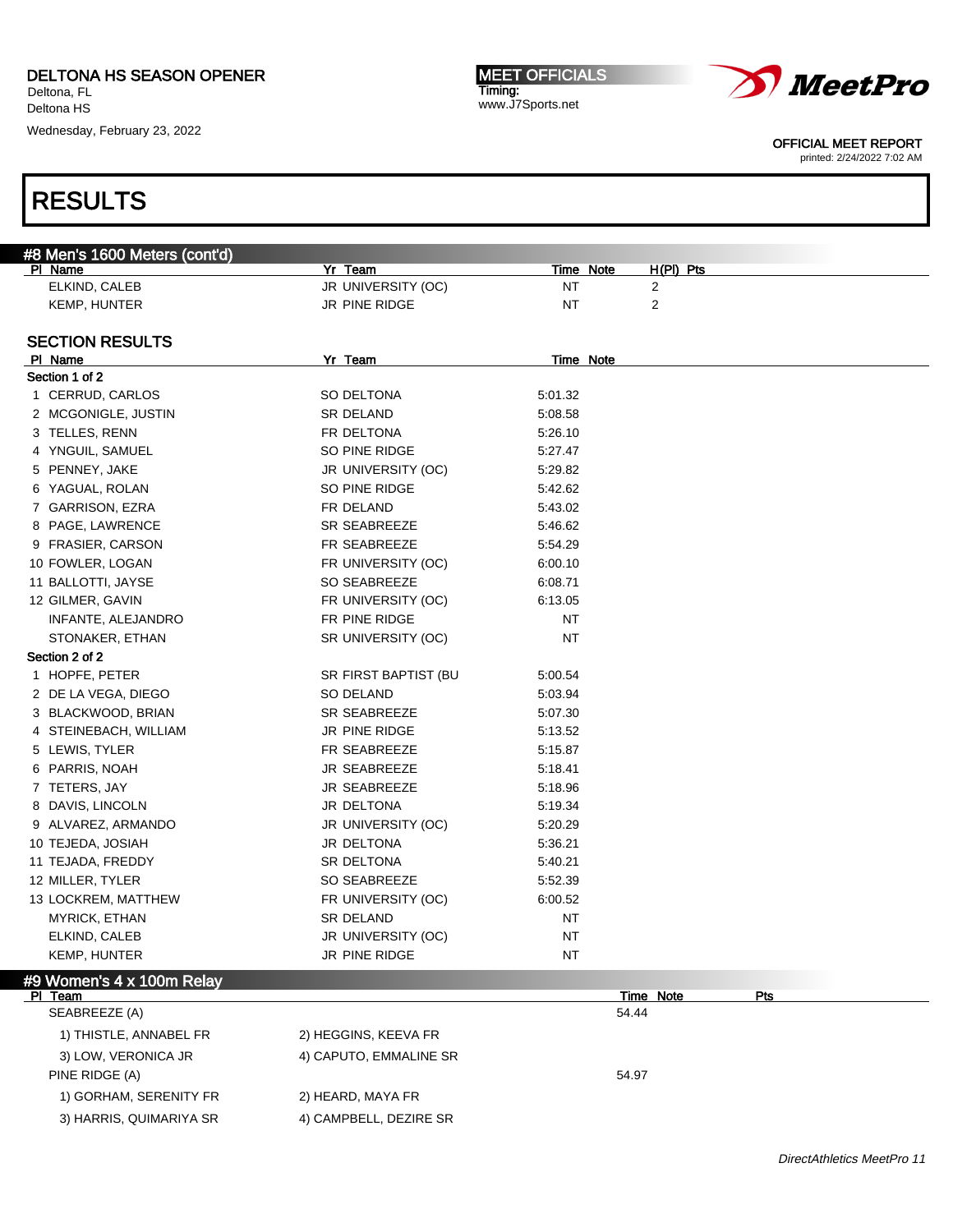Wednesday, February 23, 2022

## RESULTS

| #8 Men's 1600 Meters (cont'd) |                      |                  |                |
|-------------------------------|----------------------|------------------|----------------|
| <b>PI Name</b>                | Yr Team              | <b>Time Note</b> | $H(PI)$ Pts    |
| ELKIND, CALEB                 | JR UNIVERSITY (OC)   | ΝT               | 2              |
| KEMP, HUNTER                  | JR PINE RIDGE        | NT               | $\overline{2}$ |
| <b>SECTION RESULTS</b>        |                      |                  |                |
| PI Name                       | Yr Team              | Time Note        |                |
| Section 1 of 2                |                      |                  |                |
| 1 CERRUD, CARLOS              | SO DELTONA           | 5:01.32          |                |
| 2 MCGONIGLE, JUSTIN           | <b>SR DELAND</b>     | 5:08.58          |                |
| 3 TELLES, RENN                | FR DELTONA           | 5:26.10          |                |
| 4 YNGUIL, SAMUEL              | SO PINE RIDGE        | 5:27.47          |                |
| 5 PENNEY, JAKE                | JR UNIVERSITY (OC)   | 5:29.82          |                |
| 6 YAGUAL, ROLAN               | SO PINE RIDGE        | 5:42.62          |                |
| 7 GARRISON, EZRA              | FR DELAND            | 5:43.02          |                |
| 8 PAGE, LAWRENCE              | SR SEABREEZE         | 5:46.62          |                |
| 9 FRASIER, CARSON             | FR SEABREEZE         | 5:54.29          |                |
| 10 FOWLER, LOGAN              | FR UNIVERSITY (OC)   | 6:00.10          |                |
| 11 BALLOTTI, JAYSE            | SO SEABREEZE         | 6:08.71          |                |
| 12 GILMER, GAVIN              | FR UNIVERSITY (OC)   | 6:13.05          |                |
| INFANTE, ALEJANDRO            | FR PINE RIDGE        | NT               |                |
| STONAKER, ETHAN               | SR UNIVERSITY (OC)   | NT               |                |
| Section 2 of 2                |                      |                  |                |
| 1 HOPFE, PETER                | SR FIRST BAPTIST (BU | 5:00.54          |                |
| 2 DE LA VEGA, DIEGO           | SO DELAND            | 5:03.94          |                |
| 3 BLACKWOOD, BRIAN            | <b>SR SEABREEZE</b>  | 5:07.30          |                |
| 4 STEINEBACH, WILLIAM         | JR PINE RIDGE        | 5:13.52          |                |
| 5 LEWIS, TYLER                | FR SEABREEZE         | 5:15.87          |                |
| 6 PARRIS, NOAH                | <b>JR SEABREEZE</b>  | 5:18.41          |                |
| 7 TETERS, JAY                 | <b>JR SEABREEZE</b>  | 5:18.96          |                |
| 8 DAVIS, LINCOLN              | JR DELTONA           | 5:19.34          |                |
| 9 ALVAREZ, ARMANDO            | JR UNIVERSITY (OC)   | 5:20.29          |                |
| 10 TEJEDA, JOSIAH             | JR DELTONA           | 5:36.21          |                |
| 11 TEJADA, FREDDY             | SR DELTONA           | 5:40.21          |                |
| 12 MILLER, TYLER              | SO SEABREEZE         | 5:52.39          |                |
| 13 LOCKREM, MATTHEW           | FR UNIVERSITY (OC)   | 6:00.52          |                |
| MYRICK, ETHAN                 | <b>SR DELAND</b>     | NT               |                |
| ELKIND, CALEB                 | JR UNIVERSITY (OC)   | ΝT               |                |
| KEMP, HUNTER                  | JR PINE RIDGE        | NT               |                |
|                               |                      |                  |                |
| #9 Women's 4 x 100m Relay     |                      |                  |                |

Timing:

| PI Team                 |                        | Time Note<br><b>Pts</b> |  |
|-------------------------|------------------------|-------------------------|--|
| SEABREEZE (A)           |                        | 54.44                   |  |
| 1) THISTLE, ANNABEL FR  | 2) HEGGINS, KEEVA FR   |                         |  |
| 3) LOW, VERONICA JR     | 4) CAPUTO, EMMALINE SR |                         |  |
| PINE RIDGE (A)          |                        | 54.97                   |  |
| 1) GORHAM, SERENITY FR  | 2) HEARD, MAYA FR      |                         |  |
| 3) HARRIS, QUIMARIYA SR | 4) CAMPBELL, DEZIRE SR |                         |  |





OFFICIAL MEET REPORT

printed: 2/24/2022 7:02 AM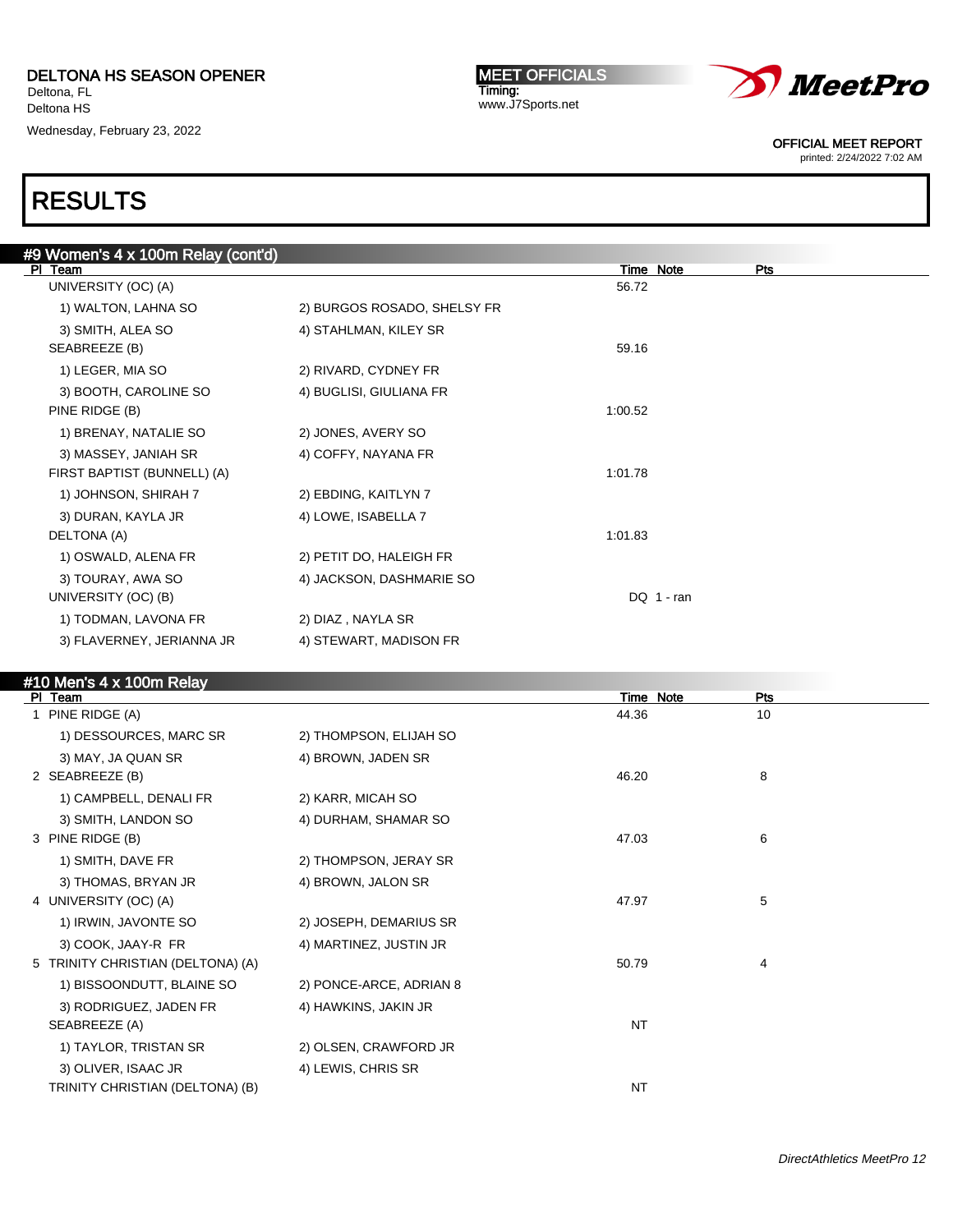Wednesday, February 23, 2022

MEET OFFICIALS Timing: www.J7Sports.net



OFFICIAL MEET REPORT

printed: 2/24/2022 7:02 AM

| #9 Women's 4 x 100m Relay (cont'd) |                             |              |     |
|------------------------------------|-----------------------------|--------------|-----|
| PI Team                            |                             | Time Note    | Pts |
| UNIVERSITY (OC) (A)                |                             | 56.72        |     |
| 1) WALTON, LAHNA SO                | 2) BURGOS ROSADO, SHELSY FR |              |     |
| 3) SMITH, ALEA SO                  | 4) STAHLMAN, KILEY SR       |              |     |
| SEABREEZE (B)                      |                             | 59.16        |     |
| 1) LEGER, MIA SO                   | 2) RIVARD, CYDNEY FR        |              |     |
| 3) BOOTH, CAROLINE SO              | 4) BUGLISI, GIULIANA FR     |              |     |
| PINE RIDGE (B)                     |                             | 1:00.52      |     |
| 1) BRENAY, NATALIE SO              | 2) JONES, AVERY SO          |              |     |
| 3) MASSEY, JANIAH SR               | 4) COFFY, NAYANA FR         |              |     |
| FIRST BAPTIST (BUNNELL) (A)        |                             | 1:01.78      |     |
| 1) JOHNSON, SHIRAH 7               | 2) EBDING, KAITLYN 7        |              |     |
| 3) DURAN, KAYLA JR                 | 4) LOWE, ISABELLA 7         |              |     |
| DELTONA (A)                        |                             | 1:01.83      |     |
| 1) OSWALD, ALENA FR                | 2) PETIT DO, HALEIGH FR     |              |     |
| 3) TOURAY, AWA SO                  | 4) JACKSON, DASHMARIE SO    |              |     |
| UNIVERSITY (OC) (B)                |                             | DQ $1 - ran$ |     |
| 1) TODMAN, LAVONA FR               | 2) DIAZ, NAYLA SR           |              |     |
| 3) FLAVERNEY, JERIANNA JR          | 4) STEWART, MADISON FR      |              |     |
|                                    |                             |              |     |
| $HAD$ Mania $A \vee AOD$ m Dalau   |                             |              |     |

| #10 Men's 4 x 100m Relay          |                         |           |     |
|-----------------------------------|-------------------------|-----------|-----|
| PI Team                           |                         | Time Note | Pts |
| 1 PINE RIDGE (A)                  |                         | 44.36     | 10  |
| 1) DESSOURCES, MARC SR            | 2) THOMPSON, ELIJAH SO  |           |     |
| 3) MAY, JA QUAN SR                | 4) BROWN, JADEN SR      |           |     |
| 2 SEABREEZE (B)                   |                         | 46.20     | 8   |
| 1) CAMPBELL, DENALI FR            | 2) KARR, MICAH SO       |           |     |
| 3) SMITH, LANDON SO               | 4) DURHAM, SHAMAR SO    |           |     |
| 3 PINE RIDGE (B)                  |                         | 47.03     | 6   |
| 1) SMITH, DAVE FR                 | 2) THOMPSON, JERAY SR   |           |     |
| 3) THOMAS, BRYAN JR               | 4) BROWN, JALON SR      |           |     |
| 4 UNIVERSITY (OC) (A)             |                         | 47.97     | 5   |
| 1) IRWIN, JAVONTE SO              | 2) JOSEPH, DEMARIUS SR  |           |     |
| 3) COOK, JAAY-R FR                | 4) MARTINEZ, JUSTIN JR  |           |     |
| 5 TRINITY CHRISTIAN (DELTONA) (A) |                         | 50.79     | 4   |
| 1) BISSOONDUTT, BLAINE SO         | 2) PONCE-ARCE, ADRIAN 8 |           |     |
| 3) RODRIGUEZ, JADEN FR            | 4) HAWKINS, JAKIN JR    |           |     |
| SEABREEZE (A)                     |                         | <b>NT</b> |     |
| 1) TAYLOR, TRISTAN SR             | 2) OLSEN, CRAWFORD JR   |           |     |
| 3) OLIVER, ISAAC JR               | 4) LEWIS, CHRIS SR      |           |     |
| TRINITY CHRISTIAN (DELTONA) (B)   |                         | <b>NT</b> |     |
|                                   |                         |           |     |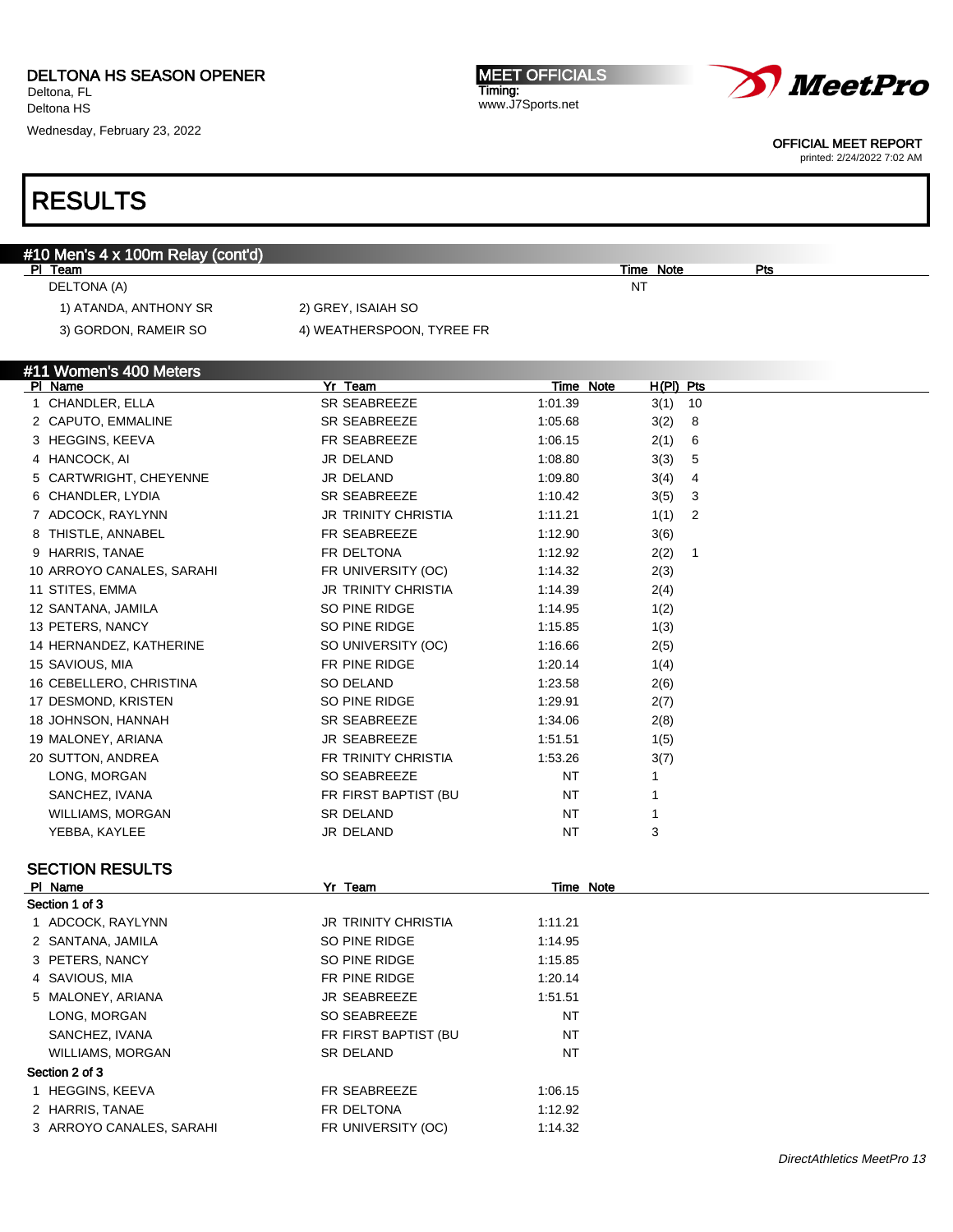Deltona HS

Wednesday, February 23, 2022

MEET OFFICIALS Timing: www.J7Sports.net



OFFICIAL MEET REPORT

printed: 2/24/2022 7:02 AM

## RESULTS

| #10 Men's 4 x 100m Relay (cont'd)<br>PI Team |                            |           | <b>Time Note</b>       | Pts |
|----------------------------------------------|----------------------------|-----------|------------------------|-----|
| DELTONA (A)                                  |                            |           | NΤ                     |     |
| 1) ATANDA, ANTHONY SR                        | 2) GREY, ISAIAH SO         |           |                        |     |
| 3) GORDON, RAMEIR SO                         | 4) WEATHERSPOON, TYREE FR  |           |                        |     |
|                                              |                            |           |                        |     |
| #11 Women's 400 Meters                       |                            |           |                        |     |
| PI Name                                      | Yr Team                    | Time Note | $H(PI)$ Pts            |     |
| 1 CHANDLER, ELLA                             | SR SEABREEZE               | 1:01.39   | $3(1)$ 10              |     |
| 2 CAPUTO, EMMALINE                           | SR SEABREEZE               | 1:05.68   | 3(2)<br>8              |     |
| 3 HEGGINS, KEEVA                             | FR SEABREEZE               | 1:06.15   | 2(1)<br>6              |     |
| 4 HANCOCK, AI                                | JR DELAND                  | 1:08.80   | 3(3)<br>5              |     |
| 5 CARTWRIGHT, CHEYENNE                       | JR DELAND                  | 1:09.80   | 3(4)<br>4              |     |
| 6 CHANDLER, LYDIA                            | SR SEABREEZE               | 1:10.42   | 3(5)<br>3              |     |
| 7 ADCOCK, RAYLYNN                            | <b>JR TRINITY CHRISTIA</b> | 1:11.21   | 2<br>1(1)              |     |
| 8 THISTLE, ANNABEL                           | FR SEABREEZE               | 1:12.90   | 3(6)                   |     |
| 9 HARRIS, TANAE                              | FR DELTONA                 | 1:12.92   | 2(2)<br>$\overline{1}$ |     |
| 10 ARROYO CANALES, SARAHI                    | FR UNIVERSITY (OC)         | 1:14.32   | 2(3)                   |     |
| 11 STITES, EMMA                              | JR TRINITY CHRISTIA        | 1:14.39   | 2(4)                   |     |
| 12 SANTANA, JAMILA                           | SO PINE RIDGE              | 1:14.95   | 1(2)                   |     |
| 13 PETERS, NANCY                             | SO PINE RIDGE              | 1:15.85   | 1(3)                   |     |
| 14 HERNANDEZ, KATHERINE                      | SO UNIVERSITY (OC)         | 1:16.66   | 2(5)                   |     |
| 15 SAVIOUS, MIA                              | FR PINE RIDGE              | 1:20.14   | 1(4)                   |     |
| 16 CEBELLERO, CHRISTINA                      | <b>SO DELAND</b>           | 1:23.58   | 2(6)                   |     |
| 17 DESMOND, KRISTEN                          | SO PINE RIDGE              | 1:29.91   | 2(7)                   |     |
| 18 JOHNSON, HANNAH                           | <b>SR SEABREEZE</b>        | 1:34.06   | 2(8)                   |     |
| 19 MALONEY, ARIANA                           | JR SEABREEZE               | 1:51.51   | 1(5)                   |     |
| 20 SUTTON, ANDREA                            | FR TRINITY CHRISTIA        | 1:53.26   | 3(7)                   |     |
| LONG, MORGAN                                 | SO SEABREEZE               | NT        | 1                      |     |
| SANCHEZ, IVANA                               | FR FIRST BAPTIST (BU       | NT        | 1                      |     |
| <b>WILLIAMS, MORGAN</b>                      | SR DELAND                  | ΝT        | 1                      |     |
| YEBBA, KAYLEE                                | JR DELAND                  | <b>NT</b> | 3                      |     |
| <b>SECTION RESULTS</b>                       |                            |           |                        |     |
| PI Name                                      | Yr Team                    | Time Note |                        |     |
| Section 1 of 3                               |                            |           |                        |     |
| 1 ADCOCK, RAYLYNN                            | <b>JR TRINITY CHRISTIA</b> | 1:11.21   |                        |     |
| 2 SANTANA, JAMILA                            | SO PINE RIDGE              | 1:14.95   |                        |     |
| 3 PETERS, NANCY                              | SO PINE RIDGE              | 1:15.85   |                        |     |

5 MALONEY, ARIANA JR SEABREEZE 1:51.51 LONG, MORGAN SO SEABREEZE SANCHEZ, IVANA NT FR FIRST BAPTIST (BU NT WILLIAMS, MORGAN SR DELAND STR DELAND NT

#### Section 2 of 3

1 HEGGINS, KEEVA FR SEABREEZE 1:06.15

2 HARRIS, TANAE FR DELTONA 1:12.92

3 ARROYO CANALES, SARAHI FR UNIVERSITY (OC) 1:14.32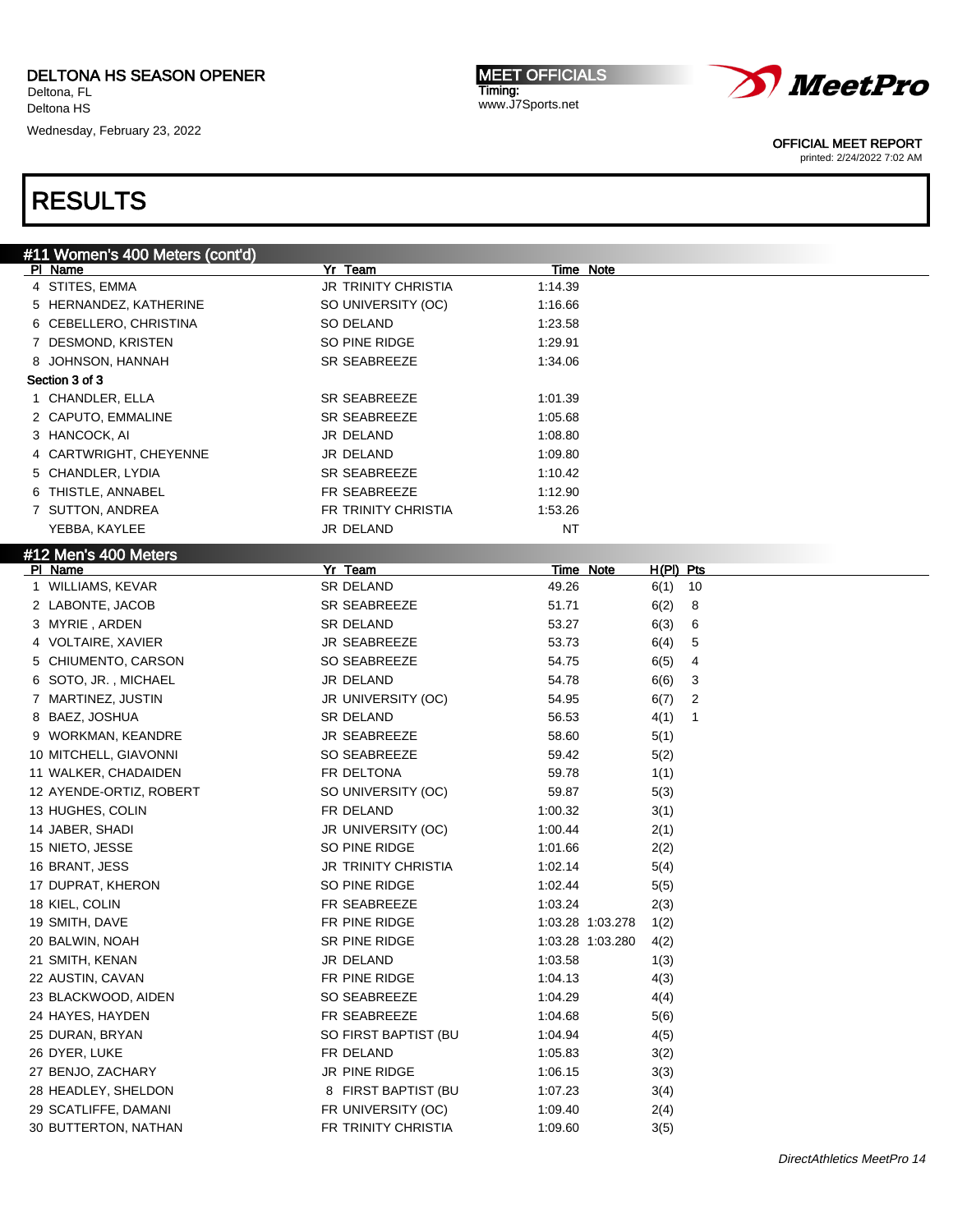Wednesday, February 23, 2022

MEET OFFICIALS Timing: www.J7Sports.net



OFFICIAL MEET REPORT

printed: 2/24/2022 7:02 AM

| #11 Women's 400 Meters (cont'd) |                            |         |                  |             |    |
|---------------------------------|----------------------------|---------|------------------|-------------|----|
| PI Name                         | Yr Team                    |         | <u>Time Note</u> |             |    |
| 4 STITES, EMMA                  | <b>JR TRINITY CHRISTIA</b> | 1:14.39 |                  |             |    |
| 5 HERNANDEZ, KATHERINE          | SO UNIVERSITY (OC)         | 1:16.66 |                  |             |    |
| 6 CEBELLERO, CHRISTINA          | SO DELAND                  | 1:23.58 |                  |             |    |
| 7 DESMOND, KRISTEN              | SO PINE RIDGE              | 1:29.91 |                  |             |    |
| 8 JOHNSON, HANNAH               | SR SEABREEZE               | 1:34.06 |                  |             |    |
| Section 3 of 3                  |                            |         |                  |             |    |
| 1 CHANDLER, ELLA                | <b>SR SEABREEZE</b>        | 1:01.39 |                  |             |    |
| 2 CAPUTO, EMMALINE              | SR SEABREEZE               | 1:05.68 |                  |             |    |
| 3 HANCOCK, AI                   | JR DELAND                  | 1:08.80 |                  |             |    |
| 4 CARTWRIGHT, CHEYENNE          | JR DELAND                  | 1:09.80 |                  |             |    |
| 5 CHANDLER, LYDIA               | SR SEABREEZE               | 1:10.42 |                  |             |    |
| 6 THISTLE, ANNABEL              | FR SEABREEZE               | 1:12.90 |                  |             |    |
| 7 SUTTON, ANDREA                | FR TRINITY CHRISTIA        | 1:53.26 |                  |             |    |
| YEBBA, KAYLEE                   | JR DELAND                  | ΝT      |                  |             |    |
| #12 Men's 400 Meters            |                            |         |                  |             |    |
| PI Name                         | Yr Team                    |         | <b>Time Note</b> | $H(PI)$ Pts |    |
| 1 WILLIAMS, KEVAR               | SR DELAND                  | 49.26   |                  | 6(1)        | 10 |
| 2 LABONTE, JACOB                | SR SEABREEZE               | 51.71   |                  | 6(2)        | 8  |
| 3 MYRIE, ARDEN                  | SR DELAND                  | 53.27   |                  | 6(3)        | 6  |
| 4 VOLTAIRE, XAVIER              | <b>JR SEABREEZE</b>        | 53.73   |                  | 6(4)        | 5  |
| 5 CHIUMENTO, CARSON             | SO SEABREEZE               | 54.75   |                  | 6(5)        | 4  |
| 6 SOTO, JR., MICHAEL            | JR DELAND                  | 54.78   |                  | 6(6)        | 3  |
| 7 MARTINEZ, JUSTIN              | JR UNIVERSITY (OC)         | 54.95   |                  | 6(7)        | 2  |
| 8 BAEZ, JOSHUA                  | <b>SR DELAND</b>           | 56.53   |                  | 4(1)        | -1 |
| 9 WORKMAN, KEANDRE              | <b>JR SEABREEZE</b>        | 58.60   |                  | 5(1)        |    |
| 10 MITCHELL, GIAVONNI           | SO SEABREEZE               | 59.42   |                  | 5(2)        |    |
| 11 WALKER, CHADAIDEN            | FR DELTONA                 | 59.78   |                  | 1(1)        |    |
| 12 AYENDE-ORTIZ, ROBERT         | SO UNIVERSITY (OC)         | 59.87   |                  | 5(3)        |    |
| 13 HUGHES, COLIN                | FR DELAND                  | 1:00.32 |                  | 3(1)        |    |
| 14 JABER, SHADI                 | JR UNIVERSITY (OC)         | 1:00.44 |                  | 2(1)        |    |
| 15 NIETO, JESSE                 | SO PINE RIDGE              | 1:01.66 |                  | 2(2)        |    |
| 16 BRANT, JESS                  | <b>JR TRINITY CHRISTIA</b> | 1:02.14 |                  | 5(4)        |    |
| 17 DUPRAT, KHERON               | SO PINE RIDGE              | 1:02.44 |                  | 5(5)        |    |
| 18 KIEL, COLIN                  | FR SEABREEZE               | 1:03.24 |                  | 2(3)        |    |
| 19 SMITH, DAVE                  | FR PINE RIDGE              |         | 1:03.28 1:03.278 | 1(2)        |    |
| 20 BALWIN, NOAH                 | SR PINE RIDGE              |         | 1:03.28 1:03.280 | 4(2)        |    |
| 21 SMITH, KENAN                 | JR DELAND                  | 1:03.58 |                  | 1(3)        |    |
| 22 AUSTIN, CAVAN                | FR PINE RIDGE              | 1:04.13 |                  | 4(3)        |    |
| 23 BLACKWOOD, AIDEN             | SO SEABREEZE               | 1:04.29 |                  | 4(4)        |    |
| 24 HAYES, HAYDEN                | FR SEABREEZE               | 1:04.68 |                  | 5(6)        |    |
| 25 DURAN, BRYAN                 | SO FIRST BAPTIST (BU       | 1:04.94 |                  | 4(5)        |    |
| 26 DYER, LUKE                   | FR DELAND                  | 1:05.83 |                  | 3(2)        |    |
| 27 BENJO, ZACHARY               | JR PINE RIDGE              | 1:06.15 |                  | 3(3)        |    |
| 28 HEADLEY, SHELDON             | 8 FIRST BAPTIST (BU        | 1:07.23 |                  | 3(4)        |    |
| 29 SCATLIFFE, DAMANI            | FR UNIVERSITY (OC)         | 1:09.40 |                  | 2(4)        |    |
| 30 BUTTERTON, NATHAN            | FR TRINITY CHRISTIA        | 1:09.60 |                  | 3(5)        |    |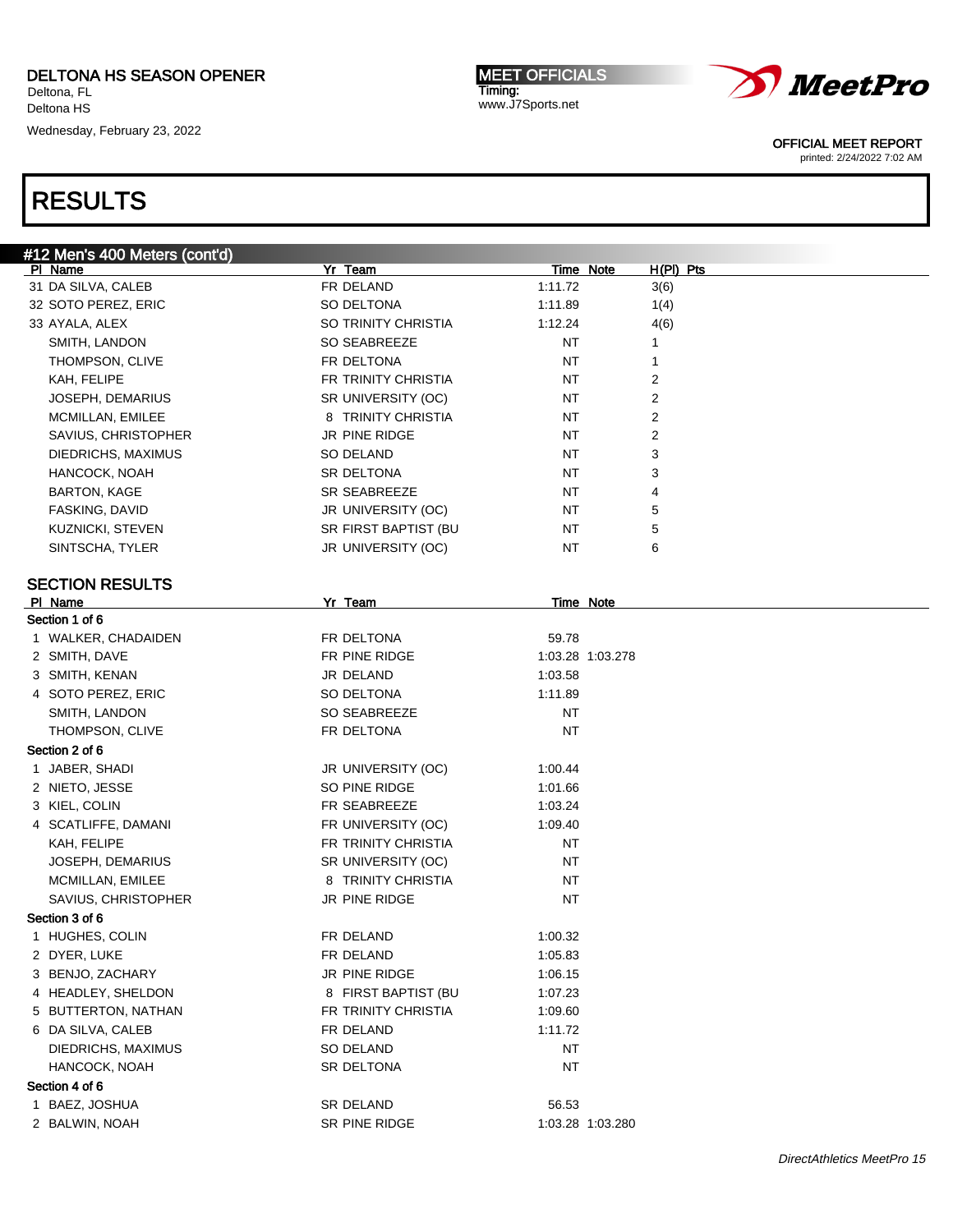Wednesday, February 23, 2022

RESULTS

| <b>MEET OFFICIALS</b> |
|-----------------------|
| Timing:               |
| www.J7Sports.net      |



OFFICIAL MEET REPORT

printed: 2/24/2022 7:02 AM

| #12 Men's 400 Meters (cont'd)<br>PI Name | Yr Team              | Time Note        | $H(PI)$ Pts |
|------------------------------------------|----------------------|------------------|-------------|
| 31 DA SILVA, CALEB                       | FR DELAND            | 1:11.72          | 3(6)        |
| 32 SOTO PEREZ, ERIC                      | SO DELTONA           | 1:11.89          | 1(4)        |
| 33 AYALA, ALEX                           | SO TRINITY CHRISTIA  | 1:12.24          | 4(6)        |
| SMITH, LANDON                            | SO SEABREEZE         | ΝT               | 1           |
| THOMPSON, CLIVE                          | FR DELTONA           | ΝT               | 1           |
| KAH, FELIPE                              | FR TRINITY CHRISTIA  | ΝT               | 2           |
| <b>JOSEPH, DEMARIUS</b>                  | SR UNIVERSITY (OC)   | ΝT               | 2           |
| MCMILLAN, EMILEE                         | 8 TRINITY CHRISTIA   | ΝT               | 2           |
| SAVIUS, CHRISTOPHER                      | JR PINE RIDGE        | ΝT               | 2           |
| DIEDRICHS, MAXIMUS                       | <b>SO DELAND</b>     | ΝT               | 3           |
| HANCOCK, NOAH                            | SR DELTONA           | ΝT               | 3           |
| <b>BARTON, KAGE</b>                      | SR SEABREEZE         | ΝT               | 4           |
| FASKING, DAVID                           | JR UNIVERSITY (OC)   | ΝT               | 5           |
| KUZNICKI, STEVEN                         | SR FIRST BAPTIST (BU | NT               | 5           |
| SINTSCHA, TYLER                          | JR UNIVERSITY (OC)   | ΝT               | 6           |
|                                          |                      |                  |             |
| <b>SECTION RESULTS</b><br>PI Name        | Yr Team              |                  |             |
| Section 1 of 6                           |                      | <b>Time Note</b> |             |
| 1 WALKER, CHADAIDEN                      | FR DELTONA           | 59.78            |             |
| 2 SMITH, DAVE                            | FR PINE RIDGE        | 1:03.28 1:03.278 |             |
| 3 SMITH, KENAN                           | JR DELAND            | 1:03.58          |             |
| 4 SOTO PEREZ, ERIC                       | SO DELTONA           | 1:11.89          |             |
| SMITH, LANDON                            | SO SEABREEZE         | NT               |             |
| THOMPSON, CLIVE                          | FR DELTONA           | <b>NT</b>        |             |
| Section 2 of 6                           |                      |                  |             |
| 1 JABER, SHADI                           | JR UNIVERSITY (OC)   | 1:00.44          |             |
| 2 NIETO, JESSE                           | SO PINE RIDGE        | 1:01.66          |             |
| 3 KIEL, COLIN                            | FR SEABREEZE         | 1:03.24          |             |
| 4 SCATLIFFE, DAMANI                      | FR UNIVERSITY (OC)   | 1:09.40          |             |
| KAH, FELIPE                              | FR TRINITY CHRISTIA  | NT               |             |
| JOSEPH, DEMARIUS                         | SR UNIVERSITY (OC)   | NT               |             |
| MCMILLAN, EMILEE                         | 8 TRINITY CHRISTIA   | <b>NT</b>        |             |
| SAVIUS, CHRISTOPHER                      | JR PINE RIDGE        | NT               |             |
| Section 3 of 6                           |                      |                  |             |
| 1 HUGHES, COLIN                          | FR DELAND            | 1:00.32          |             |
| 2 DYER, LUKE                             | FR DELAND            | 1:05.83          |             |
| 3 BENJO, ZACHARY                         | JR PINE RIDGE        | 1:06.15          |             |
| 4 HEADLEY, SHELDON                       | 8 FIRST BAPTIST (BU  | 1:07.23          |             |
| 5 BUTTERTON, NATHAN                      | FR TRINITY CHRISTIA  | 1:09.60          |             |
| 6 DA SILVA, CALEB                        | FR DELAND            | 1:11.72          |             |
| DIEDRICHS, MAXIMUS                       | SO DELAND            | <b>NT</b>        |             |
| HANCOCK, NOAH                            | SR DELTONA           | <b>NT</b>        |             |
| Section 4 of 6                           |                      |                  |             |
| 1 BAEZ, JOSHUA                           | SR DELAND            | 56.53            |             |
| 2 BALWIN, NOAH                           | SR PINE RIDGE        | 1:03.28 1:03.280 |             |
|                                          |                      |                  |             |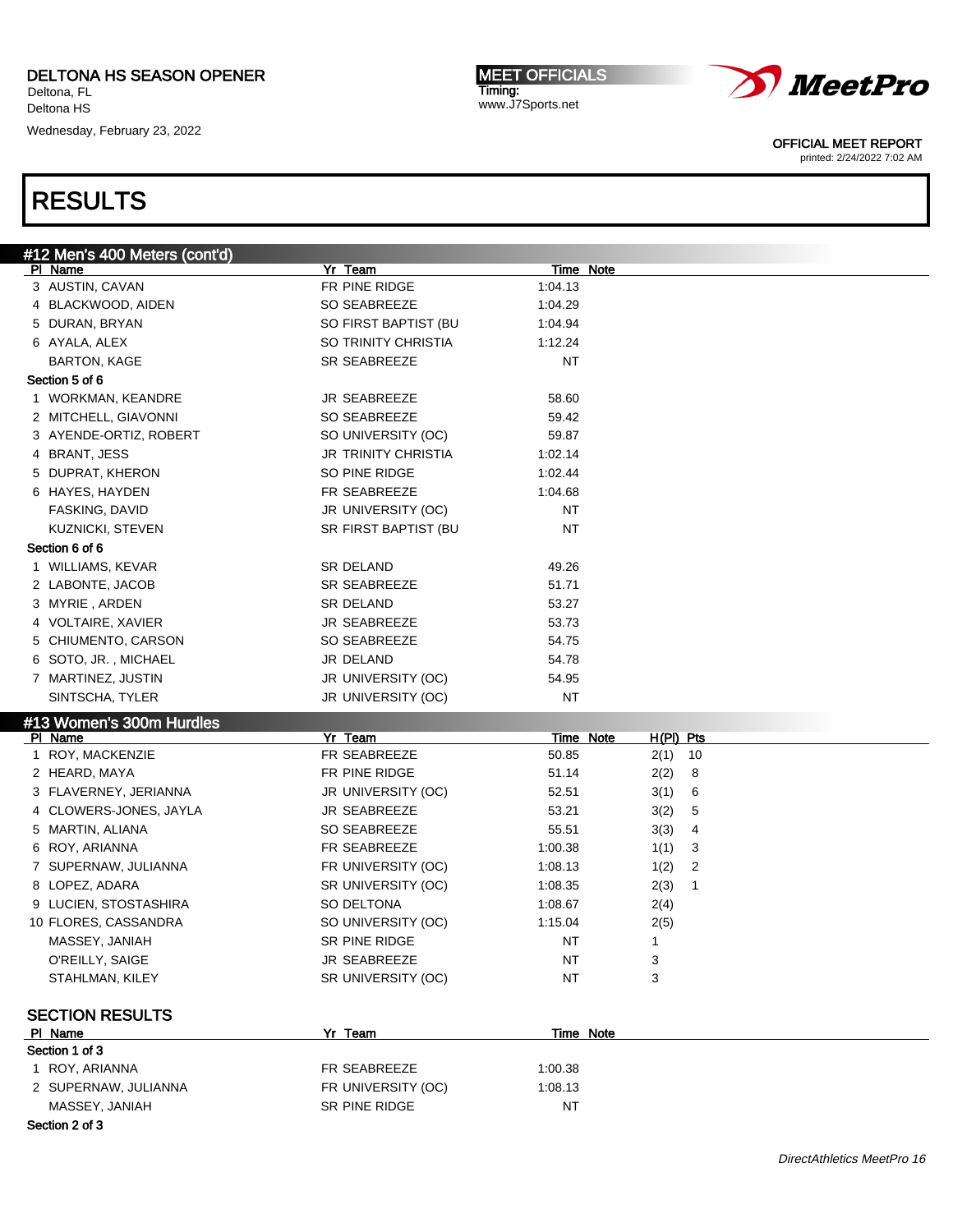Wednesday, February 23, 2022

MEET OFFICIALS Timing: www.J7Sports.net



OFFICIAL MEET REPORT

printed: 2/24/2022 7:02 AM

| #12 Men's 400 Meters (cont'd) |                         |                    |                           |  |
|-------------------------------|-------------------------|--------------------|---------------------------|--|
| PI Name                       | Yr Team                 | Time Note          |                           |  |
| 3 AUSTIN, CAVAN               | FR PINE RIDGE           | 1:04.13            |                           |  |
| 4 BLACKWOOD, AIDEN            | SO SEABREEZE            | 1:04.29            |                           |  |
| 5 DURAN, BRYAN                | SO FIRST BAPTIST (BU    | 1:04.94            |                           |  |
| 6 AYALA, ALEX                 | SO TRINITY CHRISTIA     | 1:12.24            |                           |  |
| <b>BARTON, KAGE</b>           | SR SEABREEZE            | <b>NT</b>          |                           |  |
| Section 5 of 6                |                         |                    |                           |  |
| 1 WORKMAN, KEANDRE            | JR SEABREEZE            | 58.60              |                           |  |
| 2 MITCHELL, GIAVONNI          | SO SEABREEZE            | 59.42              |                           |  |
| 3 AYENDE-ORTIZ, ROBERT        | SO UNIVERSITY (OC)      | 59.87              |                           |  |
| 4 BRANT, JESS                 | JR TRINITY CHRISTIA     | 1:02.14            |                           |  |
| 5 DUPRAT, KHERON              | SO PINE RIDGE           | 1:02.44            |                           |  |
| 6 HAYES, HAYDEN               | FR SEABREEZE            | 1:04.68            |                           |  |
| FASKING, DAVID                | JR UNIVERSITY (OC)      | <b>NT</b>          |                           |  |
| <b>KUZNICKI, STEVEN</b>       | SR FIRST BAPTIST (BU    | <b>NT</b>          |                           |  |
| Section 6 of 6                |                         |                    |                           |  |
| 1 WILLIAMS, KEVAR             | SR DELAND               | 49.26              |                           |  |
| 2 LABONTE, JACOB              | SR SEABREEZE            | 51.71              |                           |  |
| 3 MYRIE, ARDEN                | SR DELAND               | 53.27              |                           |  |
| 4 VOLTAIRE, XAVIER            | JR SEABREEZE            | 53.73              |                           |  |
| 5 CHIUMENTO, CARSON           | SO SEABREEZE            | 54.75              |                           |  |
| 6 SOTO, JR., MICHAEL          | JR DELAND               | 54.78              |                           |  |
| 7 MARTINEZ, JUSTIN            | JR UNIVERSITY (OC)      | 54.95              |                           |  |
| SINTSCHA, TYLER               | JR UNIVERSITY (OC)      | <b>NT</b>          |                           |  |
|                               |                         |                    |                           |  |
| #13 Women's 300m Hurdles      |                         |                    |                           |  |
| PI Name<br>1 ROY, MACKENZIE   | Yr Team<br>FR SEABREEZE | Time Note<br>50.85 | $H(PI)$ Pts<br>2(1)<br>10 |  |
| 2 HEARD, MAYA                 | FR PINE RIDGE           | 51.14              |                           |  |
|                               |                         |                    | 2(2)<br>8                 |  |
| 3 FLAVERNEY, JERIANNA         | JR UNIVERSITY (OC)      | 52.51              | 3(1)<br>6                 |  |
| 4 CLOWERS-JONES, JAYLA        | JR SEABREEZE            | 53.21              | 3(2)<br>5                 |  |
| 5 MARTIN, ALIANA              | SO SEABREEZE            | 55.51              | 3(3)<br>4                 |  |
| 6 ROY, ARIANNA                | FR SEABREEZE            | 1:00.38            | 1(1)<br>3                 |  |
| 7 SUPERNAW, JULIANNA          | FR UNIVERSITY (OC)      | 1:08.13            | 1(2)<br>2                 |  |
| 8 LOPEZ, ADARA                | SR UNIVERSITY (OC)      | 1:08.35            | 2(3)<br>$\mathbf{1}$      |  |
| 9 LUCIEN, STOSTASHIRA         | SO DELTONA              | 1:08.67            | 2(4)                      |  |
| 10 FLORES, CASSANDRA          | SO UNIVERSITY (OC)      | 1:15.04            | 2(5)                      |  |
| MASSEY, JANIAH                | SR PINE RIDGE           | NT                 | 1                         |  |
| O'REILLY, SAIGE               | JR SEABREEZE            | <b>NT</b>          | 3                         |  |
| STAHLMAN, KILEY               | SR UNIVERSITY (OC)      | <b>NT</b>          | 3                         |  |
|                               |                         |                    |                           |  |
| <b>SECTION RESULTS</b>        |                         |                    |                           |  |
| PI Name                       | Yr Team                 | Time Note          |                           |  |
| Section 1 of 3                |                         |                    |                           |  |
| 1 ROY, ARIANNA                | FR SEABREEZE            | 1:00.38            |                           |  |
| 2 SUPERNAW, JULIANNA          | FR UNIVERSITY (OC)      | 1:08.13            |                           |  |
| MASSEY, JANIAH                | SR PINE RIDGE           | NT                 |                           |  |
|                               |                         |                    |                           |  |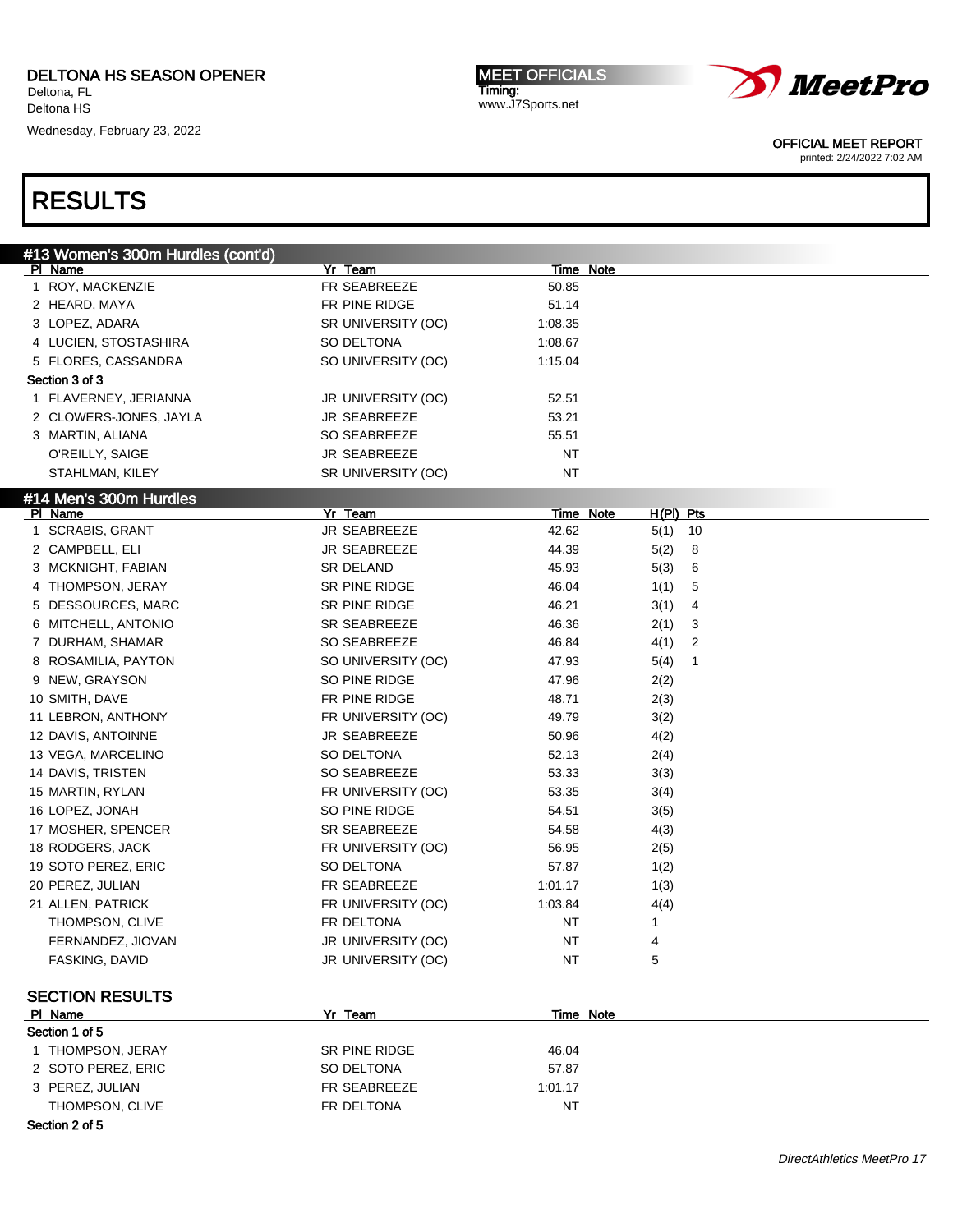Wednesday, February 23, 2022

MEET OFFICIALS Timing: www.J7Sports.net



OFFICIAL MEET REPORT

printed: 2/24/2022 7:02 AM

| #13 Women's 300m Hurdles (cont'd) |                    |           |             |
|-----------------------------------|--------------------|-----------|-------------|
| PI Name                           | Yr Team            | Time Note |             |
| 1 ROY, MACKENZIE                  | FR SEABREEZE       | 50.85     |             |
| 2 HEARD, MAYA                     | FR PINE RIDGE      | 51.14     |             |
| 3 LOPEZ, ADARA                    | SR UNIVERSITY (OC) | 1:08.35   |             |
| 4 LUCIEN, STOSTASHIRA             | SO DELTONA         | 1:08.67   |             |
| 5 FLORES, CASSANDRA               | SO UNIVERSITY (OC) | 1:15.04   |             |
| Section 3 of 3                    |                    |           |             |
| 1 FLAVERNEY, JERIANNA             | JR UNIVERSITY (OC) | 52.51     |             |
| 2 CLOWERS-JONES, JAYLA            | JR SEABREEZE       | 53.21     |             |
| 3 MARTIN, ALIANA                  | SO SEABREEZE       | 55.51     |             |
| O'REILLY, SAIGE                   | JR SEABREEZE       | <b>NT</b> |             |
| STAHLMAN, KILEY                   | SR UNIVERSITY (OC) | <b>NT</b> |             |
| #14 Men's 300m Hurdles            |                    |           |             |
| PI Name                           | Yr Team            | Time Note | $H(PI)$ Pts |
| 1 SCRABIS, GRANT                  | JR SEABREEZE       | 42.62     | 10<br>5(1)  |
| 2 CAMPBELL, ELI                   | JR SEABREEZE       | 44.39     | 5(2)<br>8   |
| 3 MCKNIGHT, FABIAN                | SR DELAND          | 45.93     | 5(3)<br>6   |
| 4 THOMPSON, JERAY                 | SR PINE RIDGE      | 46.04     | 1(1)<br>5   |
| 5 DESSOURCES, MARC                | SR PINE RIDGE      | 46.21     | 3(1)<br>4   |
| 6 MITCHELL, ANTONIO               | SR SEABREEZE       | 46.36     | 2(1)<br>3   |
| 7 DURHAM, SHAMAR                  | SO SEABREEZE       | 46.84     | 4(1)<br>2   |
| 8 ROSAMILIA, PAYTON               | SO UNIVERSITY (OC) | 47.93     | 1<br>5(4)   |
| 9 NEW, GRAYSON                    | SO PINE RIDGE      | 47.96     | 2(2)        |
| 10 SMITH, DAVE                    | FR PINE RIDGE      | 48.71     | 2(3)        |
| 11 LEBRON, ANTHONY                | FR UNIVERSITY (OC) | 49.79     | 3(2)        |
| 12 DAVIS, ANTOINNE                | JR SEABREEZE       | 50.96     | 4(2)        |
| 13 VEGA, MARCELINO                | SO DELTONA         | 52.13     | 2(4)        |
| 14 DAVIS, TRISTEN                 | SO SEABREEZE       | 53.33     | 3(3)        |
| 15 MARTIN, RYLAN                  | FR UNIVERSITY (OC) | 53.35     | 3(4)        |
| 16 LOPEZ, JONAH                   | SO PINE RIDGE      | 54.51     | 3(5)        |
| 17 MOSHER, SPENCER                | SR SEABREEZE       | 54.58     | 4(3)        |
| 18 RODGERS, JACK                  | FR UNIVERSITY (OC) | 56.95     | 2(5)        |
| 19 SOTO PEREZ, ERIC               | SO DELTONA         | 57.87     | 1(2)        |
| 20 PEREZ, JULIAN                  | FR SEABREEZE       | 1:01.17   | 1(3)        |
| 21 ALLEN, PATRICK                 | FR UNIVERSITY (OC) | 1:03.84   | 4(4)        |
| THOMPSON, CLIVE                   | FR DELTONA         | ΝT        | 1           |
| FERNANDEZ, JIOVAN                 | JR UNIVERSITY (OC) | <b>NT</b> | 4           |
| FASKING, DAVID                    | JR UNIVERSITY (OC) | <b>NT</b> | 5           |
|                                   |                    |           |             |
| <b>SECTION RESULTS</b>            |                    |           |             |
| PI Name                           | Yr Team            | Time Note |             |
| Section 1 of 5                    |                    |           |             |
| 1 THOMPSON, JERAY                 | SR PINE RIDGE      | 46.04     |             |
| 2 SOTO PEREZ, ERIC                | SO DELTONA         | 57.87     |             |
| 3 PEREZ, JULIAN                   | FR SEABREEZE       | 1:01.17   |             |
| THOMPSON, CLIVE                   | FR DELTONA         | <b>NT</b> |             |
| Section 2 of 5                    |                    |           |             |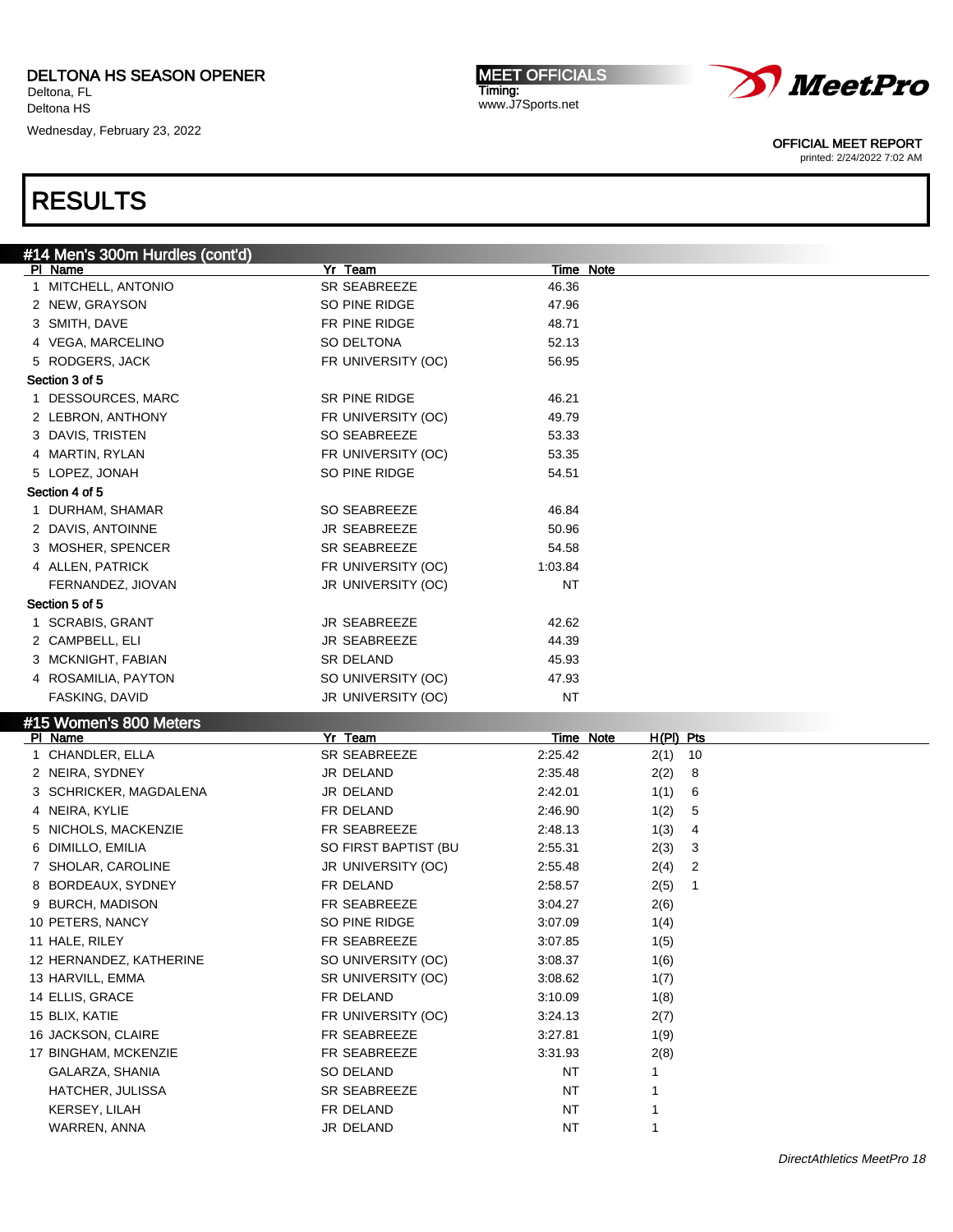Wednesday, February 23, 2022

MEET OFFICIALS Timing: www.J7Sports.net



OFFICIAL MEET REPORT

printed: 2/24/2022 7:02 AM

| #14 Men's 300m Hurdles (cont'd) |                           |          |                          |
|---------------------------------|---------------------------|----------|--------------------------|
| PI Name                         | Yr Team                   |          | <b>Time Note</b>         |
| 1 MITCHELL, ANTONIO             | SR SEABREEZE              | 46.36    |                          |
| 2 NEW, GRAYSON                  | SO PINE RIDGE             | 47.96    |                          |
| 3 SMITH, DAVE                   | FR PINE RIDGE             | 48.71    |                          |
| 4 VEGA, MARCELINO               | SO DELTONA                | 52.13    |                          |
| 5 RODGERS, JACK                 | FR UNIVERSITY (OC)        | 56.95    |                          |
| Section 3 of 5                  |                           |          |                          |
| 1 DESSOURCES, MARC              | SR PINE RIDGE             | 46.21    |                          |
| 2 LEBRON, ANTHONY               | FR UNIVERSITY (OC)        | 49.79    |                          |
| 3 DAVIS, TRISTEN                | SO SEABREEZE              | 53.33    |                          |
| 4 MARTIN, RYLAN                 | FR UNIVERSITY (OC)        | 53.35    |                          |
| 5 LOPEZ, JONAH                  | SO PINE RIDGE             | 54.51    |                          |
| Section 4 of 5                  |                           |          |                          |
| 1 DURHAM, SHAMAR                | SO SEABREEZE              | 46.84    |                          |
| 2 DAVIS, ANTOINNE               | JR SEABREEZE              | 50.96    |                          |
| 3 MOSHER, SPENCER               | SR SEABREEZE              | 54.58    |                          |
| 4 ALLEN, PATRICK                | FR UNIVERSITY (OC)        | 1:03.84  |                          |
|                                 |                           |          |                          |
| FERNANDEZ, JIOVAN               | JR UNIVERSITY (OC)        | ΝT       |                          |
| Section 5 of 5                  |                           |          |                          |
| 1 SCRABIS, GRANT                | JR SEABREEZE              | 42.62    |                          |
| 2 CAMPBELL, ELI                 | JR SEABREEZE              | 44.39    |                          |
| 3 MCKNIGHT, FABIAN              | SR DELAND                 | 45.93    |                          |
| 4 ROSAMILIA, PAYTON             | SO UNIVERSITY (OC)        | 47.93    |                          |
| FASKING, DAVID                  | JR UNIVERSITY (OC)        | ΝT       |                          |
| #15 Women's 800 Meters          |                           |          |                          |
| PI Name                         | Yr Team                   |          | Time Note<br>$H(PI)$ Pts |
| 1 CHANDLER, ELLA                | SR SEABREEZE              | 2:25.42  | $2(1)$ 10                |
| 2 NEIRA, SYDNEY                 | JR DELAND                 | 2:35.48  | 2(2)<br>8                |
| 3 SCHRICKER, MAGDALENA          | JR DELAND                 | 2:42.01  | 1(1)<br>6                |
| 4 NEIRA, KYLIE                  | FR DELAND                 | 2:46.90  | 1(2)<br>5                |
| 5 NICHOLS, MACKENZIE            | FR SEABREEZE              | 2:48.13  | 4<br>1(3)                |
| 6 DIMILLO, EMILIA               | SO FIRST BAPTIST (BU      | 2:55.31  | 2(3)<br>3                |
| 7 SHOLAR, CAROLINE              | JR UNIVERSITY (OC)        | 2:55.48  | 2(4)<br>2                |
| 8 BORDEAUX, SYDNEY              | FR DELAND                 | 2:58.57  | 2(5)<br>1                |
| 9 BURCH, MADISON                | FR SEABREEZE              | 3:04.27  | 2(6)                     |
| 10 PETERS, NANCY                | SO PINE RIDGE             | 3:07.09  | 1(4)                     |
| 11 HALE, RILEY                  | FR SEABREEZE              | 3:07.85  | 1(5)                     |
| 12 HERNANDEZ, KATHERINE         | SO UNIVERSITY (OC)        | 3:08.37  | 1(6)                     |
| 13 HARVILL, EMMA                | SR UNIVERSITY (OC)        | 3:08.62  | 1(7)                     |
| 14 ELLIS, GRACE                 | FR DELAND                 | 3:10.09  | 1(8)                     |
| 15 BLIX, KATIE                  | FR UNIVERSITY (OC)        | 3:24.13  | 2(7)                     |
| 16 JACKSON, CLAIRE              | FR SEABREEZE              | 3:27.81  | 1(9)                     |
| 17 BINGHAM, MCKENZIE            | FR SEABREEZE              | 3:31.93  | 2(8)                     |
| GALARZA, SHANIA                 | SO DELAND                 |          | 1                        |
| HATCHER, JULISSA                |                           | NT       |                          |
|                                 | SR SEABREEZE<br>FR DELAND | ΝT       | 1<br>1                   |
|                                 |                           |          |                          |
| KERSEY, LILAH<br>WARREN, ANNA   | JR DELAND                 | NT<br>NT | 1                        |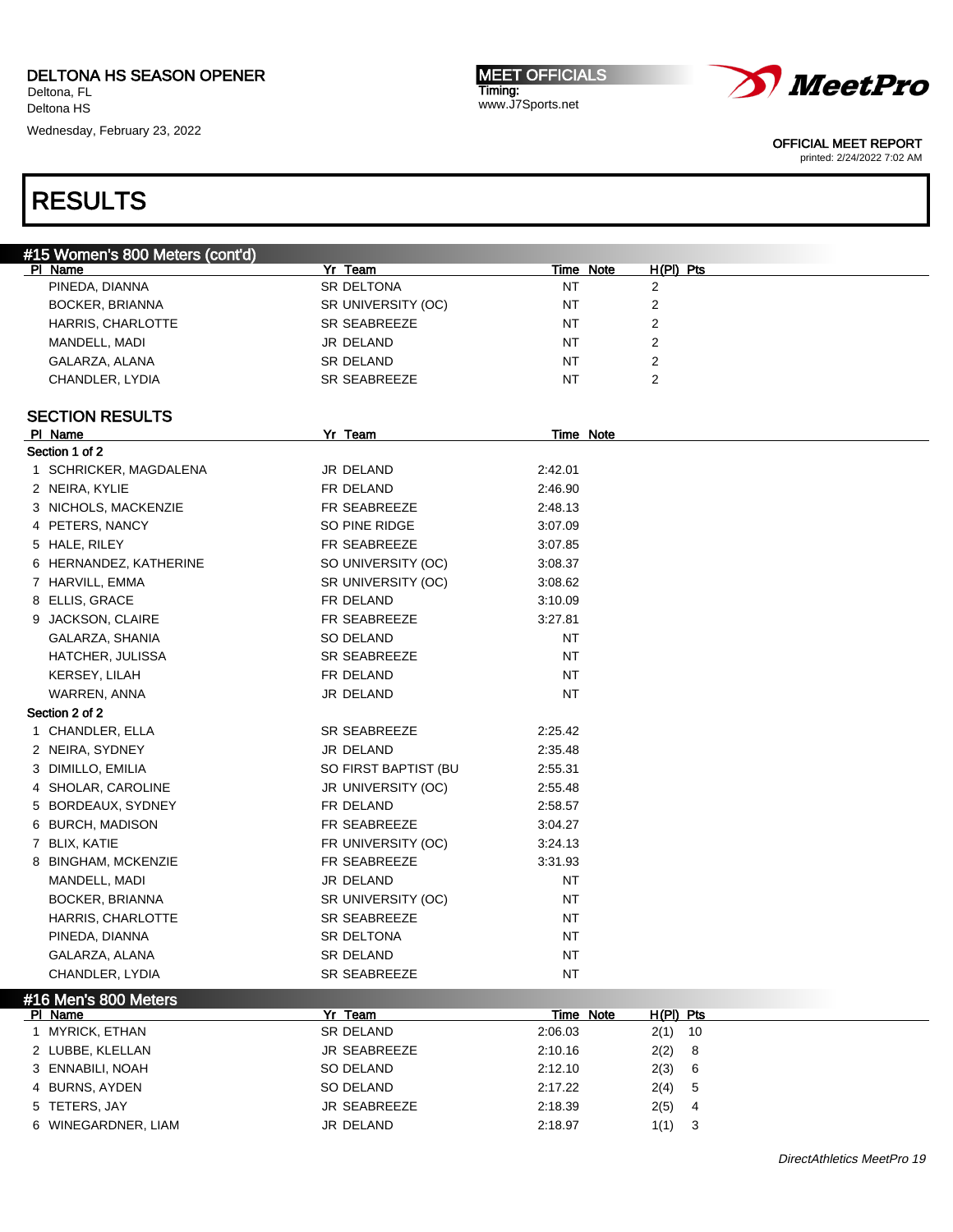Deltona HS Wednesday, February 23, 2022

MEET OFFICIALS Timing: www.J7Sports.net



OFFICIAL MEET REPORT

printed: 2/24/2022 7:02 AM

## RESULTS

| #15 Women's 800 Meters (cont'd) |                      |                  |                |  |
|---------------------------------|----------------------|------------------|----------------|--|
| PI Name                         | Yr Team              | <b>Time Note</b> | $H(PI)$ Pts    |  |
| PINEDA, DIANNA                  | SR DELTONA           | NT               | $\overline{2}$ |  |
| BOCKER, BRIANNA                 | SR UNIVERSITY (OC)   | NT               | 2              |  |
| HARRIS, CHARLOTTE               | SR SEABREEZE         | NT               | 2              |  |
| MANDELL, MADI                   | JR DELAND            | NT               | 2              |  |
| GALARZA, ALANA                  | <b>SR DELAND</b>     | NT               | 2              |  |
| CHANDLER, LYDIA                 | SR SEABREEZE         | NT               | 2              |  |
| <b>SECTION RESULTS</b>          |                      |                  |                |  |
| PI Name                         | Yr Team              | Time Note        |                |  |
| Section 1 of 2                  |                      |                  |                |  |
| 1 SCHRICKER, MAGDALENA          | JR DELAND            | 2:42.01          |                |  |
| 2 NEIRA, KYLIE                  | FR DELAND            | 2:46.90          |                |  |
| 3 NICHOLS, MACKENZIE            | FR SEABREEZE         | 2:48.13          |                |  |
| 4 PETERS, NANCY                 | SO PINE RIDGE        | 3:07.09          |                |  |
| 5 HALE, RILEY                   | FR SEABREEZE         | 3:07.85          |                |  |
| 6 HERNANDEZ, KATHERINE          | SO UNIVERSITY (OC)   | 3:08.37          |                |  |
| 7 HARVILL, EMMA                 | SR UNIVERSITY (OC)   | 3:08.62          |                |  |
| 8 ELLIS, GRACE                  | FR DELAND            | 3:10.09          |                |  |
| 9 JACKSON, CLAIRE               | FR SEABREEZE         | 3:27.81          |                |  |
| GALARZA, SHANIA                 | SO DELAND            | NT               |                |  |
| HATCHER, JULISSA                | <b>SR SEABREEZE</b>  | NT               |                |  |
| KERSEY, LILAH                   | FR DELAND            | NT               |                |  |
| WARREN, ANNA                    | JR DELAND            | NT               |                |  |
| Section 2 of 2                  |                      |                  |                |  |
| 1 CHANDLER, ELLA                | <b>SR SEABREEZE</b>  | 2:25.42          |                |  |
| 2 NEIRA, SYDNEY                 | JR DELAND            | 2:35.48          |                |  |
| 3 DIMILLO, EMILIA               | SO FIRST BAPTIST (BU | 2:55.31          |                |  |
| 4 SHOLAR, CAROLINE              | JR UNIVERSITY (OC)   | 2:55.48          |                |  |
| 5 BORDEAUX, SYDNEY              | FR DELAND            | 2:58.57          |                |  |
| 6 BURCH, MADISON                | FR SEABREEZE         | 3:04.27          |                |  |
| 7 BLIX, KATIE                   | FR UNIVERSITY (OC)   | 3:24.13          |                |  |
| 8 BINGHAM, MCKENZIE             | FR SEABREEZE         | 3.31.93          |                |  |
| MANDELL, MADI                   | JR DELAND            | NT               |                |  |
| BOCKER, BRIANNA                 | SR UNIVERSITY (OC)   | NT               |                |  |
| HARRIS, CHARLOTTE               | <b>SR SEABREEZE</b>  | <b>NT</b>        |                |  |
| PINEDA, DIANNA                  | SR DELTONA           | NT               |                |  |
|                                 | SR DELAND            | NT               |                |  |
| GALARZA, ALANA                  | SR SEABREEZE         |                  |                |  |
| CHANDLER, LYDIA                 |                      | NT               |                |  |
| #16 Men's 800 Meters<br>PI Name | Yr Team              | Time Note        | $H(PI)$ Pts    |  |
| 1 MYRICK, ETHAN                 | SR DELAND            | 2:06.03          | 2(1)<br>10     |  |
| 2 LUBBE, KLELLAN                | JR SEABREEZE         | 2:10.16          | 2(2)<br>8      |  |
| 3 ENNABILI, NOAH                | SO DELAND            | 2:12.10          | 2(3)<br>6      |  |
|                                 |                      |                  |                |  |

4 BURNS, AYDEN SO DELAND 2:17.22 2(4) 5 5 TETERS, JAY JR SEABREEZE 2:18.39 2(5) 4 6 WINEGARDNER, LIAM JR DELAND 2:18.97 1(1) 3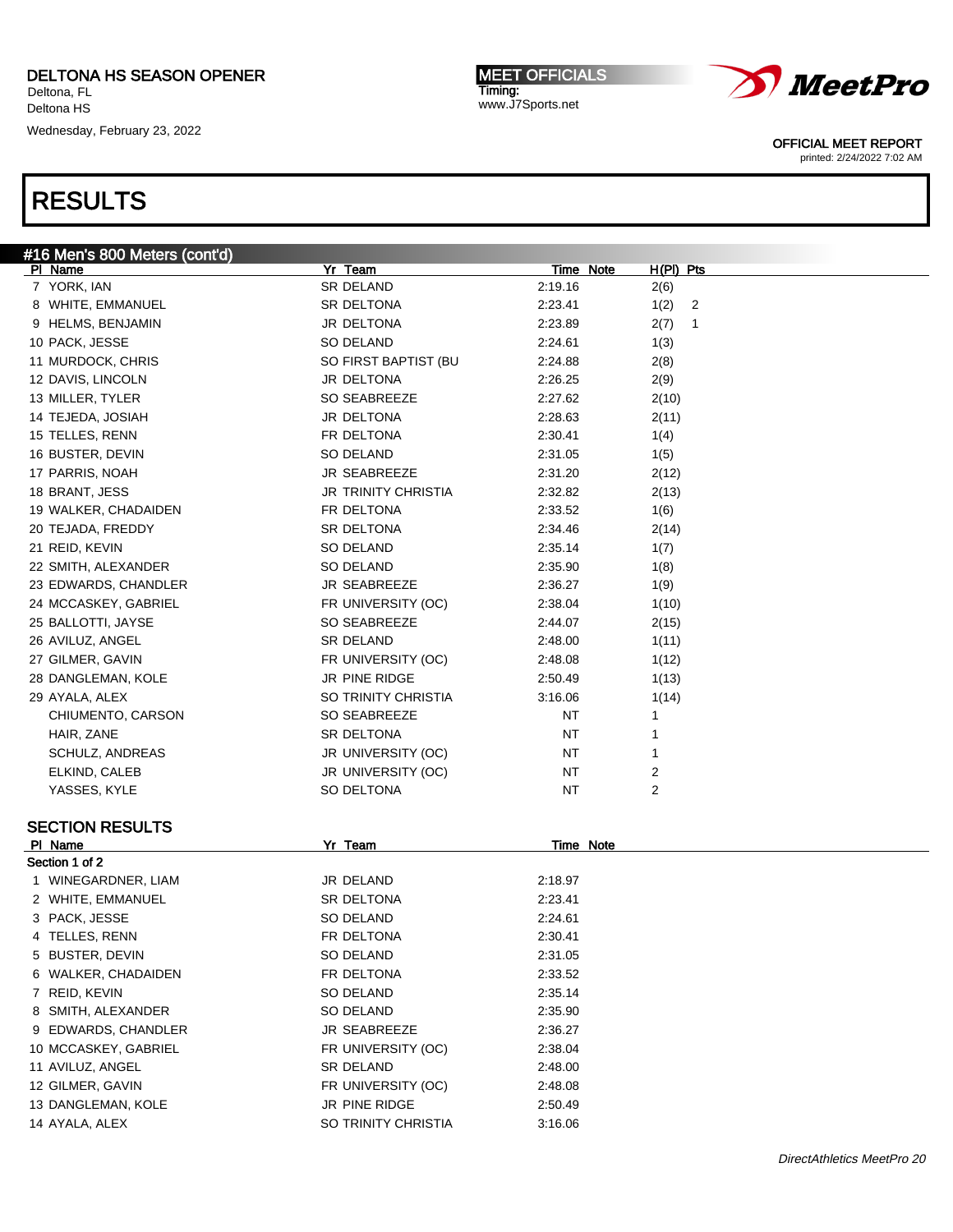Wednesday, February 23, 2022

MEET OFFICIALS Timing: www.J7Sports.net



OFFICIAL MEET REPORT

printed: 2/24/2022 7:02 AM

| #16 Men's 800 Meters (cont'd) |                            |                  |             |
|-------------------------------|----------------------------|------------------|-------------|
| PI Name                       | Yr Team                    | Time Note        | $H(PI)$ Pts |
| 7 YORK, IAN                   | SR DELAND                  | 2:19.16          | 2(6)        |
| 8 WHITE, EMMANUEL             | SR DELTONA                 | 2:23.41          | 1(2)<br>2   |
| 9 HELMS, BENJAMIN             | JR DELTONA                 | 2:23.89          | 2(7)<br>1   |
| 10 PACK, JESSE                | SO DELAND                  | 2:24.61          | 1(3)        |
| 11 MURDOCK, CHRIS             | SO FIRST BAPTIST (BU       | 2:24.88          | 2(8)        |
| 12 DAVIS, LINCOLN             | JR DELTONA                 | 2:26.25          | 2(9)        |
| 13 MILLER, TYLER              | SO SEABREEZE               | 2:27.62          | 2(10)       |
| 14 TEJEDA, JOSIAH             | JR DELTONA                 | 2:28.63          | 2(11)       |
| 15 TELLES, RENN               | FR DELTONA                 | 2:30.41          | 1(4)        |
| 16 BUSTER, DEVIN              | SO DELAND                  | 2:31.05          | 1(5)        |
| 17 PARRIS, NOAH               | JR SEABREEZE               | 2:31.20          | 2(12)       |
| 18 BRANT, JESS                | <b>JR TRINITY CHRISTIA</b> | 2:32.82          | 2(13)       |
| 19 WALKER, CHADAIDEN          | FR DELTONA                 | 2:33.52          | 1(6)        |
| 20 TEJADA, FREDDY             | SR DELTONA                 | 2:34.46          | 2(14)       |
| 21 REID, KEVIN                | SO DELAND                  | 2:35.14          | 1(7)        |
| 22 SMITH, ALEXANDER           | <b>SO DELAND</b>           | 2:35.90          | 1(8)        |
| 23 EDWARDS, CHANDLER          | JR SEABREEZE               | 2:36.27          | 1(9)        |
| 24 MCCASKEY, GABRIEL          | FR UNIVERSITY (OC)         | 2:38.04          | 1(10)       |
| 25 BALLOTTI, JAYSE            | SO SEABREEZE               | 2:44.07          | 2(15)       |
| 26 AVILUZ, ANGEL              | <b>SR DELAND</b>           | 2:48.00          | 1(11)       |
| 27 GILMER, GAVIN              | FR UNIVERSITY (OC)         | 2:48.08          | 1(12)       |
| 28 DANGLEMAN, KOLE            | JR PINE RIDGE              | 2:50.49          | 1(13)       |
| 29 AYALA, ALEX                | SO TRINITY CHRISTIA        | 3:16.06          | 1(14)       |
| CHIUMENTO, CARSON             | SO SEABREEZE               | NT               | 1           |
| HAIR, ZANE                    | SR DELTONA                 | NT               | 1           |
| SCHULZ, ANDREAS               | JR UNIVERSITY (OC)         | NT               | 1           |
| ELKIND, CALEB                 | JR UNIVERSITY (OC)         | NT               | 2           |
| YASSES, KYLE                  | SO DELTONA                 | NT               | 2           |
| <b>SECTION RESULTS</b>        |                            |                  |             |
| <b>PI Name</b>                | Yr Team                    | <b>Time Note</b> |             |
| Section 1 of 2                |                            |                  |             |
| 1 WINEGARDNER, LIAM           | JR DELAND                  | 2:18.97          |             |
| 2 WHITE, EMMANUEL             | SR DELTONA                 | 2:23.41          |             |
| 3 PACK, JESSE                 | SO DELAND                  | 2:24.61          |             |
| 4 TELLES, RENN                | FR DELTONA                 | 2:30.41          |             |
| 5 BUSTER, DEVIN               | SO DELAND                  | 2:31.05          |             |
| 6 WALKER, CHADAIDEN           | FR DELTONA                 | 2:33.52          |             |
| 7 REID, KEVIN                 | SO DELAND                  | 2:35.14          |             |
| 8 SMITH, ALEXANDER            | SO DELAND                  | 2:35.90          |             |
| 9 EDWARDS, CHANDLER           | JR SEABREEZE               | 2:36.27          |             |
| 10 MCCASKEY, GABRIEL          | FR UNIVERSITY (OC)         | 2:38.04          |             |
| 11 AVILUZ, ANGEL              | SR DELAND                  | 2:48.00          |             |
| 12 GILMER, GAVIN              | FR UNIVERSITY (OC)         | 2:48.08          |             |
| 13 DANGLEMAN, KOLE            | JR PINE RIDGE              | 2:50.49          |             |
| 14 AYALA, ALEX                | SO TRINITY CHRISTIA        | 3:16.06          |             |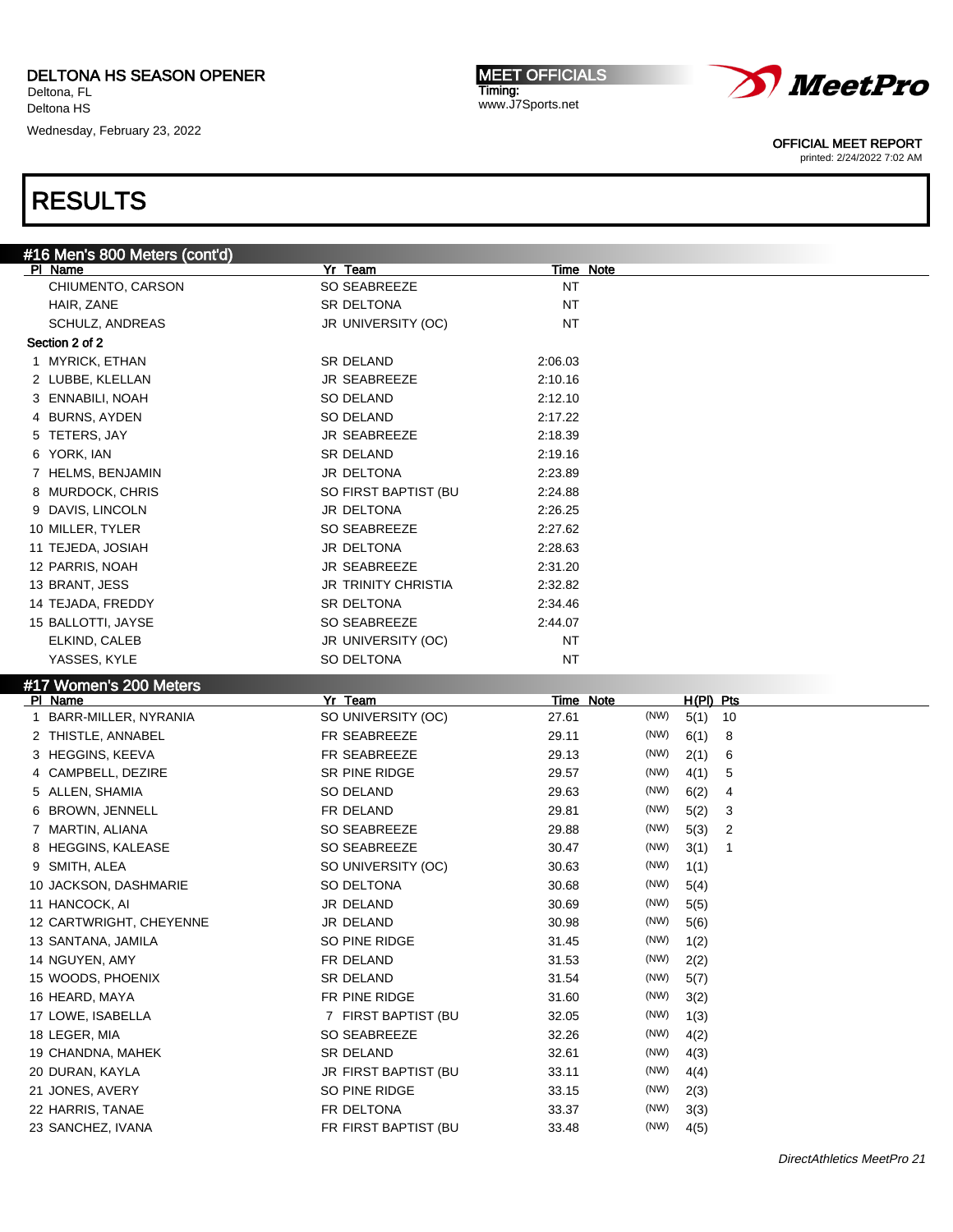Deltona HS Wednesday, February 23, 2022

MEET OFFICIALS Timing: www.J7Sports.net



OFFICIAL MEET REPORT

printed: 2/24/2022 7:02 AM

| #16 Men's 800 Meters (cont'd)     |                               |                           |                                 |
|-----------------------------------|-------------------------------|---------------------------|---------------------------------|
| PI Name                           | Yr Team                       | Time Note                 |                                 |
| CHIUMENTO, CARSON                 | SO SEABREEZE                  | NT                        |                                 |
| HAIR, ZANE                        | <b>SR DELTONA</b>             | <b>NT</b>                 |                                 |
| <b>SCHULZ, ANDREAS</b>            | JR UNIVERSITY (OC)            | <b>NT</b>                 |                                 |
| Section 2 of 2                    |                               |                           |                                 |
| 1 MYRICK, ETHAN                   | SR DELAND                     | 2:06.03                   |                                 |
| 2 LUBBE, KLELLAN                  | <b>JR SEABREEZE</b>           | 2:10.16                   |                                 |
| 3 ENNABILI, NOAH                  | SO DELAND                     | 2:12.10                   |                                 |
| 4 BURNS, AYDEN                    | SO DELAND                     | 2:17.22                   |                                 |
| 5 TETERS, JAY                     | JR SEABREEZE                  | 2:18.39                   |                                 |
| 6 YORK, IAN                       | <b>SR DELAND</b>              | 2:19.16                   |                                 |
| 7 HELMS, BENJAMIN                 | JR DELTONA                    | 2:23.89                   |                                 |
| 8 MURDOCK, CHRIS                  | SO FIRST BAPTIST (BU          | 2:24.88                   |                                 |
| 9 DAVIS, LINCOLN                  | JR DELTONA                    | 2:26.25                   |                                 |
| 10 MILLER, TYLER                  | SO SEABREEZE                  | 2:27.62                   |                                 |
| 11 TEJEDA, JOSIAH                 | JR DELTONA                    | 2:28.63                   |                                 |
| 12 PARRIS, NOAH                   | JR SEABREEZE                  | 2:31.20                   |                                 |
| 13 BRANT, JESS                    | <b>JR TRINITY CHRISTIA</b>    | 2:32.82                   |                                 |
| 14 TEJADA, FREDDY                 | <b>SR DELTONA</b>             | 2:34.46                   |                                 |
| 15 BALLOTTI, JAYSE                | SO SEABREEZE                  | 2:44.07                   |                                 |
| ELKIND, CALEB                     | JR UNIVERSITY (OC)            | <b>NT</b>                 |                                 |
| YASSES, KYLE                      | SO DELTONA                    | ΝT                        |                                 |
|                                   |                               |                           |                                 |
| #17 Women's 200 Meters            |                               |                           |                                 |
| PI Name<br>1 BARR-MILLER, NYRANIA | Yr Team<br>SO UNIVERSITY (OC) | <b>Time Note</b><br>27.61 | H(PI) Pts<br>(NW)<br>5(1)<br>10 |
| 2 THISTLE, ANNABEL                | FR SEABREEZE                  | 29.11                     | (NW)<br>6(1)<br>8               |
| 3 HEGGINS, KEEVA                  | FR SEABREEZE                  | 29.13                     | (NW)<br>2(1)                    |
| 4 CAMPBELL, DEZIRE                | SR PINE RIDGE                 |                           | 6<br>(NW)                       |
|                                   |                               | 29.57                     | 4(1)<br>5                       |
| 5 ALLEN, SHAMIA                   | SO DELAND                     | 29.63                     | (NW)<br>6(2)<br>4               |
| 6 BROWN, JENNELL                  | FR DELAND                     | 29.81                     | (NW)<br>5(2)<br>3               |
| 7 MARTIN, ALIANA                  | SO SEABREEZE                  | 29.88                     | (NW)<br>5(3)<br>2               |
| 8 HEGGINS, KALEASE                | SO SEABREEZE                  | 30.47                     | (NW)<br>3(1)<br>1               |
| 9 SMITH, ALEA                     | SO UNIVERSITY (OC)            | 30.63                     | (NW)<br>1(1)                    |
| 10 JACKSON, DASHMARIE             | SO DELTONA                    | 30.68                     | (NW)<br>5(4)                    |
| 11 HANCOCK, AI                    | JR DELAND                     | 30.69                     | (NW)<br>5(5)                    |
| 12 CARTWRIGHT, CHEYENNE           | JR DELAND                     | 30.98                     | (NW)<br>5(6)                    |
| 13 SANTANA, JAMILA                | SO PINE RIDGE                 | 31.45                     | $(NW)$ 1(2)                     |
| 14 NGUYEN, AMY                    | FR DELAND                     | 31.53                     | (NW)<br>2(2)                    |
| 15 WOODS, PHOENIX                 | SR DELAND                     | 31.54                     | (NW)<br>5(7)                    |
| 16 HEARD, MAYA                    | FR PINE RIDGE                 | 31.60                     | (NW)<br>3(2)                    |
| 17 LOWE, ISABELLA                 | 7 FIRST BAPTIST (BU           | 32.05                     | (NW)<br>1(3)                    |
| 18 LEGER, MIA                     | SO SEABREEZE                  | 32.26                     | (NW)<br>4(2)                    |
| 19 CHANDNA, MAHEK                 | SR DELAND                     | 32.61                     | (NW)<br>4(3)                    |
| 20 DURAN, KAYLA                   | JR FIRST BAPTIST (BU          | 33.11                     | (NW)<br>4(4)                    |
| 21 JONES, AVERY                   | SO PINE RIDGE                 | 33.15                     | (NW)<br>2(3)                    |
| 22 HARRIS, TANAE                  | FR DELTONA                    | 33.37                     | (NW)<br>3(3)                    |
| 23 SANCHEZ, IVANA                 | FR FIRST BAPTIST (BU          | 33.48                     | (NW)<br>4(5)                    |
|                                   |                               |                           |                                 |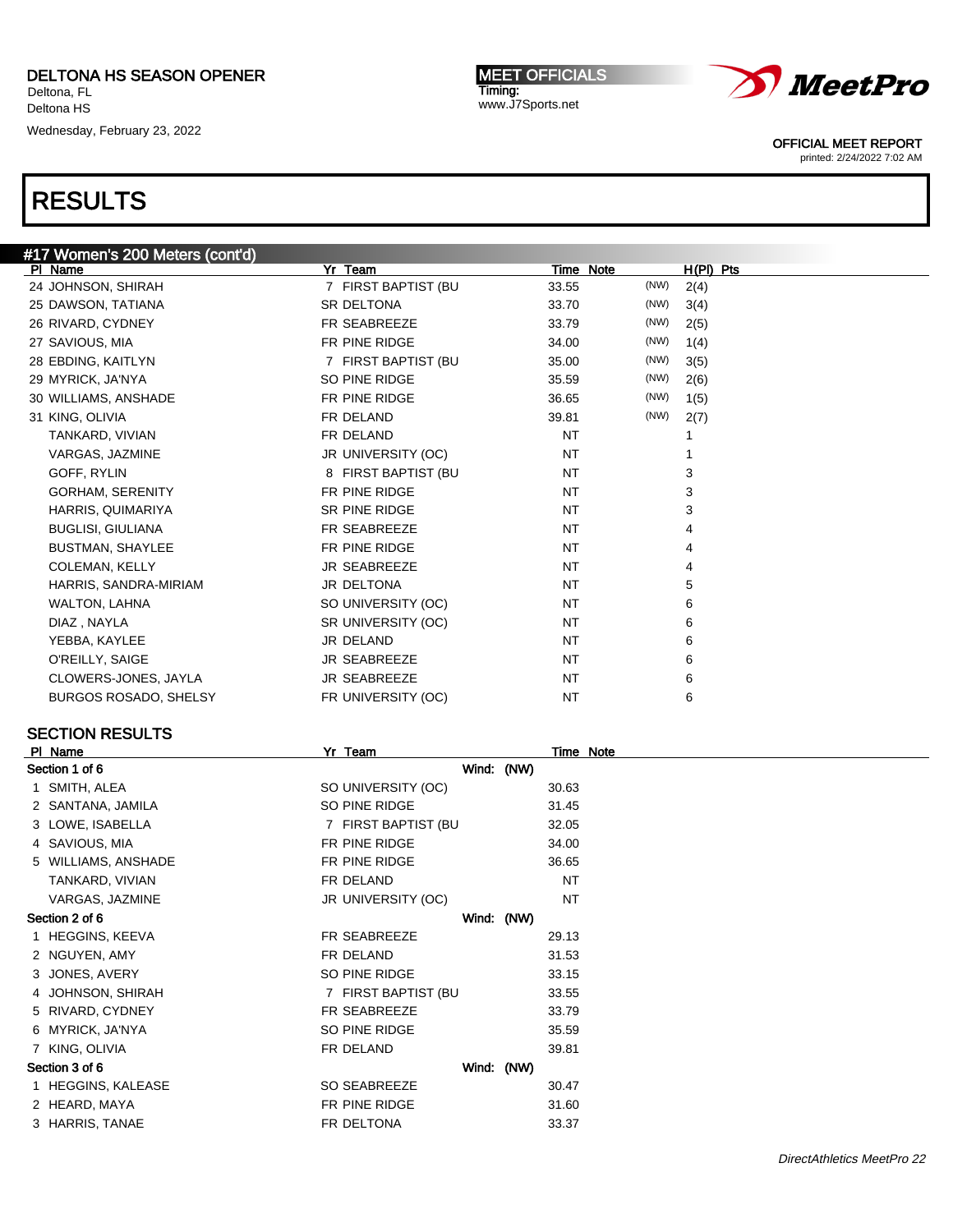Wednesday, February 23, 2022

MEET OFFICIALS Timing: www.J7Sports.net



OFFICIAL MEET REPORT

printed: 2/24/2022 7:02 AM

### RESULTS

| #17 Women's 200 Meters (cont'd) |                        |               |             |
|---------------------------------|------------------------|---------------|-------------|
| PI Name                         | Yr Team                | Time Note     | $H(PI)$ Pts |
| 24 JOHNSON, SHIRAH              | FIRST BAPTIST (BU<br>7 | (NW)<br>33.55 | 2(4)        |
| 25 DAWSON, TATIANA              | SR DELTONA             | (NW)<br>33.70 | 3(4)        |
| 26 RIVARD, CYDNEY               | FR SEABREEZE           | (NW)<br>33.79 | 2(5)        |
| 27 SAVIOUS, MIA                 | FR PINE RIDGE          | (NW)<br>34.00 | 1(4)        |
| 28 EBDING, KAITLYN              | 7 FIRST BAPTIST (BU    | (NW)<br>35.00 | 3(5)        |
| 29 MYRICK, JA'NYA               | SO PINE RIDGE          | (NW)<br>35.59 | 2(6)        |
| 30 WILLIAMS, ANSHADE            | FR PINE RIDGE          | (NW)<br>36.65 | 1(5)        |
| 31 KING, OLIVIA                 | FR DELAND              | (NW)<br>39.81 | 2(7)        |
| TANKARD, VIVIAN                 | FR DELAND              | <b>NT</b>     |             |
| VARGAS, JAZMINE                 | JR UNIVERSITY (OC)     | <b>NT</b>     |             |
| GOFF, RYLIN                     | 8 FIRST BAPTIST (BU    | <b>NT</b>     | 3           |
| <b>GORHAM, SERENITY</b>         | FR PINE RIDGE          | <b>NT</b>     | 3           |
| HARRIS, QUIMARIYA               | <b>SR PINE RIDGE</b>   | <b>NT</b>     | 3           |
| <b>BUGLISI, GIULIANA</b>        | FR SEABREEZE           | <b>NT</b>     | 4           |
| <b>BUSTMAN, SHAYLEE</b>         | FR PINE RIDGE          | <b>NT</b>     | 4           |
| <b>COLEMAN, KELLY</b>           | <b>JR SEABREEZE</b>    | <b>NT</b>     | 4           |
| HARRIS, SANDRA-MIRIAM           | JR DELTONA             | <b>NT</b>     | 5           |
| WALTON, LAHNA                   | SO UNIVERSITY (OC)     | <b>NT</b>     | 6           |
| DIAZ, NAYLA                     | SR UNIVERSITY (OC)     | <b>NT</b>     | 6           |
| YEBBA, KAYLEE                   | JR DELAND              | <b>NT</b>     | 6           |
| O'REILLY, SAIGE                 | <b>JR SEABREEZE</b>    | <b>NT</b>     | 6           |
| CLOWERS-JONES, JAYLA            | <b>JR SEABREEZE</b>    | <b>NT</b>     | 6           |
| <b>BURGOS ROSADO, SHELSY</b>    | FR UNIVERSITY (OC)     | <b>NT</b>     | 6           |
|                                 |                        |               |             |

### SECTION RESULTS

| PI Name             | Yr Team             |            | Time Note |  |
|---------------------|---------------------|------------|-----------|--|
| Section 1 of 6      |                     | Wind: (NW) |           |  |
| 1 SMITH, ALEA       | SO UNIVERSITY (OC)  |            | 30.63     |  |
| 2 SANTANA, JAMILA   | SO PINE RIDGE       |            | 31.45     |  |
| 3 LOWE, ISABELLA    | 7 FIRST BAPTIST (BU |            | 32.05     |  |
| 4 SAVIOUS, MIA      | FR PINE RIDGE       |            | 34.00     |  |
| 5 WILLIAMS, ANSHADE | FR PINE RIDGE       |            | 36.65     |  |
| TANKARD, VIVIAN     | FR DELAND           |            | <b>NT</b> |  |
| VARGAS, JAZMINE     | JR UNIVERSITY (OC)  |            | <b>NT</b> |  |
| Section 2 of 6      |                     | Wind: (NW) |           |  |
| 1 HEGGINS, KEEVA    | FR SEABREEZE        |            | 29.13     |  |
| 2 NGUYEN, AMY       | FR DELAND           |            | 31.53     |  |
| 3 JONES, AVERY      | SO PINE RIDGE       |            | 33.15     |  |
| 4 JOHNSON, SHIRAH   | 7 FIRST BAPTIST (BU |            | 33.55     |  |
| 5 RIVARD, CYDNEY    | FR SEABREEZE        |            | 33.79     |  |
| 6 MYRICK, JA'NYA    | SO PINE RIDGE       |            | 35.59     |  |
| 7 KING, OLIVIA      | FR DELAND           |            | 39.81     |  |
| Section 3 of 6      |                     | Wind: (NW) |           |  |
| 1 HEGGINS, KALEASE  | SO SEABREEZE        |            | 30.47     |  |
| 2 HEARD, MAYA       | FR PINE RIDGE       |            | 31.60     |  |
| 3 HARRIS, TANAE     | FR DELTONA          |            | 33.37     |  |
|                     |                     |            |           |  |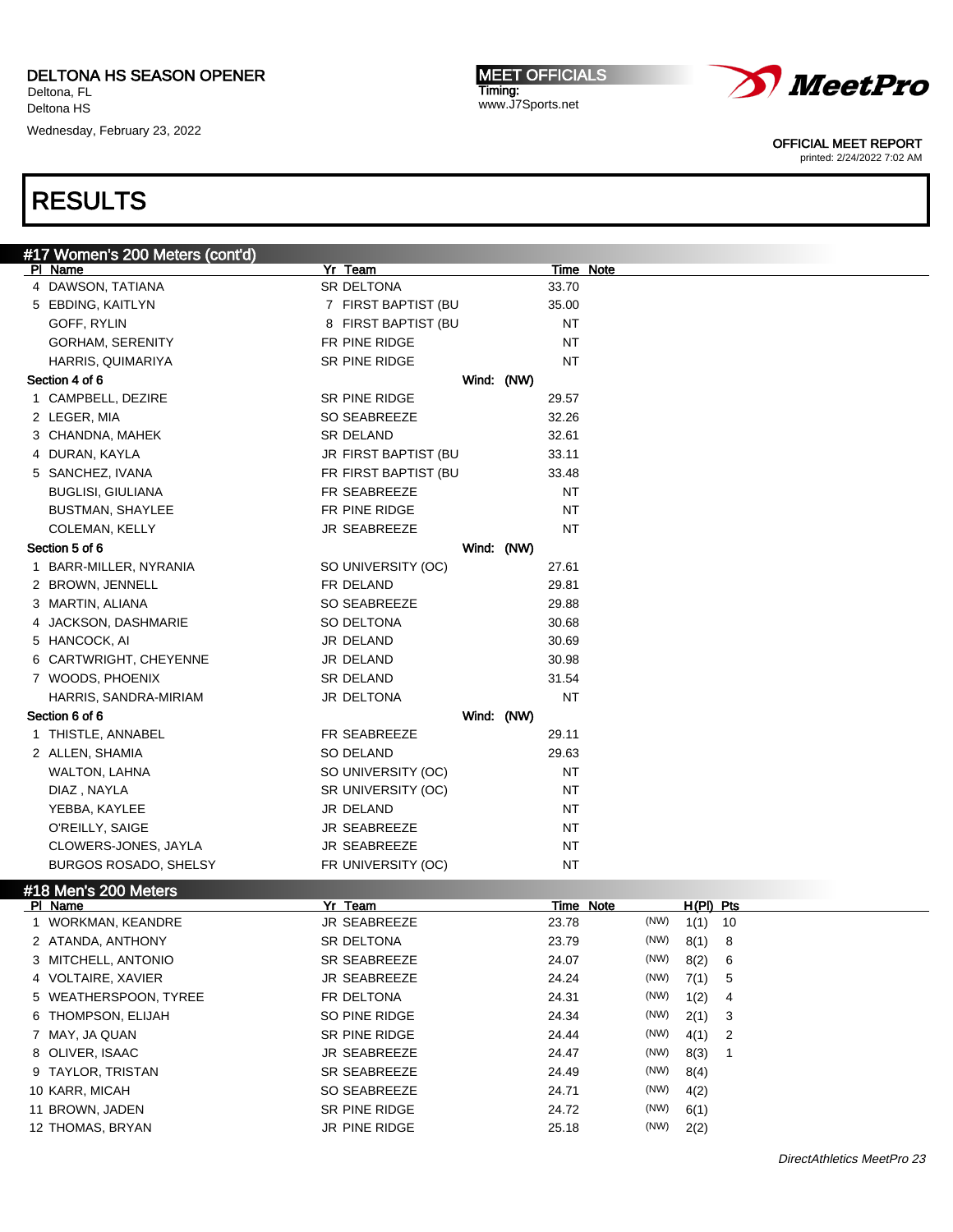Wednesday, February 23, 2022

MEET OFFICIALS Timing: www.J7Sports.net



OFFICIAL MEET REPORT

printed: 2/24/2022 7:02 AM

| #17 Women's 200 Meters (cont'd) |                      |            |                  |      |             |    |  |  |
|---------------------------------|----------------------|------------|------------------|------|-------------|----|--|--|
| PI Name                         | Yr Team              |            | Time Note        |      |             |    |  |  |
| 4 DAWSON, TATIANA               | SR DELTONA           |            | 33.70            |      |             |    |  |  |
| 5 EBDING, KAITLYN               | 7 FIRST BAPTIST (BU  |            | 35.00            |      |             |    |  |  |
| GOFF, RYLIN                     | 8 FIRST BAPTIST (BU  |            | ΝT               |      |             |    |  |  |
| <b>GORHAM, SERENITY</b>         | FR PINE RIDGE        |            | ΝT               |      |             |    |  |  |
| HARRIS, QUIMARIYA               | SR PINE RIDGE        |            | NT               |      |             |    |  |  |
| Section 4 of 6                  |                      | Wind: (NW) |                  |      |             |    |  |  |
| 1 CAMPBELL, DEZIRE              | SR PINE RIDGE        |            | 29.57            |      |             |    |  |  |
| 2 LEGER, MIA                    | <b>SO SEABREEZE</b>  |            | 32.26            |      |             |    |  |  |
| 3 CHANDNA, MAHEK                | SR DELAND            |            | 32.61            |      |             |    |  |  |
| 4 DURAN, KAYLA                  | JR FIRST BAPTIST (BU |            | 33.11            |      |             |    |  |  |
| 5 SANCHEZ, IVANA                | FR FIRST BAPTIST (BU |            | 33.48            |      |             |    |  |  |
| <b>BUGLISI, GIULIANA</b>        | FR SEABREEZE         |            | ΝT               |      |             |    |  |  |
| <b>BUSTMAN, SHAYLEE</b>         | FR PINE RIDGE        |            | ΝT               |      |             |    |  |  |
| COLEMAN, KELLY                  | JR SEABREEZE         |            | <b>NT</b>        |      |             |    |  |  |
| Section 5 of 6                  |                      | Wind: (NW) |                  |      |             |    |  |  |
| 1 BARR-MILLER, NYRANIA          | SO UNIVERSITY (OC)   |            | 27.61            |      |             |    |  |  |
| 2 BROWN, JENNELL                | FR DELAND            |            | 29.81            |      |             |    |  |  |
| 3 MARTIN, ALIANA                | SO SEABREEZE         |            | 29.88            |      |             |    |  |  |
| 4 JACKSON, DASHMARIE            | SO DELTONA           |            | 30.68            |      |             |    |  |  |
| 5 HANCOCK, AI                   | JR DELAND            |            | 30.69            |      |             |    |  |  |
| 6 CARTWRIGHT, CHEYENNE          | JR DELAND            |            | 30.98            |      |             |    |  |  |
| 7 WOODS, PHOENIX                | SR DELAND            |            | 31.54            |      |             |    |  |  |
| HARRIS, SANDRA-MIRIAM           | JR DELTONA           |            | <b>NT</b>        |      |             |    |  |  |
| Section 6 of 6                  |                      | Wind: (NW) |                  |      |             |    |  |  |
|                                 |                      |            |                  |      |             |    |  |  |
| 1 THISTLE, ANNABEL              | FR SEABREEZE         |            | 29.11            |      |             |    |  |  |
| 2 ALLEN, SHAMIA                 | SO DELAND            |            | 29.63            |      |             |    |  |  |
| WALTON, LAHNA                   | SO UNIVERSITY (OC)   |            | ΝT               |      |             |    |  |  |
| DIAZ, NAYLA                     | SR UNIVERSITY (OC)   |            | ΝT               |      |             |    |  |  |
| YEBBA, KAYLEE                   | JR DELAND            |            | ΝT               |      |             |    |  |  |
| O'REILLY, SAIGE                 | JR SEABREEZE         |            | ΝT               |      |             |    |  |  |
| CLOWERS-JONES, JAYLA            | JR SEABREEZE         |            | ΝT               |      |             |    |  |  |
| <b>BURGOS ROSADO, SHELSY</b>    | FR UNIVERSITY (OC)   |            | ΝT               |      |             |    |  |  |
| #18 Men's 200 Meters            |                      |            |                  |      |             |    |  |  |
| PI Name                         | Yr Team              |            | <b>Time Note</b> |      | $H(PI)$ Pts |    |  |  |
| 1 WORKMAN, KEANDRE              | JR SEABREEZE         |            | 23.78            | (NW) | 1(1)        | 10 |  |  |
| 2 ATANDA, ANTHONY               | SR DELTONA           |            | 23.79            | (NW) | 8(1)        | 8  |  |  |
| 3 MITCHELL, ANTONIO             | SR SEABREEZE         |            | 24.07            | (NW) | 8(2)        | 6  |  |  |
| 4 VOLTAIRE, XAVIER              | <b>JR SEABREEZE</b>  |            | 24.24            | (NW) | 7(1)        | 5  |  |  |
| 5 WEATHERSPOON, TYREE           | FR DELTONA           |            | 24.31            | (NW) | 1(2)        | 4  |  |  |
| 6 THOMPSON, ELIJAH              | SO PINE RIDGE        |            | 24.34            | (NW) | 2(1)        | 3  |  |  |
| 7 MAY, JA QUAN                  | SR PINE RIDGE        |            | 24.44            | (NW) | 4(1)        | 2  |  |  |
| 8 OLIVER, ISAAC                 | <b>JR SEABREEZE</b>  |            | 24.47            | (NW) | 8(3)        | 1  |  |  |
| 9 TAYLOR, TRISTAN               | SR SEABREEZE         |            | 24.49            | (NW) | 8(4)        |    |  |  |
| 10 KARR, MICAH                  | SO SEABREEZE         |            | 24.71            | (NW) | 4(2)        |    |  |  |
| 11 BROWN, JADEN                 | SR PINE RIDGE        |            | 24.72            | (NW) | 6(1)        |    |  |  |
| 12 THOMAS, BRYAN                | JR PINE RIDGE        |            | 25.18            | (NW) | 2(2)        |    |  |  |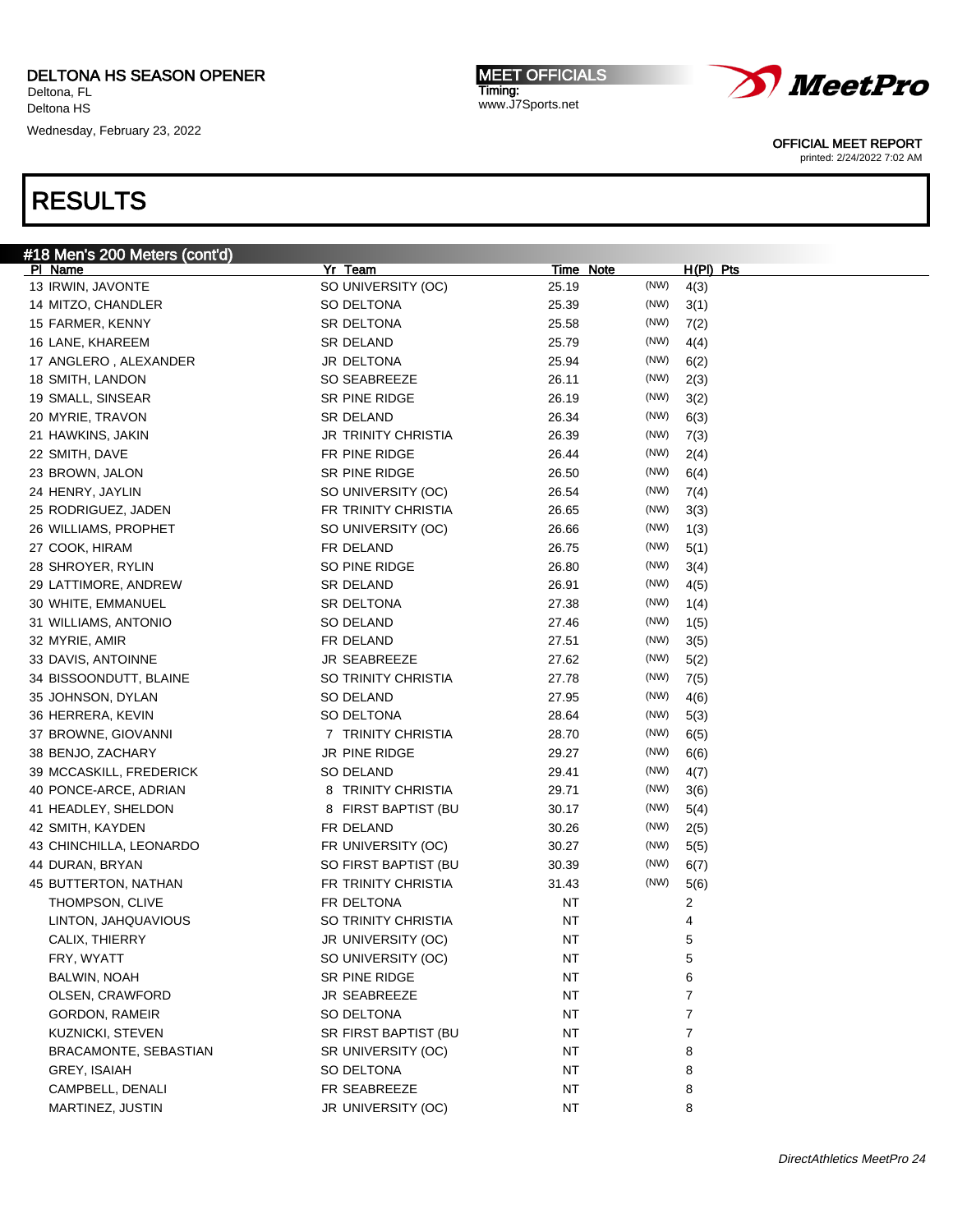Wednesday, February 23, 2022

#18 Men's 200 Meters (cont'd)

### RESULTS

| PI Name                 | Yr Team              | Time Note |      | H(PI) Pts |
|-------------------------|----------------------|-----------|------|-----------|
| 13 IRWIN, JAVONTE       | SO UNIVERSITY (OC)   | 25.19     | (NW) | 4(3)      |
| 14 MITZO, CHANDLER      | SO DELTONA           | 25.39     | (NW) | 3(1)      |
| 15 FARMER, KENNY        | SR DELTONA           | 25.58     | (NW) | 7(2)      |
| 16 LANE, KHAREEM        | SR DELAND            | 25.79     | (NW) | 4(4)      |
| 17 ANGLERO, ALEXANDER   | JR DELTONA           | 25.94     | (NW) | 6(2)      |
| 18 SMITH, LANDON        | SO SEABREEZE         | 26.11     | (NW) | 2(3)      |
| 19 SMALL, SINSEAR       | SR PINE RIDGE        | 26.19     | (NW) | 3(2)      |
| 20 MYRIE, TRAVON        | SR DELAND            | 26.34     | (NW) | 6(3)      |
| 21 HAWKINS, JAKIN       | JR TRINITY CHRISTIA  | 26.39     | (NW) | 7(3)      |
| 22 SMITH, DAVE          | FR PINE RIDGE        | 26.44     | (NW) | 2(4)      |
| 23 BROWN, JALON         | SR PINE RIDGE        | 26.50     | (NW) | 6(4)      |
| 24 HENRY, JAYLIN        | SO UNIVERSITY (OC)   | 26.54     | (NW) | 7(4)      |
| 25 RODRIGUEZ, JADEN     | FR TRINITY CHRISTIA  | 26.65     | (NW) | 3(3)      |
| 26 WILLIAMS, PROPHET    | SO UNIVERSITY (OC)   | 26.66     | (NW) | 1(3)      |
| 27 COOK, HIRAM          | FR DELAND            | 26.75     | (NW) | 5(1)      |
| 28 SHROYER, RYLIN       | SO PINE RIDGE        | 26.80     | (NW) | 3(4)      |
| 29 LATTIMORE, ANDREW    | SR DELAND            | 26.91     | (NW) | 4(5)      |
| 30 WHITE, EMMANUEL      | SR DELTONA           | 27.38     | (NW) | 1(4)      |
| 31 WILLIAMS, ANTONIO    | SO DELAND            | 27.46     | (NW) | 1(5)      |
| 32 MYRIE, AMIR          | FR DELAND            | 27.51     | (NW) | 3(5)      |
| 33 DAVIS, ANTOINNE      | JR SEABREEZE         | 27.62     | (NW) | 5(2)      |
| 34 BISSOONDUTT, BLAINE  | SO TRINITY CHRISTIA  | 27.78     | (NW) | 7(5)      |
| 35 JOHNSON, DYLAN       | SO DELAND            | 27.95     | (NW) | 4(6)      |
| 36 HERRERA, KEVIN       | SO DELTONA           | 28.64     | (NW) | 5(3)      |
| 37 BROWNE, GIOVANNI     | 7 TRINITY CHRISTIA   | 28.70     | (NW) | 6(5)      |
| 38 BENJO, ZACHARY       | JR PINE RIDGE        | 29.27     | (NW) | 6(6)      |
| 39 MCCASKILL, FREDERICK | SO DELAND            | 29.41     | (NW) | 4(7)      |
| 40 PONCE-ARCE, ADRIAN   | 8 TRINITY CHRISTIA   | 29.71     | (NW) | 3(6)      |
| 41 HEADLEY, SHELDON     | 8 FIRST BAPTIST (BU  | 30.17     | (NW) | 5(4)      |
| 42 SMITH, KAYDEN        | FR DELAND            | 30.26     | (NW) | 2(5)      |
| 43 CHINCHILLA, LEONARDO | FR UNIVERSITY (OC)   | 30.27     | (NW) | 5(5)      |
| 44 DURAN, BRYAN         | SO FIRST BAPTIST (BU | 30.39     | (NW) | 6(7)      |
| 45 BUTTERTON, NATHAN    | FR TRINITY CHRISTIA  | 31.43     | (NW) | 5(6)      |
| THOMPSON, CLIVE         | FR DELTONA           | <b>NT</b> |      | 2         |
| LINTON, JAHQUAVIOUS     | SO TRINITY CHRISTIA  | ΝT        |      | 4         |
| CALIX, THIERRY          | JR UNIVERSITY (OC)   | ΝT        |      | 5         |
| FRY, WYATT              | SO UNIVERSITY (OC)   | ΝT        |      | 5         |
| BALWIN, NOAH            | SR PINE RIDGE        | NT        |      | 6         |
| OLSEN, CRAWFORD         | JR SEABREEZE         | <b>NT</b> |      | 7         |
| GORDON, RAMEIR          | SO DELTONA           | <b>NT</b> |      | 7         |
| KUZNICKI, STEVEN        | SR FIRST BAPTIST (BU | NT        |      | 7         |
| BRACAMONTE, SEBASTIAN   | SR UNIVERSITY (OC)   | NT        |      | 8         |
| GREY, ISAIAH            | SO DELTONA           | NT        |      | 8         |
| CAMPBELL, DENALI        | FR SEABREEZE         | NT        |      | 8         |
| MARTINEZ, JUSTIN        | JR UNIVERSITY (OC)   | <b>NT</b> |      | 8         |
|                         |                      |           |      |           |

MEET OFFICIALS Timing: www.J7Sports.net



OFFICIAL MEET REPORT

printed: 2/24/2022 7:02 AM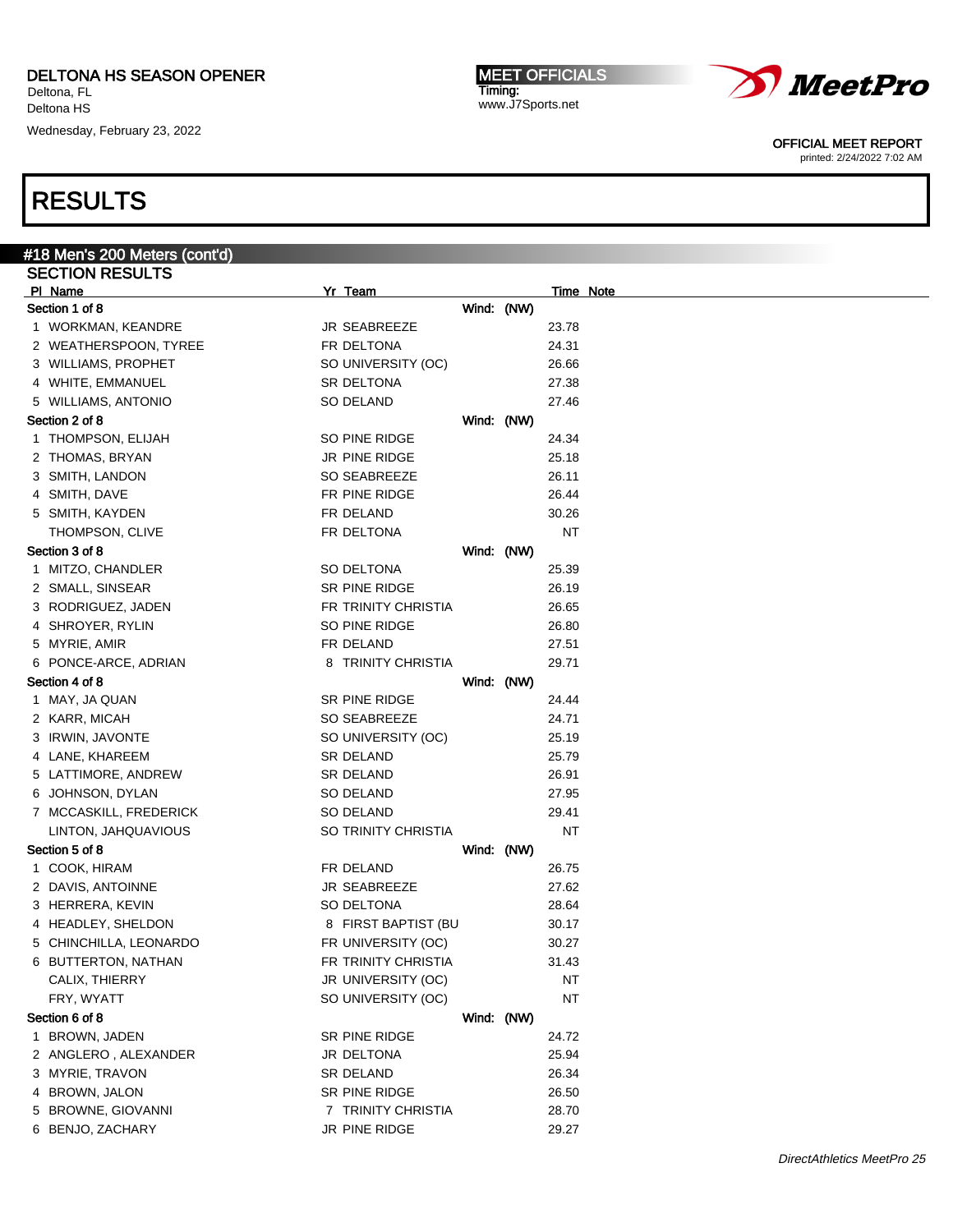Deltona HS Wednesday, February 23, 2022

MEET OFFICIALS Timing: www.J7Sports.net



OFFICIAL MEET REPORT

printed: 2/24/2022 7:02 AM

| #18 Men's 200 Meters (cont'd)     |                     |                     |            |                  |  |
|-----------------------------------|---------------------|---------------------|------------|------------------|--|
| <b>SECTION RESULTS</b>            |                     |                     |            |                  |  |
| PI Name                           | Yr Team             |                     |            | <b>Time Note</b> |  |
| Section 1 of 8                    |                     |                     | Wind: (NW) |                  |  |
| 1 WORKMAN, KEANDRE                | JR SEABREEZE        |                     |            | 23.78            |  |
| 2 WEATHERSPOON, TYREE             | FR DELTONA          |                     |            | 24.31            |  |
| 3 WILLIAMS, PROPHET               |                     | SO UNIVERSITY (OC)  |            | 26.66            |  |
| 4 WHITE, EMMANUEL                 | SR DELTONA          |                     |            | 27.38            |  |
| 5 WILLIAMS, ANTONIO               | SO DELAND           |                     |            | 27.46            |  |
| Section 2 of 8                    |                     |                     | Wind: (NW) |                  |  |
| 1 THOMPSON, ELIJAH                | SO PINE RIDGE       |                     |            | 24.34            |  |
| 2 THOMAS, BRYAN                   | JR PINE RIDGE       |                     |            | 25.18            |  |
| 3 SMITH, LANDON                   | SO SEABREEZE        |                     |            | 26.11            |  |
| 4 SMITH, DAVE                     | FR PINE RIDGE       |                     |            | 26.44            |  |
| 5 SMITH, KAYDEN                   | FR DELAND           |                     |            | 30.26            |  |
| THOMPSON, CLIVE                   | FR DELTONA          |                     |            | <b>NT</b>        |  |
| Section 3 of 8                    |                     |                     | Wind: (NW) |                  |  |
| 1 MITZO, CHANDLER                 | SO DELTONA          |                     |            | 25.39            |  |
| 2 SMALL, SINSEAR                  | SR PINE RIDGE       |                     |            | 26.19            |  |
| 3 RODRIGUEZ, JADEN                |                     | FR TRINITY CHRISTIA |            | 26.65            |  |
|                                   | SO PINE RIDGE       |                     |            |                  |  |
| 4 SHROYER, RYLIN<br>5 MYRIE, AMIR | FR DELAND           |                     |            | 26.80            |  |
|                                   |                     |                     |            | 27.51            |  |
| 6 PONCE-ARCE, ADRIAN              |                     | 8 TRINITY CHRISTIA  |            | 29.71            |  |
| Section 4 of 8                    |                     |                     | Wind: (NW) |                  |  |
| 1 MAY, JA QUAN                    | SR PINE RIDGE       |                     |            | 24.44            |  |
| 2 KARR, MICAH                     | SO SEABREEZE        |                     |            | 24.71            |  |
| 3 IRWIN, JAVONTE                  |                     | SO UNIVERSITY (OC)  |            | 25.19            |  |
| 4 LANE, KHAREEM                   | <b>SR DELAND</b>    |                     |            | 25.79            |  |
| 5 LATTIMORE, ANDREW               | SR DELAND           |                     |            | 26.91            |  |
| 6 JOHNSON, DYLAN                  | SO DELAND           |                     |            | 27.95            |  |
| 7 MCCASKILL, FREDERICK            | SO DELAND           |                     |            | 29.41            |  |
| LINTON, JAHQUAVIOUS               |                     | SO TRINITY CHRISTIA |            | <b>NT</b>        |  |
| Section 5 of 8                    |                     |                     | Wind: (NW) |                  |  |
| 1 COOK, HIRAM                     | FR DELAND           |                     |            | 26.75            |  |
| 2 DAVIS, ANTOINNE                 | <b>JR SEABREEZE</b> |                     |            | 27.62            |  |
| 3 HERRERA, KEVIN                  | SO DELTONA          |                     |            | 28.64            |  |
| 4 HEADLEY, SHELDON                |                     | 8 FIRST BAPTIST (BU |            | 30.17            |  |
| 5 CHINCHILLA, LEONARDO            |                     | FR UNIVERSITY (OC)  |            | 30.27            |  |
| 6 BUTTERTON, NATHAN               |                     | FR TRINITY CHRISTIA |            | 31.43            |  |
| CALIX, THIERRY                    |                     |                     |            | NT               |  |
|                                   |                     | JR UNIVERSITY (OC)  |            |                  |  |
| FRY, WYATT                        |                     | SO UNIVERSITY (OC)  |            | <b>NT</b>        |  |
| Section 6 of 8                    |                     |                     | Wind: (NW) |                  |  |
| 1 BROWN, JADEN                    | SR PINE RIDGE       |                     |            | 24.72            |  |
| 2 ANGLERO, ALEXANDER              | JR DELTONA          |                     |            | 25.94            |  |
| 3 MYRIE, TRAVON                   | <b>SR DELAND</b>    |                     |            | 26.34            |  |
| 4 BROWN, JALON                    | SR PINE RIDGE       |                     |            | 26.50            |  |
| 5 BROWNE, GIOVANNI                |                     | 7 TRINITY CHRISTIA  |            | 28.70            |  |
| 6 BENJO, ZACHARY                  | JR PINE RIDGE       |                     |            | 29.27            |  |
|                                   |                     |                     |            |                  |  |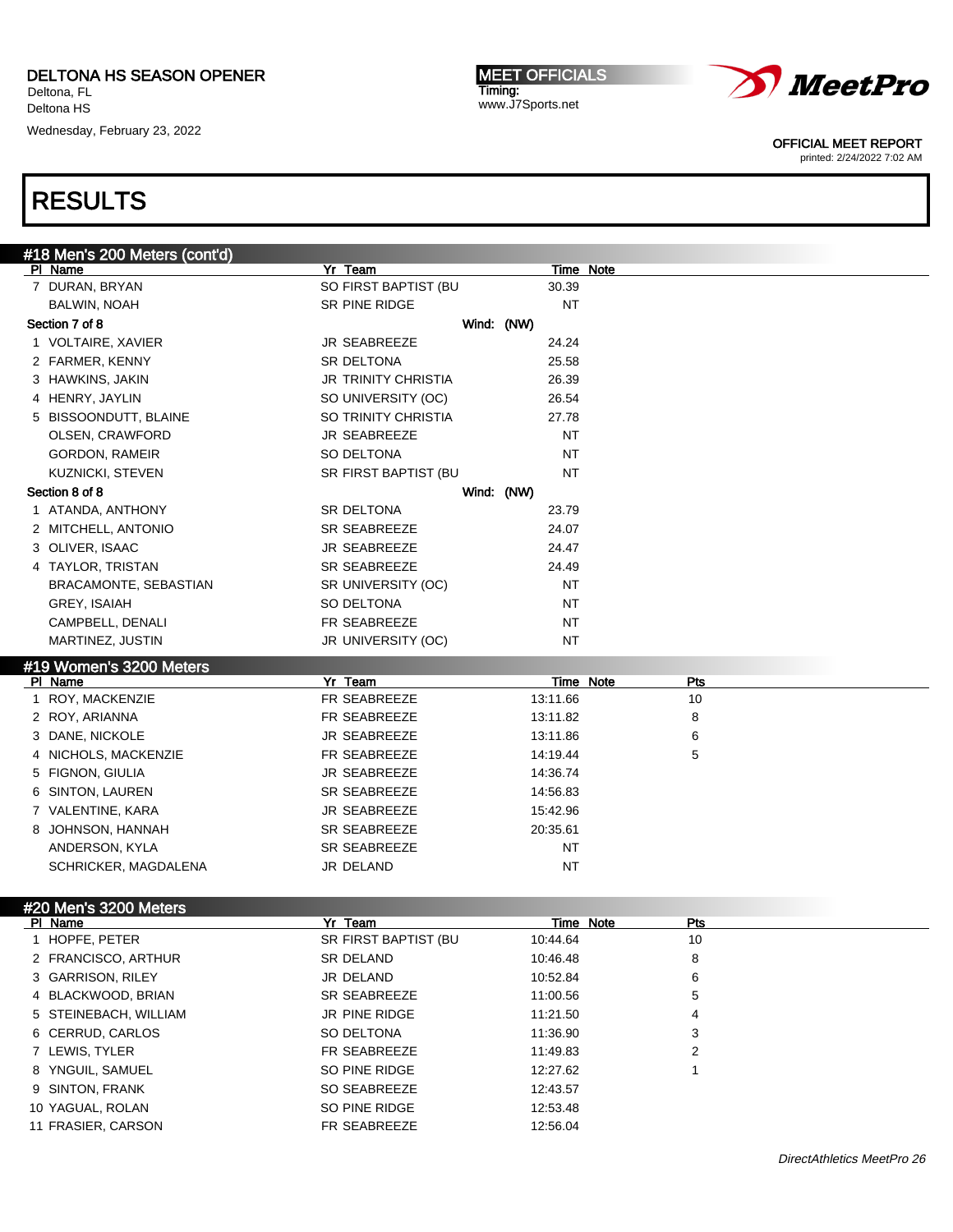Wednesday, February 23, 2022

MEET OFFICIALS Timing: www.J7Sports.net



OFFICIAL MEET REPORT

printed: 2/24/2022 7:02 AM

| #18 Men's 200 Meters (cont'd) |                            |            |           |                  |
|-------------------------------|----------------------------|------------|-----------|------------------|
| PI Name                       | Yr Team                    |            |           | Time Note        |
| 7 DURAN, BRYAN                | SO FIRST BAPTIST (BU       |            | 30.39     |                  |
| BALWIN, NOAH                  | SR PINE RIDGE              |            | <b>NT</b> |                  |
| Section 7 of 8                |                            | Wind: (NW) |           |                  |
| 1 VOLTAIRE, XAVIER            | JR SEABREEZE               |            | 24.24     |                  |
| 2 FARMER, KENNY               | <b>SR DELTONA</b>          |            | 25.58     |                  |
| 3 HAWKINS, JAKIN              | <b>JR TRINITY CHRISTIA</b> |            | 26.39     |                  |
| 4 HENRY, JAYLIN               | SO UNIVERSITY (OC)         |            | 26.54     |                  |
| 5 BISSOONDUTT, BLAINE         | SO TRINITY CHRISTIA        |            | 27.78     |                  |
| OLSEN, CRAWFORD               | JR SEABREEZE               |            | <b>NT</b> |                  |
| GORDON, RAMEIR                | SO DELTONA                 |            | <b>NT</b> |                  |
| <b>KUZNICKI, STEVEN</b>       | SR FIRST BAPTIST (BU       |            | <b>NT</b> |                  |
| Section 8 of 8                |                            | Wind: (NW) |           |                  |
| 1 ATANDA, ANTHONY             | <b>SR DELTONA</b>          |            | 23.79     |                  |
| 2 MITCHELL, ANTONIO           | SR SEABREEZE               |            | 24.07     |                  |
| 3 OLIVER, ISAAC               | <b>JR SEABREEZE</b>        |            | 24.47     |                  |
| 4 TAYLOR, TRISTAN             | <b>SR SEABREEZE</b>        |            | 24.49     |                  |
| BRACAMONTE, SEBASTIAN         | SR UNIVERSITY (OC)         |            | <b>NT</b> |                  |
| GREY, ISAIAH                  | SO DELTONA                 |            | ΝT        |                  |
| CAMPBELL, DENALI              | FR SEABREEZE               |            | <b>NT</b> |                  |
| MARTINEZ, JUSTIN              | JR UNIVERSITY (OC)         |            | NΤ        |                  |
| #19 Women's 3200 Meters       |                            |            |           |                  |
| PI Name                       | Yr Team                    |            |           | Pts<br>Time Note |
| 1 ROY, MACKENZIE              | FR SEABREEZE               |            | 13:11.66  | 10               |
| 2 ROY, ARIANNA                | FR SEABREEZE               |            | 13:11.82  | 8                |
| 3 DANE, NICKOLE               | <b>JR SEABREEZE</b>        |            | 13:11.86  | 6                |
| 4 NICHOLS, MACKENZIE          | FR SEABREEZE               |            | 14:19.44  | 5                |
| 5 FIGNON, GIULIA              | <b>JR SEABREEZE</b>        |            | 14:36.74  |                  |
| 6 SINTON, LAUREN              | <b>SR SEABREEZE</b>        |            | 14:56.83  |                  |
| 7 VALENTINE, KARA             | <b>JR SEABREEZE</b>        |            | 15:42.96  |                  |
| 8 JOHNSON, HANNAH             | <b>SR SEABREEZE</b>        |            | 20:35.61  |                  |
| ANDERSON, KYLA                | <b>SR SEABREEZE</b>        |            | ΝT        |                  |
| SCHRICKER, MAGDALENA          | JR DELAND                  |            | NΤ        |                  |
|                               |                            |            |           |                  |
| #20 Men's 3200 Meters         |                            |            |           |                  |
|                               |                            |            |           |                  |
| PI Name                       | Yr Team                    |            |           | Time Note<br>Pts |
| 1 HOPFE, PETER                | SR FIRST BAPTIST (BU       |            | 10:44.64  | 10               |
| 2 FRANCISCO, ARTHUR           | SR DELAND                  |            | 10:46.48  | 8                |
| 3 GARRISON, RILEY             | JR DELAND                  |            | 10:52.84  | 6                |
| 4 BLACKWOOD, BRIAN            | SR SEABREEZE               |            | 11:00.56  | 5                |
| 5 STEINEBACH, WILLIAM         | JR PINE RIDGE              |            | 11:21.50  | 4                |
| 6 CERRUD, CARLOS              | SO DELTONA                 |            | 11:36.90  | 3                |
| 7 LEWIS, TYLER                | FR SEABREEZE               |            | 11:49.83  | 2                |
| 8 YNGUIL, SAMUEL              | SO PINE RIDGE              |            | 12:27.62  |                  |
| 9 SINTON, FRANK               | SO SEABREEZE               |            | 12:43.57  |                  |
| 10 YAGUAL, ROLAN              | SO PINE RIDGE              |            | 12:53.48  |                  |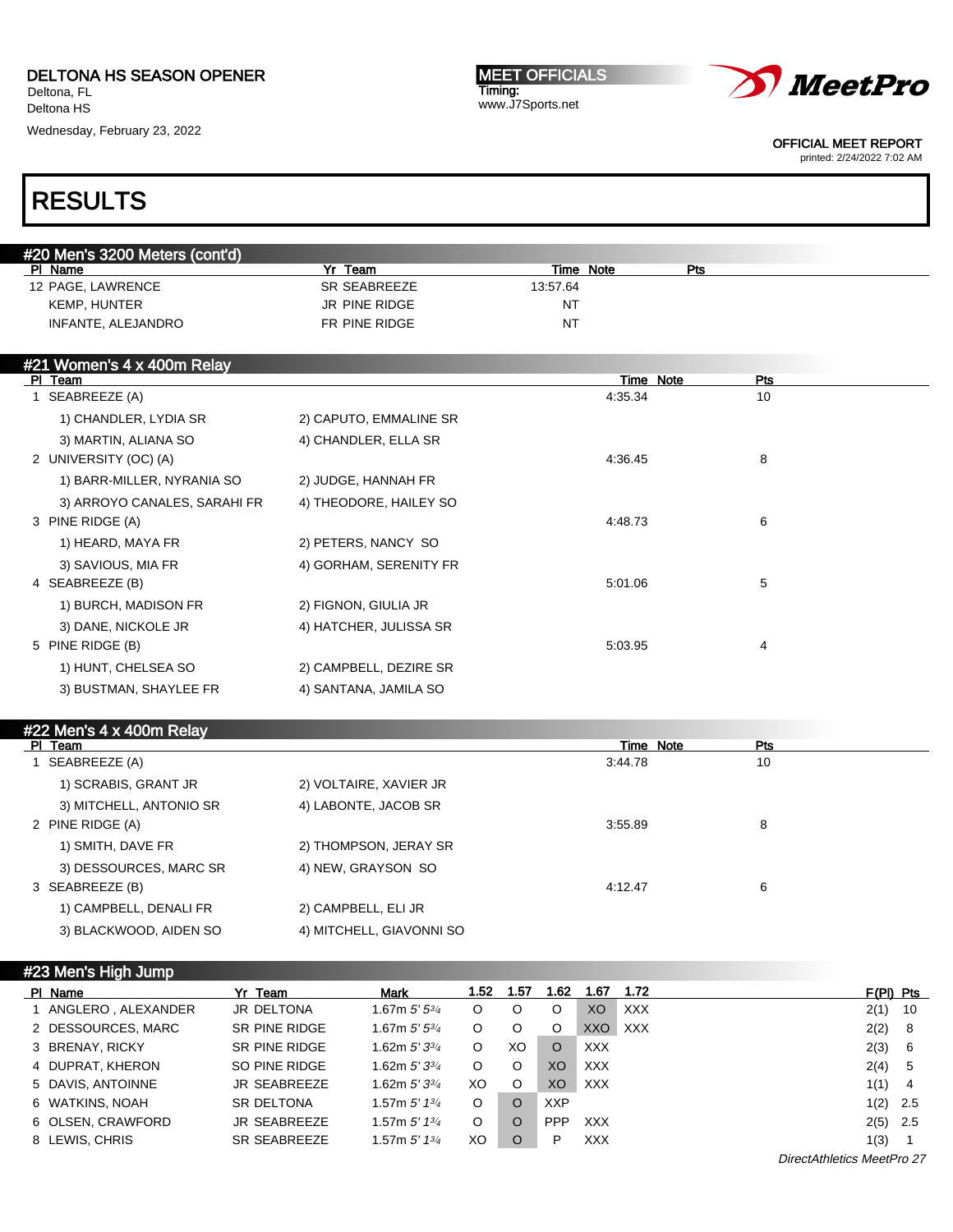Wednesday, February 23, 2022

MEET OFFICIALS Timing: www.J7Sports.net



OFFICIAL MEET REPORT

printed: 2/24/2022 7:02 AM

## RESULTS

| #20 Men's 3200 Meters (cont'd) |               |              |     |  |
|--------------------------------|---------------|--------------|-----|--|
| PI Name                        | Team          | Note<br>Time | Pts |  |
| 12 PAGE, LAWRENCE              | SR SEABREEZE  | 13:57.64     |     |  |
| <b>KEMP, HUNTER</b>            | JR PINE RIDGE | NT           |     |  |
| INFANTE, ALEJANDRO             | FR PINE RIDGE | NT.          |     |  |

| #21 Women's 4 x 400m Relay   |                        |           |            |  |
|------------------------------|------------------------|-----------|------------|--|
| PI Team                      |                        | Time Note | <b>Pts</b> |  |
| 1 SEABREEZE (A)              |                        | 4:35.34   | 10         |  |
| 1) CHANDLER, LYDIA SR        | 2) CAPUTO, EMMALINE SR |           |            |  |
| 3) MARTIN, ALIANA SO         | 4) CHANDLER, ELLA SR   |           |            |  |
| 2 UNIVERSITY (OC) (A)        |                        | 4:36.45   | 8          |  |
| 1) BARR-MILLER, NYRANIA SO   | 2) JUDGE, HANNAH FR    |           |            |  |
| 3) ARROYO CANALES, SARAHI FR | 4) THEODORE, HAILEY SO |           |            |  |
| 3 PINE RIDGE (A)             |                        | 4:48.73   | 6          |  |
| 1) HEARD, MAYA FR            | 2) PETERS, NANCY SO    |           |            |  |
| 3) SAVIOUS, MIA FR           | 4) GORHAM, SERENITY FR |           |            |  |
| 4 SEABREEZE (B)              |                        | 5:01.06   | 5          |  |
| 1) BURCH, MADISON FR         | 2) FIGNON, GIULIA JR   |           |            |  |
| 3) DANE, NICKOLE JR          | 4) HATCHER, JULISSA SR |           |            |  |
| 5 PINE RIDGE (B)             |                        | 5:03.95   | 4          |  |
| 1) HUNT, CHELSEA SO          | 2) CAMPBELL, DEZIRE SR |           |            |  |
| 3) BUSTMAN, SHAYLEE FR       | 4) SANTANA, JAMILA SO  |           |            |  |
|                              |                        |           |            |  |

### #22 Men's 4 x 400m Relay

| PI Team                 |                          | Time Note | Pts |  |
|-------------------------|--------------------------|-----------|-----|--|
| SEABREEZE (A)           |                          | 3:44.78   | 10  |  |
| 1) SCRABIS, GRANT JR    | 2) VOLTAIRE, XAVIER JR   |           |     |  |
| 3) MITCHELL, ANTONIO SR | 4) LABONTE, JACOB SR     |           |     |  |
| 2 PINE RIDGE (A)        |                          | 3:55.89   | 8   |  |
| 1) SMITH, DAVE FR       | 2) THOMPSON, JERAY SR    |           |     |  |
| 3) DESSOURCES, MARC SR  | 4) NEW, GRAYSON SO       |           |     |  |
| 3 SEABREEZE (B)         |                          | 4:12.47   | 6   |  |
| 1) CAMPBELL, DENALI FR  | 2) CAMPBELL, ELI JR      |           |     |  |
| 3) BLACKWOOD, AIDEN SO  | 4) MITCHELL, GIAVONNI SO |           |     |  |

| #23 Men's High Jump |  |
|---------------------|--|
|                     |  |

| PI Name            | Yr Team              | <b>Mark</b>                | 1.52 | 1.57     | 1.62           | 1.67       | 1.72                       | $F(PI)$ Pts |     |
|--------------------|----------------------|----------------------------|------|----------|----------------|------------|----------------------------|-------------|-----|
| ANGLERO, ALEXANDER | JR DELTONA           | 1.67m $5'5^{3/4}$          | O    |          | O              | XO         | <b>XXX</b>                 | 2(1)        | 10  |
| 2 DESSOURCES, MARC | <b>SR PINE RIDGE</b> | 1.67m $5'5^{3/4}$          | O    |          | O              | XXO        | <b>XXX</b>                 | 2(2) 8      |     |
| 3 BRENAY, RICKY    | SR PINE RIDGE        | 1.62m $5'3^{3/4}$          | O    | XO       | $\circ$        | <b>XXX</b> |                            | 2(3)        | - 6 |
| 4 DUPRAT, KHERON   | SO PINE RIDGE        | 1.62m $5'3^{3/4}$          | O    | $\circ$  | XO             | <b>XXX</b> |                            | 2(4)        | -5  |
| 5 DAVIS, ANTOINNE  | <b>JR SEABREEZE</b>  | 1.62m $5'3^{3/4}$          | XO   | $\circ$  | X <sub>O</sub> | <b>XXX</b> |                            | 1(1)        | 4   |
| 6 WATKINS, NOAH    | <b>SR DELTONA</b>    | 1.57m $5'$ 1 $\frac{3}{4}$ | O    | $\circ$  | <b>XXP</b>     |            |                            | $1(2)$ 2.5  |     |
| 6 OLSEN, CRAWFORD  | <b>JR SEABREEZE</b>  | 1.57m $5'$ 1 $\frac{3}{4}$ | O    | $\Omega$ | <b>PPP</b>     | <b>XXX</b> |                            | $2(5)$ 2.5  |     |
| 8 LEWIS, CHRIS     | SR SEABREEZE         | 1.57m $5'$ 1 $\frac{3}{4}$ | XO   | $\circ$  | P              | <b>XXX</b> |                            | 1(3)        |     |
|                    |                      |                            |      |          |                |            | DirectAthletics MeetPro 27 |             |     |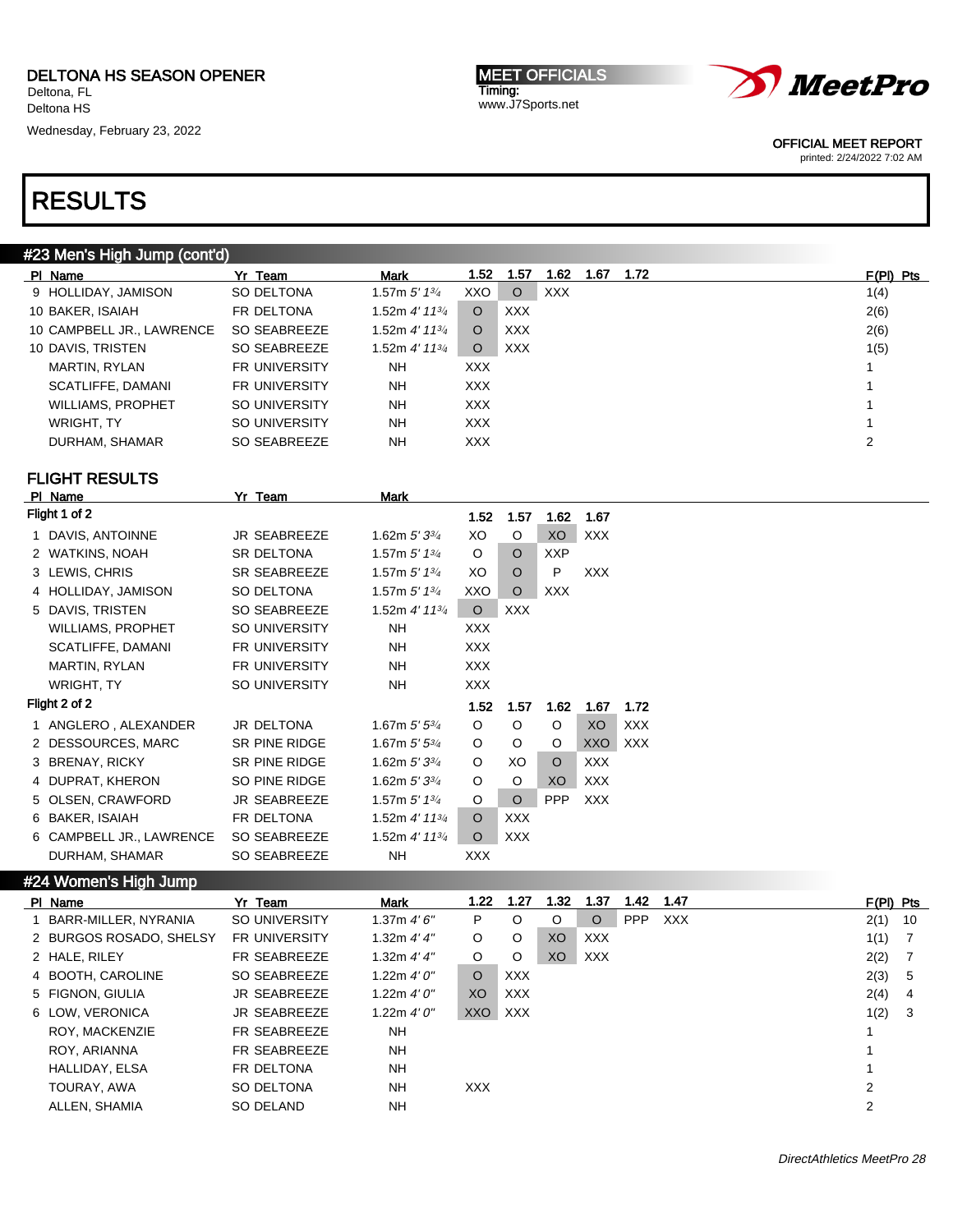Wednesday, February 23, 2022

MEET OFFICIALS Timing: www.J7Sports.net



OFFICIAL MEET REPORT

printed: 2/24/2022 7:02 AM

### RESULTS

### #23 Men's High Jump (cont'd)

| PI Name                   | Yr Team              | <b>Mark</b>                 | 1.52       | 1.57       | 1.62 | 1.67 | 1.72 | $F(PI)$ Pts |
|---------------------------|----------------------|-----------------------------|------------|------------|------|------|------|-------------|
| 9 HOLLIDAY, JAMISON       | SO DELTONA           | 1.57m $5'$ 1 $3/4$          | XXO        | $\circ$    | XXX  |      |      | 1(4)        |
| 10 BAKER, ISAIAH          | FR DELTONA           | 1.52m 4′ 11¾                | O          | <b>XXX</b> |      |      |      | 2(6)        |
| 10 CAMPBELL JR., LAWRENCE | SO SEABREEZE         | 1.52m 4' 11 $\frac{3}{4}$   | O          | <b>XXX</b> |      |      |      | 2(6)        |
| 10 DAVIS, TRISTEN         | SO SEABREEZE         | 1.52m 4' 11 <sup>3/</sup> 4 | O          | <b>XXX</b> |      |      |      | 1(5)        |
| MARTIN, RYLAN             | <b>FR UNIVERSITY</b> | NΗ                          | XXX.       |            |      |      |      |             |
| SCATLIFFE, DAMANI         | <b>FR UNIVERSITY</b> | NΗ                          | <b>XXX</b> |            |      |      |      |             |
| <b>WILLIAMS, PROPHET</b>  | SO UNIVERSITY        | <b>NH</b>                   | <b>XXX</b> |            |      |      |      |             |
| WRIGHT, TY                | SO UNIVERSITY        | NΗ                          | XXX.       |            |      |      |      |             |
| DURHAM, SHAMAR            | SO SEABREEZE         | NH                          | <b>XXX</b> |            |      |      |      | 2           |
|                           |                      |                             |            |            |      |      |      |             |

## FLIGHT RESULTS<br>PL Name

|    | PI Name                  | Yr Team              | Mark                        |                   |            |                   |            |            |
|----|--------------------------|----------------------|-----------------------------|-------------------|------------|-------------------|------------|------------|
|    | Flight 1 of 2            |                      |                             | 1.52              | 1.57       | 1.62              | 1.67       |            |
| 1. | DAVIS, ANTOINNE          | <b>JR SEABREEZE</b>  | 1.62m $5'3^{3/4}$           | XO                | O          | <b>XO</b>         | <b>XXX</b> |            |
|    | 2 WATKINS, NOAH          | <b>SR DELTONA</b>    | 1.57m $5'$ 1 $\frac{3}{4}$  | O                 | $\circ$    | <b>XXP</b>        |            |            |
|    | 3 LEWIS, CHRIS           | <b>SR SEABREEZE</b>  | 1.57m $5'$ 1 $\frac{3}{4}$  | XO                | $\Omega$   | P                 | <b>XXX</b> |            |
|    | HOLLIDAY, JAMISON        | SO DELTONA           | 1.57m $5'$ 1 $\frac{3}{4}$  | XXO               | $\circ$    | XXX.              |            |            |
|    | 5 DAVIS, TRISTEN         | SO SEABREEZE         | 1.52m $4'$ 11 $\frac{3}{4}$ | $\circ$           | <b>XXX</b> |                   |            |            |
|    | WILLIAMS, PROPHET        | SO UNIVERSITY        | <b>NH</b>                   | XXX.              |            |                   |            |            |
|    | SCATLIFFE, DAMANI        | FR UNIVERSITY        | NH                          | <b>XXX</b>        |            |                   |            |            |
|    | MARTIN, RYLAN            | <b>FR UNIVERSITY</b> | NH                          | XXX.              |            |                   |            |            |
|    | WRIGHT, TY               | SO UNIVERSITY        | NH                          | <b>XXX</b>        |            |                   |            |            |
|    | Flight 2 of 2            |                      |                             | 1.52 <sub>1</sub> | 1.57       | 1.62 <sub>1</sub> | 1.67       | 1.72       |
|    | 1 ANGLERO, ALEXANDER     | JR DELTONA           | 1.67m $5'5^{3/4}$           | O                 | O          | O                 | XO         | <b>XXX</b> |
|    | 2 DESSOURCES, MARC       | SR PINE RIDGE        | 1.67m $5'5^{3/4}$           | O                 | O          | O                 | XXO        | <b>XXX</b> |
|    | 3 BRENAY, RICKY          | <b>SR PINE RIDGE</b> | 1.62m $5'3^{3/4}$           | O                 | XO         | $\circ$           | <b>XXX</b> |            |
|    | 4 DUPRAT, KHERON         | SO PINE RIDGE        | 1.62m $5'3^{3/4}$           | O                 | O          | XO                | <b>XXX</b> |            |
| 5  | OLSEN, CRAWFORD          | <b>JR SEABREEZE</b>  | 1.57m $5'$ 1 $\frac{3}{4}$  | O                 | O          | <b>PPP</b>        | <b>XXX</b> |            |
| 6  | <b>BAKER, ISAIAH</b>     | FR DELTONA           | 1.52m 4' 113/4              | $\Omega$          | <b>XXX</b> |                   |            |            |
|    | 6 CAMPBELL JR., LAWRENCE | SO SEABREEZE         | 1.52m $4'$ 11 $\frac{3}{4}$ | O                 | <b>XXX</b> |                   |            |            |
|    | DURHAM, SHAMAR           | SO SEABREEZE         | <b>NH</b>                   | XXX               |            |                   |            |            |

#### #24 Women's High Jump

| PI Name                 | Yr Team              | Mark          | 1.22           | 1.27           | 1.32           | 1.37       | 1.42       | 1.47       | $F(PI)$ Pts |     |
|-------------------------|----------------------|---------------|----------------|----------------|----------------|------------|------------|------------|-------------|-----|
| 1 BARR-MILLER, NYRANIA  | SO UNIVERSITY        | 1.37m $4'6''$ | P              | $\circ$        | O              | $\circ$    | <b>PPP</b> | <b>XXX</b> | 2(1)        | -10 |
| 2 BURGOS ROSADO, SHELSY | <b>FR UNIVERSITY</b> | 1.32m $4'4''$ | O              | $\circ$        | <b>XO</b>      | <b>XXX</b> |            |            | 1(1)        | -7  |
| 2 HALE, RILEY           | FR SEABREEZE         | 1.32m $4'4''$ | O              | $\circ$        | X <sub>O</sub> | XXX        |            |            | 2(2)        |     |
| 4 BOOTH, CAROLINE       | SO SEABREEZE         | 1.22m $4'0''$ | $\circ$        | <b>XXX</b>     |                |            |            |            | 2(3)        | 5   |
| 5 FIGNON, GIULIA        | JR SEABREEZE         | 1.22m $4'0''$ | X <sub>O</sub> | <b>XXX</b>     |                |            |            |            | 2(4)        | 4   |
| 6 LOW. VERONICA         | <b>JR SEABREEZE</b>  | 1.22m $4'0''$ | XXO            | $\mathsf{XXX}$ |                |            |            |            | 1(2)        | -3  |
| ROY, MACKENZIE          | FR SEABREEZE         | <b>NH</b>     |                |                |                |            |            |            |             |     |
| ROY, ARIANNA            | FR SEABREEZE         | <b>NH</b>     |                |                |                |            |            |            |             |     |
| HALLIDAY, ELSA          | FR DELTONA           | <b>NH</b>     |                |                |                |            |            |            |             |     |
| TOURAY, AWA             | SO DELTONA           | <b>NH</b>     | <b>XXX</b>     |                |                |            |            |            | 2           |     |
| ALLEN, SHAMIA           | SO DELAND            | <b>NH</b>     |                |                |                |            |            |            | 2           |     |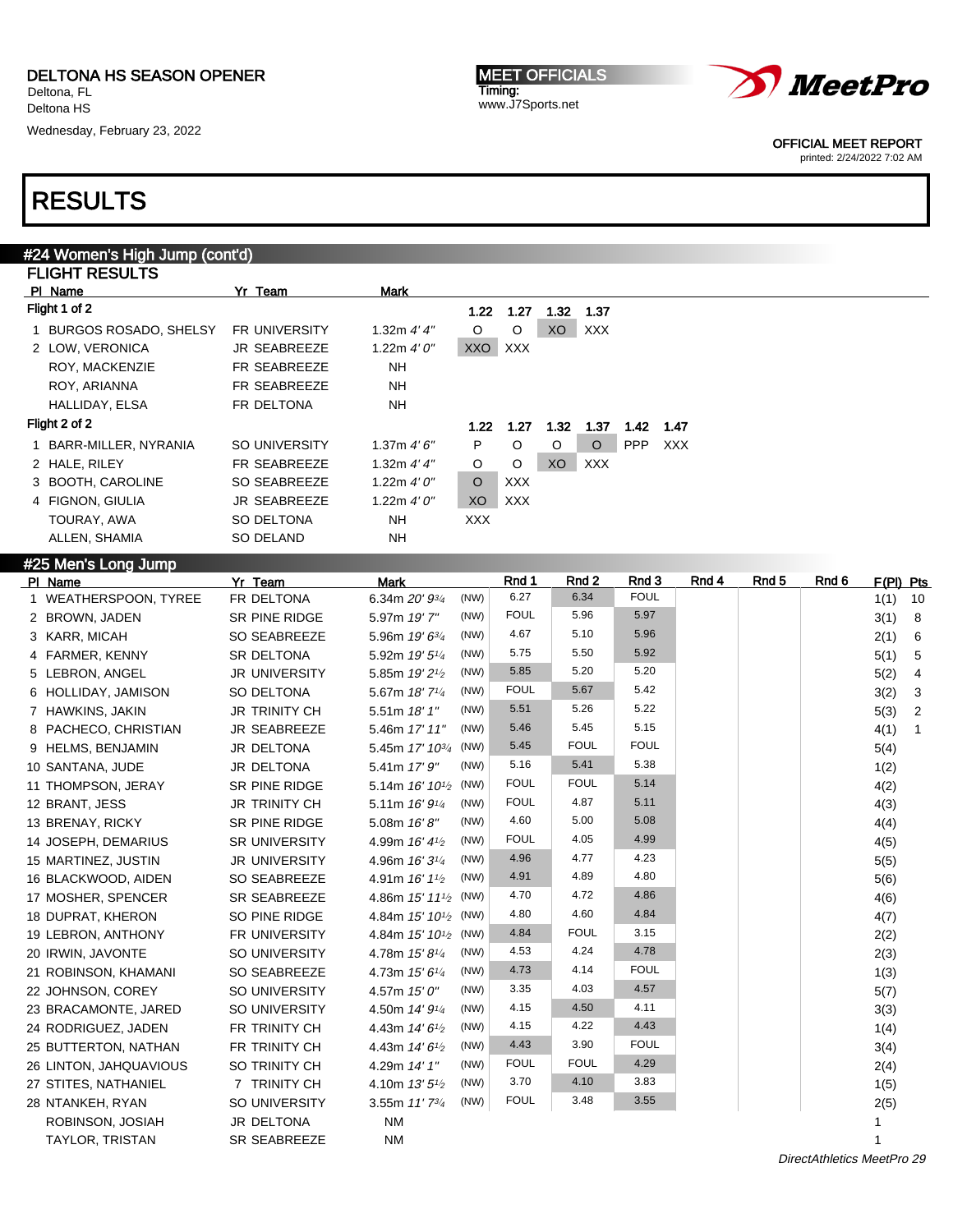Wednesday, February 23, 2022

MEET OFFICIALS Timing: www.J7Sports.net



OFFICIAL MEET REPORT

#### printed: 2/24/2022 7:02 AM

### RESULTS

#25 Men's Long Jump

| #24 Women's High Jump (cont'd)     |                      |               |            |            |                |            |            |            |
|------------------------------------|----------------------|---------------|------------|------------|----------------|------------|------------|------------|
| <b>FLIGHT RESULTS</b>              |                      |               |            |            |                |            |            |            |
| PI Name                            | Yr Team              | Mark          |            |            |                |            |            |            |
| Flight 1 of 2                      |                      |               | 1.22       | 1.27       | 1.32           | 1.37       |            |            |
| <b>BURGOS ROSADO, SHELSY</b><br>1. | <b>FR UNIVERSITY</b> | 1.32m $4'4''$ | O          | $\circ$    | X <sub>O</sub> | <b>XXX</b> |            |            |
| 2 LOW, VERONICA                    | <b>JR SEABREEZE</b>  | 1.22m $4'0''$ | <b>XXO</b> | <b>XXX</b> |                |            |            |            |
| ROY, MACKENZIE                     | <b>FR SEABREEZE</b>  | NH            |            |            |                |            |            |            |
| ROY, ARIANNA                       | <b>FR SEABREEZE</b>  | <b>NH</b>     |            |            |                |            |            |            |
| HALLIDAY, ELSA                     | FR DELTONA           | NH.           |            |            |                |            |            |            |
| Flight 2 of 2                      |                      |               | 1.22       | 1.27       | 1.32           | 1.37       | 1.42       | 1.47       |
| 1 BARR-MILLER, NYRANIA             | SO UNIVERSITY        | 1.37m $4'6''$ | P          | O          | O              | $\circ$    | <b>PPP</b> | <b>XXX</b> |
| 2 HALE, RILEY                      | <b>FR SEABREEZE</b>  | 1.32m $4'4''$ | O          | $\circ$    | <b>XO</b>      | <b>XXX</b> |            |            |
| 3 BOOTH, CAROLINE                  | SO SEABREEZE         | 1.22m $4'0''$ | $\Omega$   | <b>XXX</b> |                |            |            |            |
| FIGNON, GIULIA<br>4                | <b>JR SEABREEZE</b>  | 1.22m $4'0''$ | XO         | <b>XXX</b> |                |            |            |            |
| TOURAY, AWA                        | <b>SO DELTONA</b>    | NH            | <b>XXX</b> |            |                |            |            |            |
| ALLEN, SHAMIA                      | SO DELAND            | NΗ            |            |            |                |            |            |            |

| <b>HELL'S FOLIA JULIP</b><br>PI Name | Yr Team              | <b>Mark</b>                                     | Rnd 1       | Rnd 2       | Rnd 3       | Rnd 4 | Rnd 5 | Rnd 6 | F(PI) Pts              |
|--------------------------------------|----------------------|-------------------------------------------------|-------------|-------------|-------------|-------|-------|-------|------------------------|
| 1 WEATHERSPOON, TYREE                | FR DELTONA           | (NW)<br>6.34m 20' 93/4                          | 6.27        | 6.34        | <b>FOUL</b> |       |       |       | 1(1)<br>10             |
| 2 BROWN, JADEN                       | SR PINE RIDGE        | (NW)<br>5.97m 19'7"                             | <b>FOUL</b> | 5.96        | 5.97        |       |       |       | 3(1)<br>- 8            |
| 3 KARR, MICAH                        | SO SEABREEZE         | (NW)<br>5.96m $19'6^{3/4}$                      | 4.67        | 5.10        | 5.96        |       |       |       | 2(1)<br>6              |
| 4 FARMER, KENNY                      | <b>SR DELTONA</b>    | (NW)<br>5.92m 19' 5 <sup>1/4</sup>              | 5.75        | 5.50        | 5.92        |       |       |       | 5(1)<br>5              |
| 5 LEBRON, ANGEL                      | <b>JR UNIVERSITY</b> | (NW)<br>5.85m 19' 2 <sup>1</sup> / <sub>2</sub> | 5.85        | 5.20        | 5.20        |       |       |       | 5(2)<br>4              |
| 6 HOLLIDAY, JAMISON                  | SO DELTONA           | (NW)<br>5.67m 18' 7 <sup>1/4</sup>              | <b>FOUL</b> | 5.67        | 5.42        |       |       |       | 3<br>3(2)              |
| 7 HAWKINS, JAKIN                     | <b>JR TRINITY CH</b> | (NW)<br>5.51m 18'1"                             | 5.51        | 5.26        | 5.22        |       |       |       | 5(3)<br>$\overline{c}$ |
| 8 PACHECO, CHRISTIAN                 | JR SEABREEZE         | (NW)<br>5.46m 17' 11"                           | 5.46        | 5.45        | 5.15        |       |       |       | 4(1)<br>$\mathbf{1}$   |
| 9 HELMS, BENJAMIN                    | JR DELTONA           | (NW)<br>5.45m $17'$ $10^{3/4}$                  | 5.45        | <b>FOUL</b> | <b>FOUL</b> |       |       |       | 5(4)                   |
| 10 SANTANA, JUDE                     | <b>JR DELTONA</b>    | (NW)<br>5.41m 17' 9"                            | 5.16        | 5.41        | 5.38        |       |       |       | 1(2)                   |
| 11 THOMPSON, JERAY                   | SR PINE RIDGE        | (NW)<br>5.14m $16'$ $10\frac{1}{2}$             | <b>FOUL</b> | <b>FOUL</b> | 5.14        |       |       |       | 4(2)                   |
| 12 BRANT, JESS                       | <b>JR TRINITY CH</b> | (NW)<br>5.11m 16' 9 <sup>1/4</sup>              | <b>FOUL</b> | 4.87        | 5.11        |       |       |       | 4(3)                   |
| 13 BRENAY, RICKY                     | SR PINE RIDGE        | (NW)<br>5.08m $16'8''$                          | 4.60        | 5.00        | 5.08        |       |       |       | 4(4)                   |
| 14 JOSEPH, DEMARIUS                  | <b>SR UNIVERSITY</b> | (NW)<br>4.99m $16'4\frac{1}{2}$                 | <b>FOUL</b> | 4.05        | 4.99        |       |       |       | 4(5)                   |
| 15 MARTINEZ, JUSTIN                  | <b>JR UNIVERSITY</b> | (NW)<br>4.96m 16' 3 <sup>1/4</sup>              | 4.96        | 4.77        | 4.23        |       |       |       | 5(5)                   |
| 16 BLACKWOOD, AIDEN                  | SO SEABREEZE         | (NW)<br>4.91m 16' 1 <sup>1</sup> / <sub>2</sub> | 4.91        | 4.89        | 4.80        |       |       |       | 5(6)                   |
| 17 MOSHER, SPENCER                   | SR SEABREEZE         | 4.86m $15'$ $11'$ / <sub>2</sub> (NW)           | 4.70        | 4.72        | 4.86        |       |       |       | 4(6)                   |
| 18 DUPRAT, KHERON                    | SO PINE RIDGE        | 4.84m 15' 10 <sup>1</sup> / <sub>2</sub> (NW)   | 4.80        | 4.60        | 4.84        |       |       |       | 4(7)                   |
| 19 LEBRON, ANTHONY                   | <b>FR UNIVERSITY</b> | 4.84m 15' 10 <sup>1</sup> / <sub>2</sub> (NW)   | 4.84        | <b>FOUL</b> | 3.15        |       |       |       | 2(2)                   |
| 20 IRWIN, JAVONTE                    | <b>SO UNIVERSITY</b> | (NW)<br>4.78m 15' 8 <sup>1/4</sup>              | 4.53        | 4.24        | 4.78        |       |       |       | 2(3)                   |
| 21 ROBINSON, KHAMANI                 | <b>SO SEABREEZE</b>  | (NW)<br>4.73m 15' 61/4                          | 4.73        | 4.14        | <b>FOUL</b> |       |       |       | 1(3)                   |
| 22 JOHNSON, COREY                    | SO UNIVERSITY        | (NW)<br>4.57m 15' 0"                            | 3.35        | 4.03        | 4.57        |       |       |       | 5(7)                   |
| 23 BRACAMONTE, JARED                 | SO UNIVERSITY        | (NW)<br>4.50m 14' 9 <sup>1/4</sup>              | 4.15        | 4.50        | 4.11        |       |       |       | 3(3)                   |
| 24 RODRIGUEZ, JADEN                  | FR TRINITY CH        | (NW)<br>4.43m $14'6\frac{1}{2}$                 | 4.15        | 4.22        | 4.43        |       |       |       | 1(4)                   |
| 25 BUTTERTON, NATHAN                 | FR TRINITY CH        | (NW)<br>4.43m $14'6''$                          | 4.43        | 3.90        | <b>FOUL</b> |       |       |       | 3(4)                   |
| 26 LINTON, JAHQUAVIOUS               | SO TRINITY CH        | (NW)<br>4.29m 14' 1"                            | <b>FOUL</b> | <b>FOUL</b> | 4.29        |       |       |       | 2(4)                   |
| 27 STITES, NATHANIEL                 | 7 TRINITY CH         | (NW)<br>4.10m 13' 5 <sup>1</sup> / <sub>2</sub> | 3.70        | 4.10        | 3.83        |       |       |       | 1(5)                   |
| 28 NTANKEH, RYAN                     | SO UNIVERSITY        | (NW)<br>3.55m $11'$ $7^{3/4}$                   | <b>FOUL</b> | 3.48        | 3.55        |       |       |       | 2(5)                   |
| ROBINSON, JOSIAH                     | JR DELTONA           | <b>NM</b>                                       |             |             |             |       |       |       |                        |
| TAYLOR, TRISTAN                      | <b>SR SEABREEZE</b>  | <b>NM</b>                                       |             |             |             |       |       |       | 1                      |

DirectAthletics MeetPro 29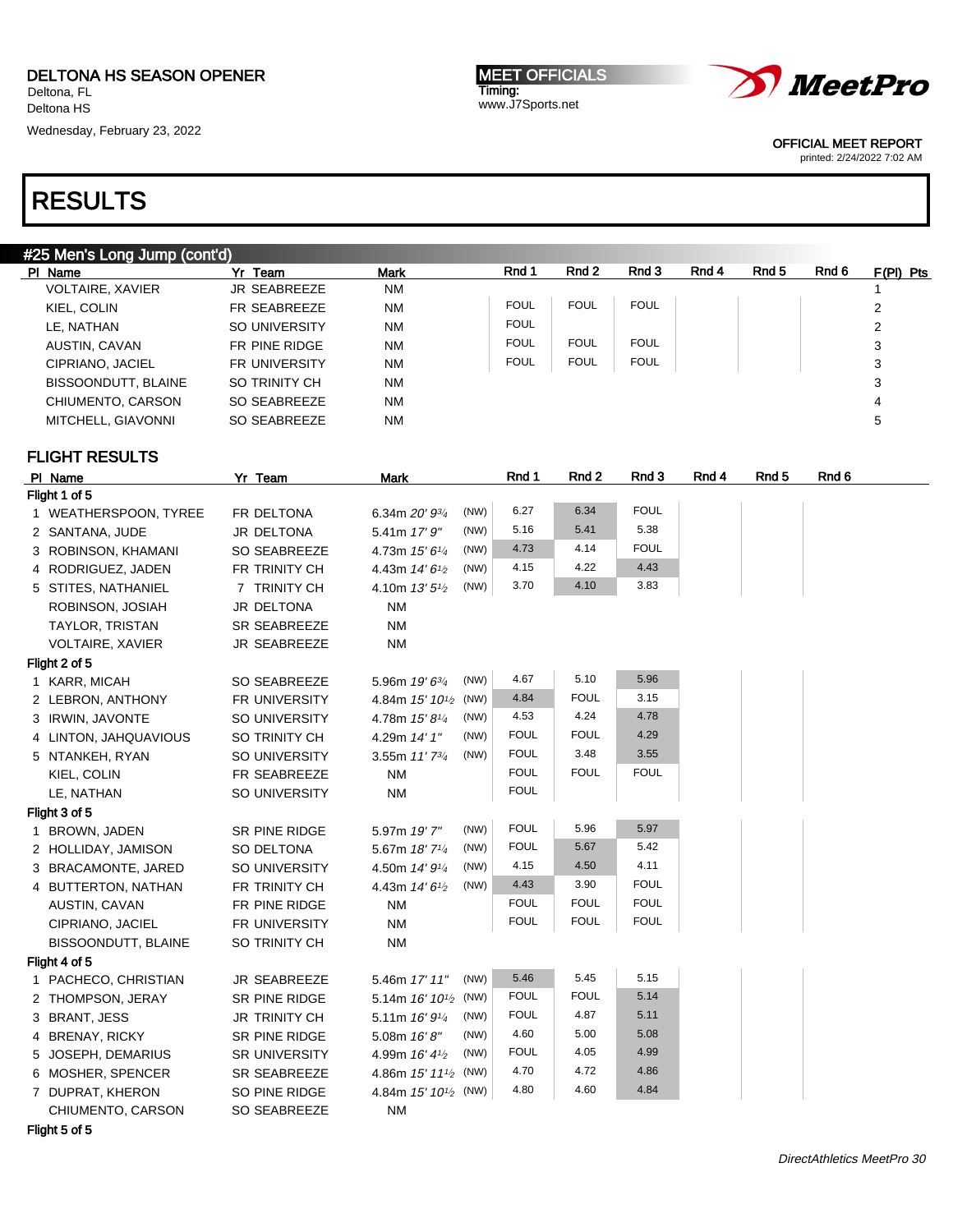Wednesday, February 23, 2022





OFFICIAL MEET REPORT

printed: 2/24/2022 7:02 AM

### RESULTS

| #25 Men's Long Jump (cont'd) |  |
|------------------------------|--|
|------------------------------|--|

| PI Name                 | Yr Team              | <b>Mark</b> | Rnd 1       | Rnd 2       | Rnd 3       | Rnd 4 | Rnd <sub>5</sub> | Rnd 6 | $F(PI)$ Pts |
|-------------------------|----------------------|-------------|-------------|-------------|-------------|-------|------------------|-------|-------------|
| <b>VOLTAIRE, XAVIER</b> | <b>JR SEABREEZE</b>  | NM          |             |             |             |       |                  |       |             |
| KIEL, COLIN             | FR SEABREEZE         | <b>NM</b>   | <b>FOUL</b> | <b>FOUL</b> | <b>FOUL</b> |       |                  |       | 2           |
| LE, NATHAN              | SO UNIVERSITY        | NM          | <b>FOUL</b> |             |             |       |                  |       | 2           |
| AUSTIN, CAVAN           | FR PINE RIDGE        | NM          | <b>FOUL</b> | <b>FOUL</b> | <b>FOUL</b> |       |                  |       | 3           |
| CIPRIANO, JACIEL        | <b>FR UNIVERSITY</b> | NM          | <b>FOUL</b> | <b>FOUL</b> | <b>FOUL</b> |       |                  |       | 3           |
| BISSOONDUTT, BLAINE     | SO TRINITY CH        | NM          |             |             |             |       |                  |       | 3           |
| CHIUMENTO, CARSON       | SO SEABREEZE         | NM          |             |             |             |       |                  |       | 4           |
| MITCHELL, GIAVONNI      | SO SEABREEZE         | NM          |             |             |             |       |                  |       | 5           |
|                         |                      |             |             |             |             |       |                  |       |             |

### FLIGHT RESULTS

| PI Name                    | Yr Team              | <b>Mark</b>                                     | Rnd 1       | Rnd 2       | Rnd 3       | Rnd 4 | Rnd 5 | Rnd 6 |
|----------------------------|----------------------|-------------------------------------------------|-------------|-------------|-------------|-------|-------|-------|
| Flight 1 of 5              |                      |                                                 |             |             |             |       |       |       |
| 1 WEATHERSPOON, TYREE      | FR DELTONA           | (NW)<br>6.34m 20' 93/4                          | 6.27        | 6.34        | <b>FOUL</b> |       |       |       |
| 2 SANTANA, JUDE            | JR DELTONA           | (NW)<br>5.41m 17'9''                            | 5.16        | 5.41        | 5.38        |       |       |       |
| 3 ROBINSON, KHAMANI        | <b>SO SEABREEZE</b>  | (NW)<br>4.73m 15' 61/4                          | 4.73        | 4.14        | <b>FOUL</b> |       |       |       |
| 4 RODRIGUEZ, JADEN         | FR TRINITY CH        | (NW)<br>4.43m 14' 6 <sup>1/2</sup>              | 4.15        | 4.22        | 4.43        |       |       |       |
| 5 STITES, NATHANIEL        | 7 TRINITY CH         | (NW)<br>4.10m 13' 5 <sup>1</sup> / <sub>2</sub> | 3.70        | 4.10        | 3.83        |       |       |       |
| ROBINSON, JOSIAH           | JR DELTONA           | <b>NM</b>                                       |             |             |             |       |       |       |
| <b>TAYLOR, TRISTAN</b>     | <b>SR SEABREEZE</b>  | <b>NM</b>                                       |             |             |             |       |       |       |
| <b>VOLTAIRE, XAVIER</b>    | <b>JR SEABREEZE</b>  | <b>NM</b>                                       |             |             |             |       |       |       |
| Flight 2 of 5              |                      |                                                 |             |             |             |       |       |       |
| 1 KARR, MICAH              | SO SEABREEZE         | (NW)<br>5.96m 19' 63/4                          | 4.67        | 5.10        | 5.96        |       |       |       |
| 2 LEBRON, ANTHONY          | FR UNIVERSITY        | (NW)<br>4.84m 15' 10 <sup>1/2</sup>             | 4.84        | <b>FOUL</b> | 3.15        |       |       |       |
| 3 IRWIN, JAVONTE           | SO UNIVERSITY        | (NW)<br>4.78m 15' 81/4                          | 4.53        | 4.24        | 4.78        |       |       |       |
| 4 LINTON, JAHQUAVIOUS      | SO TRINITY CH        | (NW)<br>4.29m 14' 1"                            | <b>FOUL</b> | <b>FOUL</b> | 4.29        |       |       |       |
| 5 NTANKEH, RYAN            | <b>SO UNIVERSITY</b> | (NW)<br>3.55m 11'73/4                           | <b>FOUL</b> | 3.48        | 3.55        |       |       |       |
| KIEL, COLIN                | FR SEABREEZE         | <b>NM</b>                                       | <b>FOUL</b> | <b>FOUL</b> | <b>FOUL</b> |       |       |       |
| LE, NATHAN                 | SO UNIVERSITY        | <b>NM</b>                                       | <b>FOUL</b> |             |             |       |       |       |
| Flight 3 of 5              |                      |                                                 |             |             |             |       |       |       |
| 1 BROWN, JADEN             | SR PINE RIDGE        | (NW)<br>5.97m 19'7"                             | <b>FOUL</b> | 5.96        | 5.97        |       |       |       |
| 2 HOLLIDAY, JAMISON        | SO DELTONA           | (NW)<br>5.67m 18' 71/4                          | <b>FOUL</b> | 5.67        | 5.42        |       |       |       |
| 3 BRACAMONTE, JARED        | SO UNIVERSITY        | (NW)<br>4.50m 14' 91/4                          | 4.15        | 4.50        | 4.11        |       |       |       |
| 4 BUTTERTON, NATHAN        | FR TRINITY CH        | (NW)<br>4.43m 14' 6 <sup>1</sup> / <sub>2</sub> | 4.43        | 3.90        | <b>FOUL</b> |       |       |       |
| AUSTIN, CAVAN              | FR PINE RIDGE        | <b>NM</b>                                       | <b>FOUL</b> | <b>FOUL</b> | <b>FOUL</b> |       |       |       |
| CIPRIANO, JACIEL           | FR UNIVERSITY        | <b>NM</b>                                       | <b>FOUL</b> | <b>FOUL</b> | <b>FOUL</b> |       |       |       |
| <b>BISSOONDUTT, BLAINE</b> | SO TRINITY CH        | <b>NM</b>                                       |             |             |             |       |       |       |
| Flight 4 of 5              |                      |                                                 |             |             |             |       |       |       |
| 1 PACHECO, CHRISTIAN       | JR SEABREEZE         | (NW)<br>5.46m 17' 11"                           | 5.46        | 5.45        | 5.15        |       |       |       |
| 2 THOMPSON, JERAY          | SR PINE RIDGE        | 5.14m 16' 10 <sup>1</sup> / <sub>2</sub> (NW)   | <b>FOUL</b> | <b>FOUL</b> | 5.14        |       |       |       |
| 3 BRANT, JESS              | <b>JR TRINITY CH</b> | (NW)<br>5.11m 16' 91/4                          | <b>FOUL</b> | 4.87        | 5.11        |       |       |       |
| 4 BRENAY, RICKY            | SR PINE RIDGE        | (NW)<br>5.08m 16'8"                             | 4.60        | 5.00        | 5.08        |       |       |       |
| 5 JOSEPH, DEMARIUS         | <b>SR UNIVERSITY</b> | (NW)<br>4.99m 16' 41/2                          | <b>FOUL</b> | 4.05        | 4.99        |       |       |       |
| 6 MOSHER, SPENCER          | <b>SR SEABREEZE</b>  | 4.86m 15' 11 <sup>1</sup> / <sub>2</sub> (NW)   | 4.70        | 4.72        | 4.86        |       |       |       |
| 7 DUPRAT, KHERON           | SO PINE RIDGE        | 4.84m $15'$ $10^{1/2}$ (NW)                     | 4.80        | 4.60        | 4.84        |       |       |       |
| CHIUMENTO, CARSON          | SO SEABREEZE         | <b>NM</b>                                       |             |             |             |       |       |       |
|                            |                      |                                                 |             |             |             |       |       |       |

Flight 5 of 5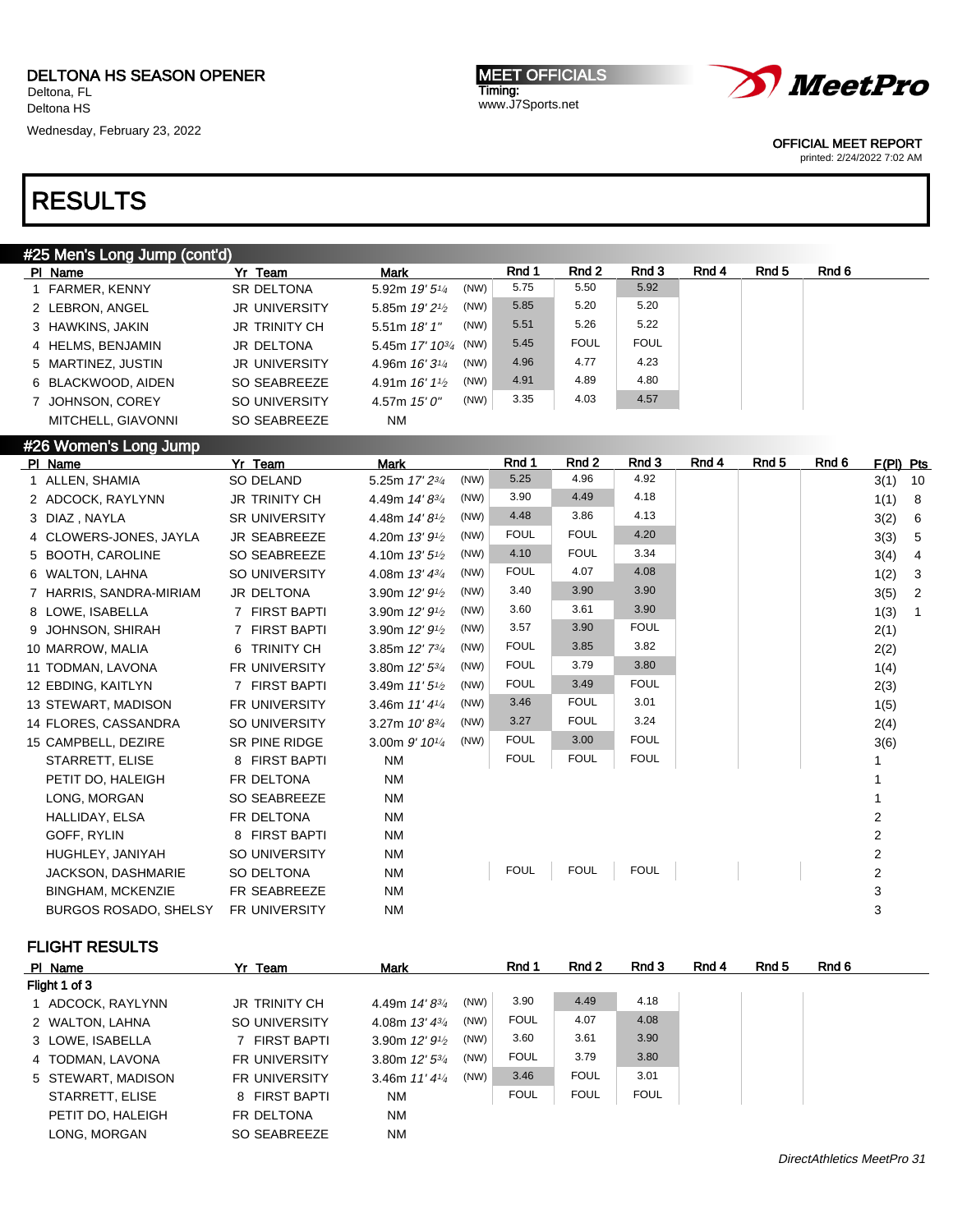Wednesday, February 23, 2022

MEET OFFICIALS Timing: www.J7Sports.net



OFFICIAL MEET REPORT

printed: 2/24/2022 7:02 AM

## RESULTS

| #25 Men's Long Jump (cont'd) |                      |                                         |      |             |             |             |       |       |       |             |     |
|------------------------------|----------------------|-----------------------------------------|------|-------------|-------------|-------------|-------|-------|-------|-------------|-----|
| PI Name                      | Yr Team              | Mark                                    |      | Rnd 1       | Rnd 2       | Rnd 3       | Rnd 4 | Rnd 5 | Rnd 6 |             |     |
| 1 FARMER, KENNY              | <b>SR DELTONA</b>    | 5.92m 19' 51/4                          | (NW) | 5.75        | 5.50        | 5.92        |       |       |       |             |     |
| 2 LEBRON, ANGEL              | <b>JR UNIVERSITY</b> | 5.85m $19'2\frac{1}{2}$                 | (NW) | 5.85        | 5.20        | 5.20        |       |       |       |             |     |
| 3 HAWKINS, JAKIN             | <b>JR TRINITY CH</b> | 5.51 m $18'1''$                         | (NW) | 5.51        | 5.26        | 5.22        |       |       |       |             |     |
| 4 HELMS, BENJAMIN            | <b>JR DELTONA</b>    | 5.45m 17' 10 <sup>3/4</sup>             | (NW) | 5.45        | <b>FOUL</b> | <b>FOUL</b> |       |       |       |             |     |
| 5 MARTINEZ, JUSTIN           | <b>JR UNIVERSITY</b> | 4.96m $16'3\frac{1}{4}$                 | (NW) | 4.96        | 4.77        | 4.23        |       |       |       |             |     |
| 6 BLACKWOOD, AIDEN           | SO SEABREEZE         | 4.91m $16'1\frac{1}{2}$                 | (NW) | 4.91        | 4.89        | 4.80        |       |       |       |             |     |
| <b>JOHNSON, COREY</b>        | SO UNIVERSITY        | 4.57m $15'0''$                          | (NW) | 3.35        | 4.03        | 4.57        |       |       |       |             |     |
| MITCHELL, GIAVONNI           | SO SEABREEZE         | <b>NM</b>                               |      |             |             |             |       |       |       |             |     |
| #26 Women's Long Jump        |                      |                                         |      |             |             |             |       |       |       |             |     |
| PI Name                      | Yr Team              | <b>Mark</b>                             |      | Rnd 1       | Rnd 2       | Rnd 3       | Rnd 4 | Rnd 5 | Rnd 6 | $F(PI)$ Pts |     |
| 1 ALLEN, SHAMIA              | <b>SO DELAND</b>     | 5.25m 17' 23/4                          | (NW) | 5.25        | 4.96        | 4.92        |       |       |       | 3(1)        | 10  |
| 2 ADCOCK, RAYLYNN            | <b>JR TRINITY CH</b> | 4.49m $14' 8^{3/4}$                     | (NW) | 3.90        | 4.49        | 4.18        |       |       |       | 1(1)        | - 8 |
| 3 DIAZ, NAYLA                | <b>SR UNIVERSITY</b> | 4.48m $14'8^{1/2}$                      | (NW) | 4.48        | 3.86        | 4.13        |       |       |       | 3(2)        | - 6 |
| 4 CLOWERS-JONES, JAYLA       | <b>JR SEABREEZE</b>  | 4.20m 13' 9 <sup>1</sup> / <sub>2</sub> | (NW) | <b>FOUL</b> | <b>FOUL</b> | 4.20        |       |       |       | 3(3)        | -5  |
| 5 BOOTH, CAROLINE            | <b>SO SEABREEZE</b>  | 4.10m $13'5^{1/2}$                      | (NW) | 4.10        | <b>FOUL</b> | 3.34        |       |       |       | 3(4)        | -4  |
| 6 WALTON, LAHNA              | <b>SO UNIVERSITY</b> | 4.08m $13' 4^{3/4}$                     | (NW) | <b>FOUL</b> | 4.07        | 4.08        |       |       |       | 1(2)        | 3   |

| Z ADUOUK, RAYLYNN        | JR IRINIIYUH         | 4.49m $14.8^{3/4}$                      | (IVV) | ບ.ອບ        | 4.49        | 4. IO       |  | 1(1)           | 8 |
|--------------------------|----------------------|-----------------------------------------|-------|-------------|-------------|-------------|--|----------------|---|
| 3 DIAZ, NAYLA            | <b>SR UNIVERSITY</b> | 4.48m 14'8 <sup>1/2</sup>               | (NW)  | 4.48        | 3.86        | 4.13        |  | 3(2)           | 6 |
| 4 CLOWERS-JONES, JAYLA   | JR SEABREEZE         | 4.20m 13' 9 <sup>1</sup> / <sub>2</sub> | (NW)  | <b>FOUL</b> | <b>FOUL</b> | 4.20        |  | 3(3)           | 5 |
| 5 BOOTH, CAROLINE        | SO SEABREEZE         | 4.10m $13'5\frac{1}{2}$                 | (NW)  | 4.10        | <b>FOUL</b> | 3.34        |  | 3(4)           | 4 |
| 6 WALTON, LAHNA          | SO UNIVERSITY        | 4.08m $13' 4^{3/4}$                     | (NW)  | <b>FOUL</b> | 4.07        | 4.08        |  | 1(2)           | 3 |
| 7 HARRIS, SANDRA-MIRIAM  | JR DELTONA           | 3.90m $12'9'2$                          | (NW)  | 3.40        | 3.90        | 3.90        |  | 3(5)           | 2 |
| 8 LOWE, ISABELLA         | 7 FIRST BAPTI        | 3.90m 12' 9 <sup>1</sup> / <sub>2</sub> | (NW)  | 3.60        | 3.61        | 3.90        |  | 1(3)           |   |
| 9 JOHNSON, SHIRAH        | 7 FIRST BAPTI        | 3.90m $12'9'$                           | (NW)  | 3.57        | 3.90        | <b>FOUL</b> |  | 2(1)           |   |
| 10 MARROW, MALIA         | 6 TRINITY CH         | 3.85m $12'$ 7 $\frac{3}{4}$             | (NW)  | <b>FOUL</b> | 3.85        | 3.82        |  | 2(2)           |   |
| 11 TODMAN, LAVONA        | FR UNIVERSITY        | 3.80m 12' 53/4                          | (NW)  | <b>FOUL</b> | 3.79        | 3.80        |  | 1(4)           |   |
| 12 EBDING, KAITLYN       | 7 FIRST BAPTI        | 3.49m $11'5\frac{1}{2}$                 | (NW)  | <b>FOUL</b> | 3.49        | <b>FOUL</b> |  | 2(3)           |   |
| 13 STEWART, MADISON      | <b>FR UNIVERSITY</b> | 3.46m $11'4\frac{1}{4}$                 | (NW)  | 3.46        | <b>FOUL</b> | 3.01        |  | 1(5)           |   |
| 14 FLORES, CASSANDRA     | SO UNIVERSITY        | 3.27m $10' 8^{3/4}$                     | (NW)  | 3.27        | <b>FOUL</b> | 3.24        |  | 2(4)           |   |
| 15 CAMPBELL, DEZIRE      | SR PINE RIDGE        | 3.00m $9'$ 10 <sup>1/4</sup>            | (NW)  | <b>FOUL</b> | 3.00        | <b>FOUL</b> |  | 3(6)           |   |
| STARRETT, ELISE          | 8 FIRST BAPTI        | <b>NM</b>                               |       | <b>FOUL</b> | <b>FOUL</b> | <b>FOUL</b> |  |                |   |
| PETIT DO, HALEIGH        | FR DELTONA           | <b>NM</b>                               |       |             |             |             |  |                |   |
| LONG, MORGAN             | SO SEABREEZE         | <b>NM</b>                               |       |             |             |             |  |                |   |
| HALLIDAY, ELSA           | FR DELTONA           | <b>NM</b>                               |       |             |             |             |  | 2              |   |
| GOFF, RYLIN              | 8 FIRST BAPTI        | NM                                      |       |             |             |             |  | 2              |   |
| HUGHLEY, JANIYAH         | SO UNIVERSITY        | <b>NM</b>                               |       |             |             |             |  | $\overline{2}$ |   |
| JACKSON, DASHMARIE       | SO DELTONA           | <b>NM</b>                               |       | <b>FOUL</b> | <b>FOUL</b> | <b>FOUL</b> |  | $\overline{2}$ |   |
| <b>BINGHAM, MCKENZIE</b> | FR SEABREEZE         | NM                                      |       |             |             |             |  | 3              |   |
| BURGOS ROSADO. SHELSY    | <b>FR UNIVERSITY</b> | <b>NM</b>                               |       |             |             |             |  | 3              |   |

| PI Name            | Yr Team              | <b>Mark</b>             |      | Rnd 1       | Rnd 2       | Rnd 3       | Rnd 4 | Rnd 5 | Rnd 6 |
|--------------------|----------------------|-------------------------|------|-------------|-------------|-------------|-------|-------|-------|
| Flight 1 of 3      |                      |                         |      |             |             |             |       |       |       |
| 1 ADCOCK, RAYLYNN  | <b>JR TRINITY CH</b> | 4.49m 14'83/4           | (NW) | 3.90        | 4.49        | 4.18        |       |       |       |
| 2 WALTON, LAHNA    | SO UNIVERSITY        | 4.08m $13' 4^{3/4}$     | (NW) | <b>FOUL</b> | 4.07        | 4.08        |       |       |       |
| 3 LOWE, ISABELLA   | 7 FIRST BAPTI        | 3.90m $12'9\frac{1}{2}$ | (NW) | 3.60        | 3.61        | 3.90        |       |       |       |
| 4 TODMAN, LAVONA   | <b>FR UNIVERSITY</b> | 3.80m $12'5^{3}/4$      | (NW) | <b>FOUL</b> | 3.79        | 3.80        |       |       |       |
| 5 STEWART, MADISON | <b>FR UNIVERSITY</b> | 3.46m $11'4\frac{1}{4}$ | (NW) | 3.46        | <b>FOUL</b> | 3.01        |       |       |       |
| STARRETT, ELISE    | 8 FIRST BAPTI        | NM                      |      | <b>FOUL</b> | <b>FOUL</b> | <b>FOUL</b> |       |       |       |
| PETIT DO, HALEIGH  | FR DELTONA           | <b>NM</b>               |      |             |             |             |       |       |       |
| LONG. MORGAN       | SO SEABREEZE         | <b>NM</b>               |      |             |             |             |       |       |       |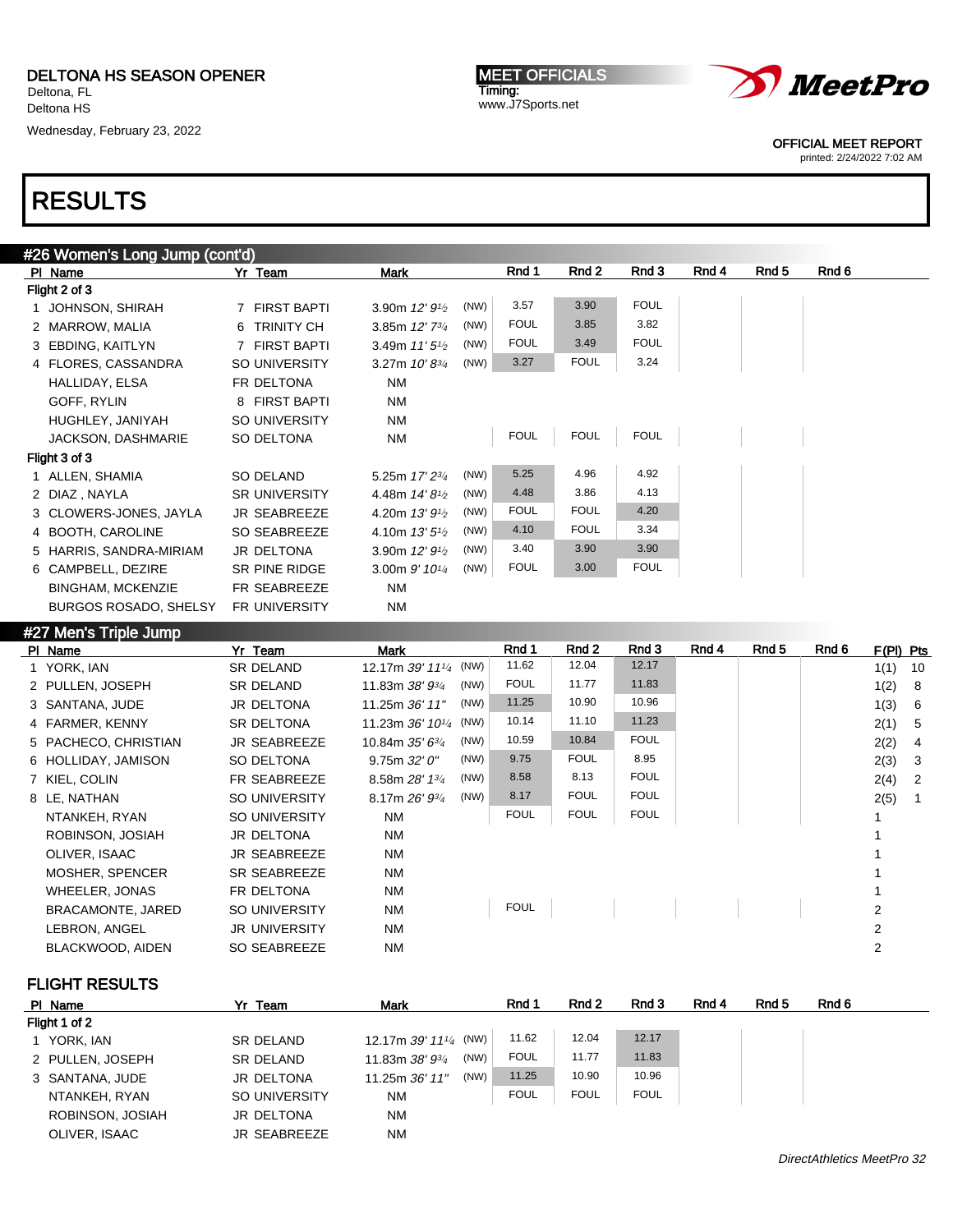Wednesday, February 23, 2022

MEET OFFICIALS Timing: www.J7Sports.net



OFFICIAL MEET REPORT

printed: 2/24/2022 7:02 AM

# RESULTS

| #26 Women's Long Jump (cont'd) |                      |                                         |      |             |             |             |       |       |       |  |  |
|--------------------------------|----------------------|-----------------------------------------|------|-------------|-------------|-------------|-------|-------|-------|--|--|
| PI Name                        | Yr Team              | Mark                                    |      | Rnd 1       | Rnd 2       | Rnd 3       | Rnd 4 | Rnd 5 | Rnd 6 |  |  |
| Flight 2 of 3                  |                      |                                         |      |             |             |             |       |       |       |  |  |
| 1 JOHNSON, SHIRAH              | 7 FIRST BAPTI        | 3.90m $12'9\frac{1}{2}$                 | (NW) | 3.57        | 3.90        | <b>FOUL</b> |       |       |       |  |  |
| 2 MARROW, MALIA                | 6 TRINITY CH         | 3.85m $12'$ $7^{3}/_4$                  | (NW) | <b>FOUL</b> | 3.85        | 3.82        |       |       |       |  |  |
| 3 EBDING, KAITLYN              | 7 FIRST BAPTI        | 3.49m $11'5'$                           | (NW) | <b>FOUL</b> | 3.49        | <b>FOUL</b> |       |       |       |  |  |
| 4 FLORES, CASSANDRA            | SO UNIVERSITY        | 3.27m $10' 8^{3/4}$                     | (NW) | 3.27        | <b>FOUL</b> | 3.24        |       |       |       |  |  |
| HALLIDAY, ELSA                 | FR DELTONA           | <b>NM</b>                               |      |             |             |             |       |       |       |  |  |
| GOFF, RYLIN                    | 8 FIRST BAPTI        | <b>NM</b>                               |      |             |             |             |       |       |       |  |  |
| HUGHLEY, JANIYAH               | <b>SO UNIVERSITY</b> | <b>NM</b>                               |      |             |             |             |       |       |       |  |  |
| JACKSON, DASHMARIE             | SO DELTONA           | <b>NM</b>                               |      | <b>FOUL</b> | <b>FOUL</b> | <b>FOUL</b> |       |       |       |  |  |
| Flight 3 of 3                  |                      |                                         |      |             |             |             |       |       |       |  |  |
| 1 ALLEN, SHAMIA                | SO DELAND            | 5.25m 17' 23/4                          | (NW) | 5.25        | 4.96        | 4.92        |       |       |       |  |  |
| 2 DIAZ, NAYLA                  | <b>SR UNIVERSITY</b> | 4.48m $14'8'$                           | (NW) | 4.48        | 3.86        | 4.13        |       |       |       |  |  |
| 3 CLOWERS-JONES, JAYLA         | <b>JR SEABREEZE</b>  | 4.20m $13'9'$                           | (NW) | <b>FOUL</b> | <b>FOUL</b> | 4.20        |       |       |       |  |  |
| 4 BOOTH, CAROLINE              | SO SEABREEZE         | 4.10m $13'5'$                           | (NW) | 4.10        | <b>FOUL</b> | 3.34        |       |       |       |  |  |
| 5 HARRIS, SANDRA-MIRIAM        | JR DELTONA           | 3.90m 12' 9 <sup>1</sup> / <sub>2</sub> | (NW) | 3.40        | 3.90        | 3.90        |       |       |       |  |  |
| 6 CAMPBELL, DEZIRE             | SR PINE RIDGE        | 3.00m $9'$ 10 <sup>1/4</sup>            | (NW) | <b>FOUL</b> | 3.00        | <b>FOUL</b> |       |       |       |  |  |
| <b>BINGHAM, MCKENZIE</b>       | FR SEABREEZE         | ΝM                                      |      |             |             |             |       |       |       |  |  |
| <b>BURGOS ROSADO, SHELSY</b>   | <b>FR UNIVERSITY</b> | <b>NM</b>                               |      |             |             |             |       |       |       |  |  |
|                                |                      |                                         |      |             |             |             |       |       |       |  |  |

### #27 Men's Triple Jump

| 1(1)<br>1(2)<br>- 8 | 10                   |
|---------------------|----------------------|
|                     |                      |
|                     |                      |
| 1(3)                | - 6                  |
| 2(1)<br>- 5         |                      |
| 2(2)                | -4                   |
|                     | -3                   |
| - 2                 |                      |
|                     |                      |
|                     |                      |
|                     |                      |
|                     |                      |
|                     |                      |
|                     |                      |
| 2                   |                      |
| 2                   |                      |
| 2                   |                      |
|                     | 2(3)<br>2(4)<br>2(5) |

| PI Name          | Yr Team             | <b>Mark</b>                                      | Rnd 1       | Rnd <sub>2</sub> | Rnd 3       | Rnd 4 | Rnd 5 | Rnd 6 |
|------------------|---------------------|--------------------------------------------------|-------------|------------------|-------------|-------|-------|-------|
| Flight 1 of 2    |                     |                                                  |             |                  |             |       |       |       |
| 1 YORK, IAN      | <b>SR DELAND</b>    | 12.17m $39'$ 11 <sup>1</sup> / <sub>4</sub> (NW) | 11.62       | 12.04            | 12.17       |       |       |       |
| 2 PULLEN, JOSEPH | <b>SR DELAND</b>    | (NW)<br>11.83m 38' 93/4                          | <b>FOUL</b> | 11.77            | 11.83       |       |       |       |
| 3 SANTANA, JUDE  | JR DELTONA          | (NW)<br>11.25m 36' 11"                           | 11.25       | 10.90            | 10.96       |       |       |       |
| NTANKEH, RYAN    | SO UNIVERSITY       | <b>NM</b>                                        | <b>FOUL</b> | <b>FOUL</b>      | <b>FOUL</b> |       |       |       |
| ROBINSON, JOSIAH | JR DELTONA          | <b>NM</b>                                        |             |                  |             |       |       |       |
| OLIVER, ISAAC    | <b>JR SEABREEZE</b> | <b>NM</b>                                        |             |                  |             |       |       |       |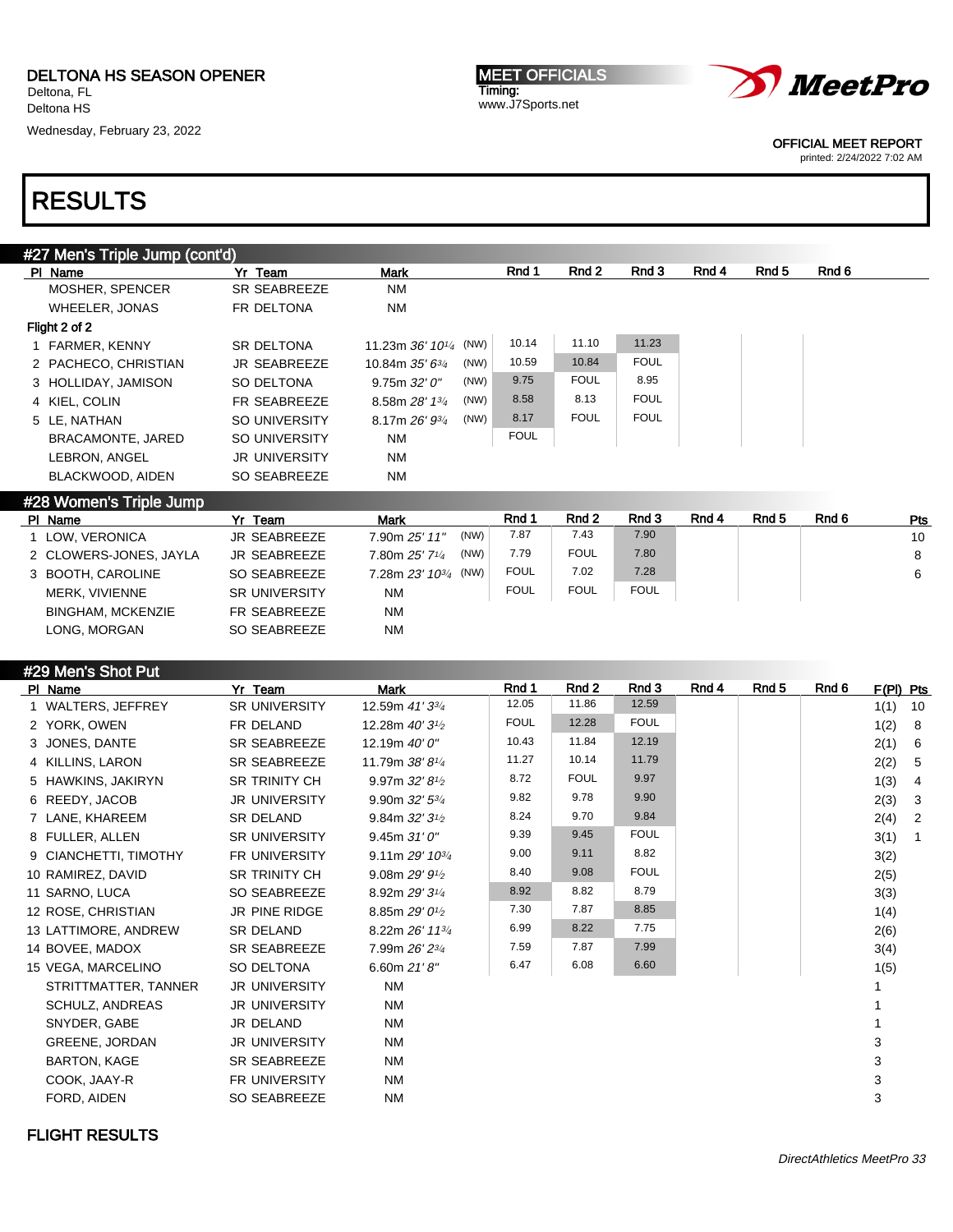Wednesday, February 23, 2022





OFFICIAL MEET REPORT

printed: 2/24/2022 7:02 AM

| #27 Men's Triple Jump (cont'd) |                      |                                    |             |             |             |       |       |       |
|--------------------------------|----------------------|------------------------------------|-------------|-------------|-------------|-------|-------|-------|
| PI Name                        | Yr Team              | <b>Mark</b>                        | Rnd 1       | Rnd 2       | Rnd 3       | Rnd 4 | Rnd 5 | Rnd 6 |
| MOSHER, SPENCER                | <b>SR SEABREEZE</b>  | <b>NM</b>                          |             |             |             |       |       |       |
| WHEELER, JONAS                 | FR DELTONA           | ΝM                                 |             |             |             |       |       |       |
| Flight 2 of 2                  |                      |                                    |             |             |             |       |       |       |
| 1 FARMER, KENNY                | <b>SR DELTONA</b>    | (NW)<br>11.23m 36' 101/4           | 10.14       | 11.10       | 11.23       |       |       |       |
| 2 PACHECO, CHRISTIAN           | <b>JR SEABREEZE</b>  | (NW)<br>10.84m $35'6^{3}/4$        | 10.59       | 10.84       | <b>FOUL</b> |       |       |       |
| 3 HOLLIDAY, JAMISON            | SO DELTONA           | (NW)<br>9.75m 32'0''               | 9.75        | <b>FOUL</b> | 8.95        |       |       |       |
| 4 KIEL, COLIN                  | <b>FR SEABREEZE</b>  | (NW)<br>8.58m 28' 13/4             | 8.58        | 8.13        | <b>FOUL</b> |       |       |       |
| 5 LE, NATHAN                   | SO UNIVERSITY        | (NW)<br>8.17m $26'$ $9\frac{3}{4}$ | 8.17        | <b>FOUL</b> | <b>FOUL</b> |       |       |       |
| <b>BRACAMONTE, JARED</b>       | SO UNIVERSITY        | NM                                 | <b>FOUL</b> |             |             |       |       |       |
| LEBRON, ANGEL                  | <b>JR UNIVERSITY</b> | <b>NM</b>                          |             |             |             |       |       |       |
| BLACKWOOD, AIDEN               | SO SEABREEZE         | <b>NM</b>                          |             |             |             |       |       |       |
| #28 Women's Triple Jump        |                      |                                    |             |             |             |       |       |       |
|                                |                      |                                    | - -         | - -         | - -         |       | - -   | - -   |

| PI Name                  | Yr Team              | <b>Mark</b>            | Rnd 1       | Rnd 2                              | Rnd 3       | Rnd 4 | Rnd 5 | Rnd 6 | <b>Pts</b> |
|--------------------------|----------------------|------------------------|-------------|------------------------------------|-------------|-------|-------|-------|------------|
| 1 LOW. VERONICA          | JR SEABREEZE         | (NW)<br>7.90m 25' 11"  | 7.87        | 7.43                               | 7.90        |       |       |       | 10         |
| 2 CLOWERS-JONES, JAYLA   | JR SEABREEZE         | (NW)<br>7.80m 25' 71/4 | 7.79        | <b>FOUL</b>                        | 7.80        |       |       |       | 8          |
| 3 BOOTH, CAROLINE        | SO SEABREEZE         |                        | <b>FOUL</b> | 7.02                               | 7.28        |       |       |       | 6          |
| MERK, VIVIENNE           | <b>SR UNIVERSITY</b> | <b>NM</b>              | <b>FOUL</b> | <b>FOUL</b>                        | <b>FOUL</b> |       |       |       |            |
| <b>BINGHAM, MCKENZIE</b> | FR SEABREEZE         | <b>NM</b>              |             |                                    |             |       |       |       |            |
| LONG. MORGAN             | SO SEABREEZE         | <b>NM</b>              |             |                                    |             |       |       |       |            |
|                          |                      |                        |             | 7.28m $23'$ 10 <sup>3/4</sup> (NW) |             |       |       |       |            |

| #29 Men's Shot Put |  |  |  |  |  |
|--------------------|--|--|--|--|--|
|--------------------|--|--|--|--|--|

| PI Name               | Yr Team              | <b>Mark</b>                              | Rnd 1       | Rnd 2       | Rnd 3       | Rnd 4 | Rnd 5 | Rnd 6 | F(PI) Pts |                |
|-----------------------|----------------------|------------------------------------------|-------------|-------------|-------------|-------|-------|-------|-----------|----------------|
| 1 WALTERS, JEFFREY    | SR UNIVERSITY        | 12.59m 41' 33/4                          | 12.05       | 11.86       | 12.59       |       |       |       | 1(1)      | 10             |
| 2 YORK, OWEN          | FR DELAND            | 12.28m 40' 3 <sup>1</sup> / <sub>2</sub> | <b>FOUL</b> | 12.28       | <b>FOUL</b> |       |       |       | 1(2)      | -8             |
| 3 JONES, DANTE        | SR SEABREEZE         | 12.19m 40' 0"                            | 10.43       | 11.84       | 12.19       |       |       |       | 2(1)      | - 6            |
| 4 KILLINS, LARON      | SR SEABREEZE         | 11.79m 38'8 <sup>1</sup> /4              | 11.27       | 10.14       | 11.79       |       |       |       | 2(2)      | - 5            |
| 5 HAWKINS, JAKIRYN    | <b>SR TRINITY CH</b> | 9.97m $32'8'$                            | 8.72        | <b>FOUL</b> | 9.97        |       |       |       | 1(3)      | $\overline{4}$ |
| 6 REEDY, JACOB        | <b>JR UNIVERSITY</b> | 9.90m $32'5^{3}/4$                       | 9.82        | 9.78        | 9.90        |       |       |       | 2(3)      | 3              |
| 7 LANE, KHAREEM       | <b>SR DELAND</b>     | 9.84m $32'3'$                            | 8.24        | 9.70        | 9.84        |       |       |       | 2(4)      | 2              |
| 8 FULLER, ALLEN       | <b>SR UNIVERSITY</b> | 9.45m31'0''                              | 9.39        | 9.45        | <b>FOUL</b> |       |       |       | 3(1)      | $\overline{1}$ |
| 9 CIANCHETTI, TIMOTHY | <b>FR UNIVERSITY</b> | 9.11m $29'$ 10 <sup>3/4</sup>            | 9.00        | 9.11        | 8.82        |       |       |       | 3(2)      |                |
| 10 RAMIREZ, DAVID     | <b>SR TRINITY CH</b> | 9.08m $29'9'$                            | 8.40        | 9.08        | <b>FOUL</b> |       |       |       | 2(5)      |                |
| 11 SARNO, LUCA        | SO SEABREEZE         | 8.92m 29' 3 <sup>1</sup> / <sub>4</sub>  | 8.92        | 8.82        | 8.79        |       |       |       | 3(3)      |                |
| 12 ROSE, CHRISTIAN    | <b>JR PINE RIDGE</b> | 8.85m 29' 0 <sup>1</sup> / <sub>2</sub>  | 7.30        | 7.87        | 8.85        |       |       |       | 1(4)      |                |
| 13 LATTIMORE, ANDREW  | SR DELAND            | 8.22m 26' 11 <sup>3/4</sup>              | 6.99        | 8.22        | 7.75        |       |       |       | 2(6)      |                |
| 14 BOVEE, MADOX       | SR SEABREEZE         | 7.99m 26' 23/4                           | 7.59        | 7.87        | 7.99        |       |       |       | 3(4)      |                |
| 15 VEGA, MARCELINO    | SO DELTONA           | 6.60m $21'8''$                           | 6.47        | 6.08        | 6.60        |       |       |       | 1(5)      |                |
| STRITTMATTER, TANNER  | <b>JR UNIVERSITY</b> | <b>NM</b>                                |             |             |             |       |       |       |           |                |
| SCHULZ, ANDREAS       | <b>JR UNIVERSITY</b> | NM                                       |             |             |             |       |       |       |           |                |
| SNYDER, GABE          | JR DELAND            | <b>NM</b>                                |             |             |             |       |       |       |           |                |
| GREENE, JORDAN        | <b>JR UNIVERSITY</b> | <b>NM</b>                                |             |             |             |       |       |       | 3         |                |
| <b>BARTON, KAGE</b>   | <b>SR SEABREEZE</b>  | NM                                       |             |             |             |       |       |       | 3         |                |
| COOK, JAAY-R          | FR UNIVERSITY        | NM                                       |             |             |             |       |       |       | 3         |                |
| FORD, AIDEN           | <b>SO SEABREEZE</b>  | <b>NM</b>                                |             |             |             |       |       |       | 3         |                |
|                       |                      |                                          |             |             |             |       |       |       |           |                |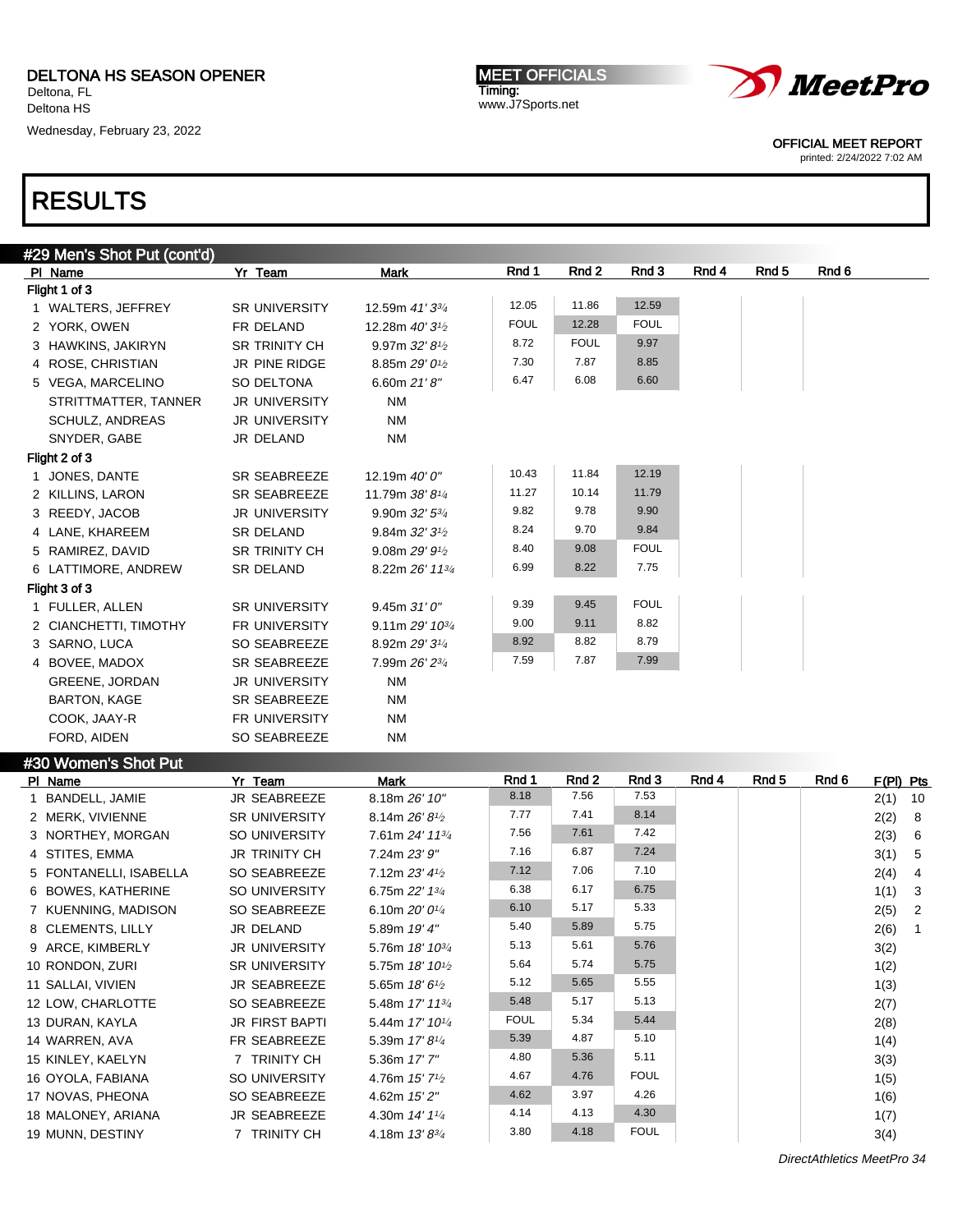15 KINLEY, KAELYN 7 TRINITY CH 5.36m 17' 7"

16 OYOLA, FABIANA SO UNIVERSITY 4.76m 15' 7<sup>1</sup>/2

17 NOVAS, PHEONA SO SEABREEZE 4.62m 15' 2"

18 MALONEY, ARIANA JR SEABREEZE 4.30m 14' 11/<sup>4</sup>

19 MUNN, DESTINY 7 TRINITY CH 4.18m 13' 83/4

Wednesday, February 23, 2022

MEET OFFICIALS Timing: www.J7Sports.net



OFFICIAL MEET REPORT

printed: 2/24/2022 7:02 AM

## RESULTS

| #29 Men's Shot Put (cont'd) |                       |                                          |             |                  |             |       |                  |       |             |                |
|-----------------------------|-----------------------|------------------------------------------|-------------|------------------|-------------|-------|------------------|-------|-------------|----------------|
| PI Name                     | Yr Team               | Mark                                     | Rnd 1       | Rnd 2            | Rnd 3       | Rnd 4 | Rnd 5            | Rnd 6 |             |                |
| Flight 1 of 3               |                       |                                          |             |                  |             |       |                  |       |             |                |
| 1 WALTERS, JEFFREY          | <b>SR UNIVERSITY</b>  | 12.59m 41' 33/4                          | 12.05       | 11.86            | 12.59       |       |                  |       |             |                |
| 2 YORK, OWEN                | FR DELAND             | 12.28m 40' 3 <sup>1/2</sup>              | <b>FOUL</b> | 12.28            | <b>FOUL</b> |       |                  |       |             |                |
| 3 HAWKINS, JAKIRYN          | <b>SR TRINITY CH</b>  | 9.97m $32'8'$                            | 8.72        | <b>FOUL</b>      | 9.97        |       |                  |       |             |                |
| 4 ROSE, CHRISTIAN           | JR PINE RIDGE         | 8.85m 29' 0 <sup>1/2</sup>               | 7.30        | 7.87             | 8.85        |       |                  |       |             |                |
| 5 VEGA, MARCELINO           | SO DELTONA            | 6.60m $21'8''$                           | 6.47        | 6.08             | 6.60        |       |                  |       |             |                |
| STRITTMATTER, TANNER        | <b>JR UNIVERSITY</b>  | <b>NM</b>                                |             |                  |             |       |                  |       |             |                |
| <b>SCHULZ, ANDREAS</b>      | <b>JR UNIVERSITY</b>  | <b>NM</b>                                |             |                  |             |       |                  |       |             |                |
| SNYDER, GABE                | JR DELAND             | <b>NM</b>                                |             |                  |             |       |                  |       |             |                |
| Flight 2 of 3               |                       |                                          |             |                  |             |       |                  |       |             |                |
| 1 JONES, DANTE              | <b>SR SEABREEZE</b>   | 12.19m 40' 0"                            | 10.43       | 11.84            | 12.19       |       |                  |       |             |                |
| 2 KILLINS, LARON            | SR SEABREEZE          | 11.79m 38' 81/4                          | 11.27       | 10.14            | 11.79       |       |                  |       |             |                |
| 3 REEDY, JACOB              | <b>JR UNIVERSITY</b>  | 9.90m 32' 53/4                           | 9.82        | 9.78             | 9.90        |       |                  |       |             |                |
| 4 LANE, KHAREEM             | <b>SR DELAND</b>      | 9.84m $32'3'$                            | 8.24        | 9.70             | 9.84        |       |                  |       |             |                |
| 5 RAMIREZ, DAVID            | <b>SR TRINITY CH</b>  | 9.08m $29'9'$                            | 8.40        | 9.08             | <b>FOUL</b> |       |                  |       |             |                |
| 6 LATTIMORE, ANDREW         | <b>SR DELAND</b>      | 8.22m 26' 113/4                          | 6.99        | 8.22             | 7.75        |       |                  |       |             |                |
| Flight 3 of 3               |                       |                                          |             |                  |             |       |                  |       |             |                |
| 1 FULLER, ALLEN             | <b>SR UNIVERSITY</b>  | 9.45m 31'0''                             | 9.39        | 9.45             | <b>FOUL</b> |       |                  |       |             |                |
| 2 CIANCHETTI, TIMOTHY       | FR UNIVERSITY         | 9.11m $29'$ 10 $\frac{3}{4}$             | 9.00        | 9.11             | 8.82        |       |                  |       |             |                |
| 3 SARNO, LUCA               | SO SEABREEZE          | 8.92m 29' 31/4                           | 8.92        | 8.82             | 8.79        |       |                  |       |             |                |
| 4 BOVEE, MADOX              | SR SEABREEZE          | 7.99m 26' 23/4                           | 7.59        | 7.87             | 7.99        |       |                  |       |             |                |
| <b>GREENE, JORDAN</b>       | <b>JR UNIVERSITY</b>  | <b>NM</b>                                |             |                  |             |       |                  |       |             |                |
| <b>BARTON, KAGE</b>         | SR SEABREEZE          | <b>NM</b>                                |             |                  |             |       |                  |       |             |                |
| COOK, JAAY-R                | FR UNIVERSITY         | <b>NM</b>                                |             |                  |             |       |                  |       |             |                |
| FORD, AIDEN                 | <b>SO SEABREEZE</b>   | <b>NM</b>                                |             |                  |             |       |                  |       |             |                |
| #30 Women's Shot Put        |                       |                                          |             |                  |             |       |                  |       |             |                |
| PI Name                     | Yr Team               | Mark                                     | Rnd 1       | Rnd <sub>2</sub> | Rnd 3       | Rnd 4 | Rnd <sub>5</sub> | Rnd 6 | $F(PI)$ Pts |                |
| 1 BANDELL, JAMIE            | JR SEABREEZE          | 8.18m 26' 10"                            | 8.18        | 7.56             | 7.53        |       |                  |       | 2(1)        | 10             |
| 2 MERK, VIVIENNE            | <b>SR UNIVERSITY</b>  | 8.14m 26' 8 <sup>1</sup> / <sub>2</sub>  | 7.77        | 7.41             | 8.14        |       |                  |       | 2(2)        | 8              |
| 3 NORTHEY, MORGAN           | <b>SO UNIVERSITY</b>  | 7.61m 24' 113/4                          | 7.56        | 7.61             | 7.42        |       |                  |       | 2(3)        | 6              |
| 4 STITES, EMMA              | <b>JR TRINITY CH</b>  | 7.24m 23' 9"                             | 7.16        | 6.87             | 7.24        |       |                  |       | 3(1)        | 5              |
| 5 FONTANELLI, ISABELLA      | <b>SO SEABREEZE</b>   | 7.12m 23' 41/2                           | 7.12        | 7.06             | 7.10        |       |                  |       | 2(4)        | 4              |
| 6 BOWES, KATHERINE          | <b>SO UNIVERSITY</b>  | 6.75m 22' 13/4                           | 6.38        | 6.17             | 6.75        |       |                  |       | 1(1)        | 3              |
| 7 KUENNING, MADISON         | SO SEABREEZE          | 6.10m $20'0^{1/4}$                       | 6.10        | 5.17             | 5.33        |       |                  |       | 2(5)        | $\overline{2}$ |
| 8 CLEMENTS, LILLY           | JR DELAND             | 5.89m 19' 4"                             | 5.40        | 5.89             | 5.75        |       |                  |       | 2(6)        | $\mathbf{1}$   |
| 9 ARCE, KIMBERLY            | JR UNIVERSITY         | 5.76m $18'$ $10^{3/4}$                   | 5.13        | 5.61             | 5.76        |       |                  |       | 3(2)        |                |
| 10 RONDON, ZURI             | <b>SR UNIVERSITY</b>  | 5.75m 18' 10 <sup>1</sup> / <sub>2</sub> | 5.64        | 5.74             | 5.75        |       |                  |       | 1(2)        |                |
| 11 SALLAI, VIVIEN           | <b>JR SEABREEZE</b>   | 5.65m $18'6\frac{1}{2}$                  | 5.12        | 5.65             | 5.55        |       |                  |       | 1(3)        |                |
| 12 LOW, CHARLOTTE           | <b>SO SEABREEZE</b>   | 5.48m 17' 113/4                          | 5.48        | 5.17             | 5.13        |       |                  |       | 2(7)        |                |
| 13 DURAN, KAYLA             | <b>JR FIRST BAPTI</b> | 5.44m 17' 101/4                          | <b>FOUL</b> | 5.34             | 5.44        |       |                  |       | 2(8)        |                |
| 14 WARREN, AVA              | FR SEABREEZE          | 5.39m 17' 81/4                           | 5.39        | 4.87             | 5.10        |       |                  |       | 1(4)        |                |
|                             |                       |                                          |             |                  |             |       |                  |       |             |                |

 $4.80$   $5.36$   $5.11$   $3(3)$ 

4.67 4.76 FOUL 1(5)

4.62 3.97 4.26 1(6)

4.14 4.13 4.30 1(7)

3.80 4.18 FOUL  $3(4)$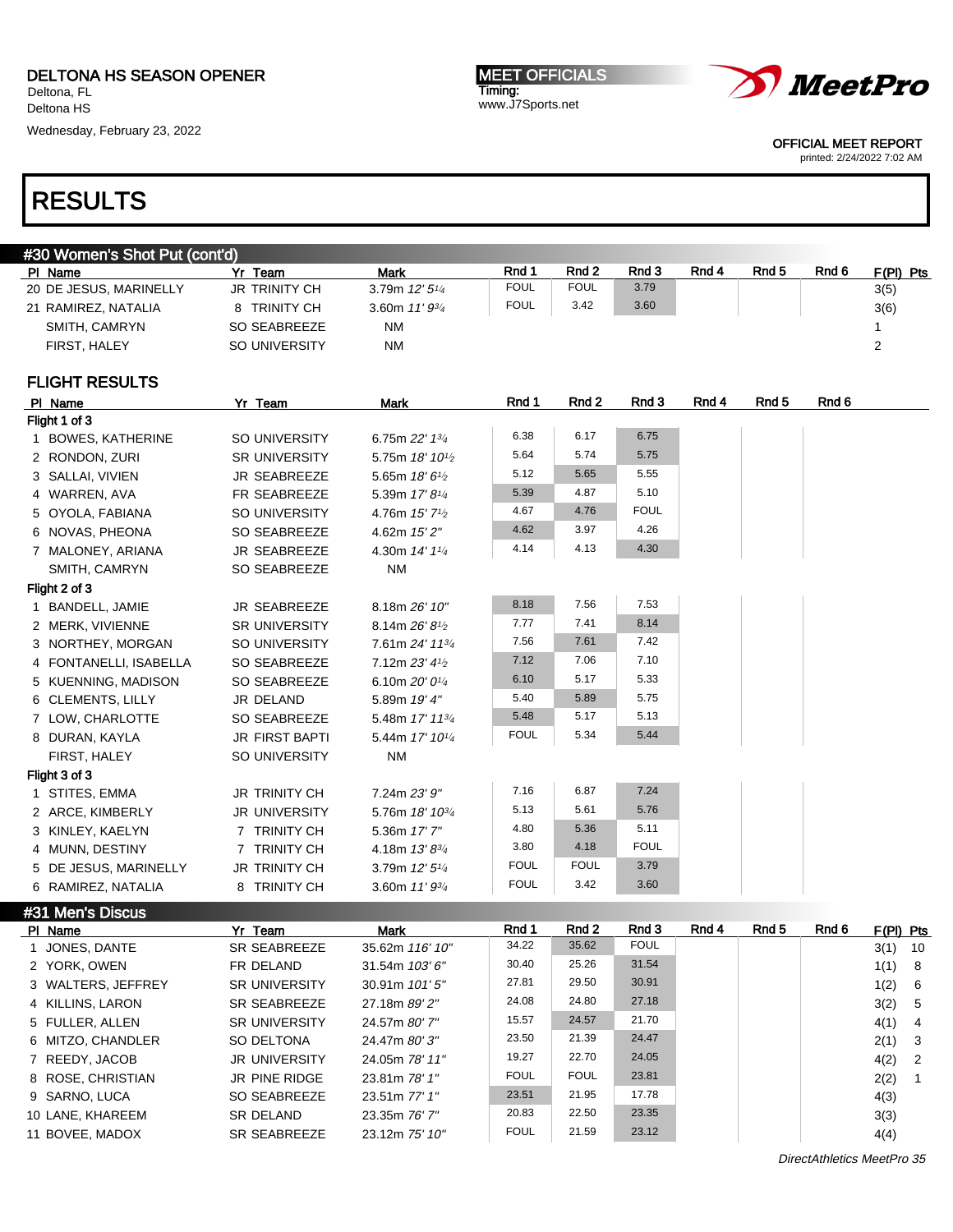Wednesday, February 23, 2022

MEET OFFICIALS Timing: www.J7Sports.net



OFFICIAL MEET REPORT

printed: 2/24/2022 7:02 AM

## RESULTS

|               | #30 Women's Shot Put (cont'd) |                       |                                         |              |                |                 |       |       |       |                         |
|---------------|-------------------------------|-----------------------|-----------------------------------------|--------------|----------------|-----------------|-------|-------|-------|-------------------------|
| PI Name       |                               | Yr Team               | Mark                                    | Rnd 1        | Rnd 2          | Rnd 3           | Rnd 4 | Rnd 5 | Rnd 6 | <u>F(PI) Pts</u>        |
|               | 20 DE JESUS, MARINELLY        | JR TRINITY CH         | 3.79m 12' 51/4                          | <b>FOUL</b>  | <b>FOUL</b>    | 3.79            |       |       |       | 3(5)                    |
|               | 21 RAMIREZ, NATALIA           | 8 TRINITY CH          | 3.60m $11'9^{3/4}$                      | <b>FOUL</b>  | 3.42           | 3.60            |       |       |       | 3(6)                    |
|               | SMITH, CAMRYN                 | SO SEABREEZE          | ΝM                                      |              |                |                 |       |       |       | $\mathbf{1}$            |
|               | FIRST, HALEY                  | SO UNIVERSITY         | <b>NM</b>                               |              |                |                 |       |       |       | 2                       |
|               | <b>FLIGHT RESULTS</b>         |                       |                                         |              |                |                 |       |       |       |                         |
| PI Name       |                               | Yr Team               | <b>Mark</b>                             | Rnd 1        | Rnd 2          | Rnd 3           | Rnd 4 | Rnd 5 | Rnd 6 |                         |
| Flight 1 of 3 |                               |                       |                                         |              |                |                 |       |       |       |                         |
|               | 1 BOWES, KATHERINE            | SO UNIVERSITY         | 6.75m 22' 13/4                          | 6.38         | 6.17           | 6.75            |       |       |       |                         |
|               | 2 RONDON, ZURI                | SR UNIVERSITY         | 5.75m 18' 10 <sup>1</sup> /2            | 5.64         | 5.74           | 5.75            |       |       |       |                         |
|               | 3 SALLAI, VIVIEN              | <b>JR SEABREEZE</b>   | 5.65m 18' 61/2                          | 5.12         | 5.65           | 5.55            |       |       |       |                         |
|               | 4 WARREN, AVA                 | FR SEABREEZE          | 5.39m 17' 81/4                          | 5.39         | 4.87           | 5.10            |       |       |       |                         |
|               | 5 OYOLA, FABIANA              | SO UNIVERSITY         | 4.76m 15' 7 <sup>1</sup> / <sub>2</sub> | 4.67         | 4.76           | FOUL            |       |       |       |                         |
|               | 6 NOVAS, PHEONA               | SO SEABREEZE          | 4.62m 15'2"                             | 4.62         | 3.97           | 4.26            |       |       |       |                         |
|               | 7 MALONEY, ARIANA             | <b>JR SEABREEZE</b>   | 4.30m 14' 11/4                          | 4.14         | 4.13           | 4.30            |       |       |       |                         |
|               | SMITH, CAMRYN                 | SO SEABREEZE          | <b>NM</b>                               |              |                |                 |       |       |       |                         |
| Flight 2 of 3 |                               |                       |                                         |              |                |                 |       |       |       |                         |
|               | 1 BANDELL, JAMIE              | JR SEABREEZE          | 8.18m 26' 10"                           | 8.18         | 7.56           | 7.53            |       |       |       |                         |
|               | 2 MERK, VIVIENNE              | <b>SR UNIVERSITY</b>  | 8.14m 26' 8 <sup>1/2</sup>              | 7.77         | 7.41           | 8.14            |       |       |       |                         |
|               | 3 NORTHEY, MORGAN             | SO UNIVERSITY         | 7.61m 24' 113/4                         | 7.56         | 7.61           | 7.42            |       |       |       |                         |
|               | 4 FONTANELLI, ISABELLA        | SO SEABREEZE          | 7.12m 23' 41/2                          | 7.12         | 7.06           | 7.10            |       |       |       |                         |
|               | 5 KUENNING, MADISON           | SO SEABREEZE          | 6.10m $20'0^{1/4}$                      | 6.10         | 5.17           | 5.33            |       |       |       |                         |
|               | 6 CLEMENTS, LILLY             | JR DELAND             | 5.89m 19' 4"                            | 5.40         | 5.89           | 5.75            |       |       |       |                         |
|               | 7 LOW, CHARLOTTE              | SO SEABREEZE          | 5.48m 17' 113/4                         | 5.48         | 5.17           | 5.13            |       |       |       |                         |
|               | 8 DURAN, KAYLA                | <b>JR FIRST BAPTI</b> | 5.44m 17' 101/4                         | <b>FOUL</b>  | 5.34           | 5.44            |       |       |       |                         |
|               | FIRST, HALEY                  | SO UNIVERSITY         | ΝM                                      |              |                |                 |       |       |       |                         |
| Flight 3 of 3 |                               |                       |                                         |              |                |                 |       |       |       |                         |
|               | 1 STITES, EMMA                | <b>JR TRINITY CH</b>  | 7.24m 23' 9"                            | 7.16         | 6.87           | 7.24            |       |       |       |                         |
|               | 2 ARCE, KIMBERLY              | <b>JR UNIVERSITY</b>  | 5.76m 18' 10 <sup>3/4</sup>             | 5.13         | 5.61           | 5.76            |       |       |       |                         |
|               | 3 KINLEY, KAELYN              | 7 TRINITY CH          | 5.36m 17' 7"                            | 4.80         | 5.36           | 5.11            |       |       |       |                         |
|               | 4 MUNN, DESTINY               | 7 TRINITY CH          | 4.18m 13'83/4                           | 3.80         | 4.18           | <b>FOUL</b>     |       |       |       |                         |
|               | 5 DE JESUS, MARINELLY         | <b>JR TRINITY CH</b>  | 3.79m 12' 51/4                          | <b>FOUL</b>  | <b>FOUL</b>    | 3.79            |       |       |       |                         |
|               | 6 RAMIREZ, NATALIA            | 8 TRINITY CH          | 3.60m $11'9^{3/4}$                      | <b>FOUL</b>  | 3.42           | 3.60            |       |       |       |                         |
|               | #31 Men's Discus              |                       |                                         |              |                |                 |       |       |       |                         |
| PI Name       |                               | Yr Team               | <b>Mark</b>                             | Rnd 1        | Rnd 2          | Rnd 3           | Rnd 4 | Rnd 5 | Rnd 6 | F(PI) Pts               |
|               | 1 JONES, DANTE                | SR SEABREEZE          | 35.62m 116' 10"                         | 34.22        | 35.62          | <b>FOUL</b>     |       |       |       | 3(1)<br>- 10            |
|               | 2 YORK, OWEN                  | FR DELAND             | 31.54m 103'6"                           | 30.40        | 25.26          | 31.54           |       |       |       | 8<br>1(1)               |
|               | 3 WALTERS, JEFFREY            | <b>SR UNIVERSITY</b>  | 30.91m 101'5"                           | 27.81        | 29.50          | 30.91           |       |       |       | 6<br>1(2)               |
|               | 4 KILLINS, LARON              | SR SEABREEZE          | 27.18m 89' 2"                           | 24.08        | 24.80          | 27.18           |       |       |       | $5\phantom{.0}$<br>3(2) |
|               | 5 FULLER, ALLEN               | <b>SR UNIVERSITY</b>  | 24.57m 80' 7"                           | 15.57<br>00F | 24.57<br>04.00 | 21.70<br>0.4.47 |       |       |       | 4(1)<br>$\overline{4}$  |

| <b>TIMELINO, LAINON</b> | UN ULADINLLLL        | 21.10110022    |             |             |       |      | U(2)     |                |
|-------------------------|----------------------|----------------|-------------|-------------|-------|------|----------|----------------|
| 5 FULLER, ALLEN         | <b>SR UNIVERSITY</b> | 24.57m 80' 7"  | 15.57       | 24.57       | 21.70 | 4(1) |          | $\overline{4}$ |
| 6 MITZO, CHANDLER       | SO DELTONA           | 24.47m 80'3"   | 23.50       | 21.39       | 24.47 |      | $2(1)$ 3 |                |
| 7 REEDY, JACOB          | <b>JR UNIVERSITY</b> | 24.05m 78' 11" | 19.27       | 22.70       | 24.05 |      | $4(2)$ 2 |                |
| 8 ROSE, CHRISTIAN       | JR PINE RIDGE        | 23.81m 78' 1"  | <b>FOUL</b> | <b>FOUL</b> | 23.81 | 2(2) |          |                |
| 9 SARNO, LUCA           | SO SEABREEZE         | 23.51m 77' 1"  | 23.51       | 21.95       | 17.78 | 4(3) |          |                |
| 10 LANE. KHAREEM        | SR DELAND            | 23.35m 76' 7"  | 20.83       | 22.50       | 23.35 | 3(3) |          |                |
| 11 BOVEE, MADOX         | SR SEABREEZE         | 23.12m 75' 10" | <b>FOUL</b> | 21.59       | 23.12 | 4(4) |          |                |

DirectAthletics MeetPro 35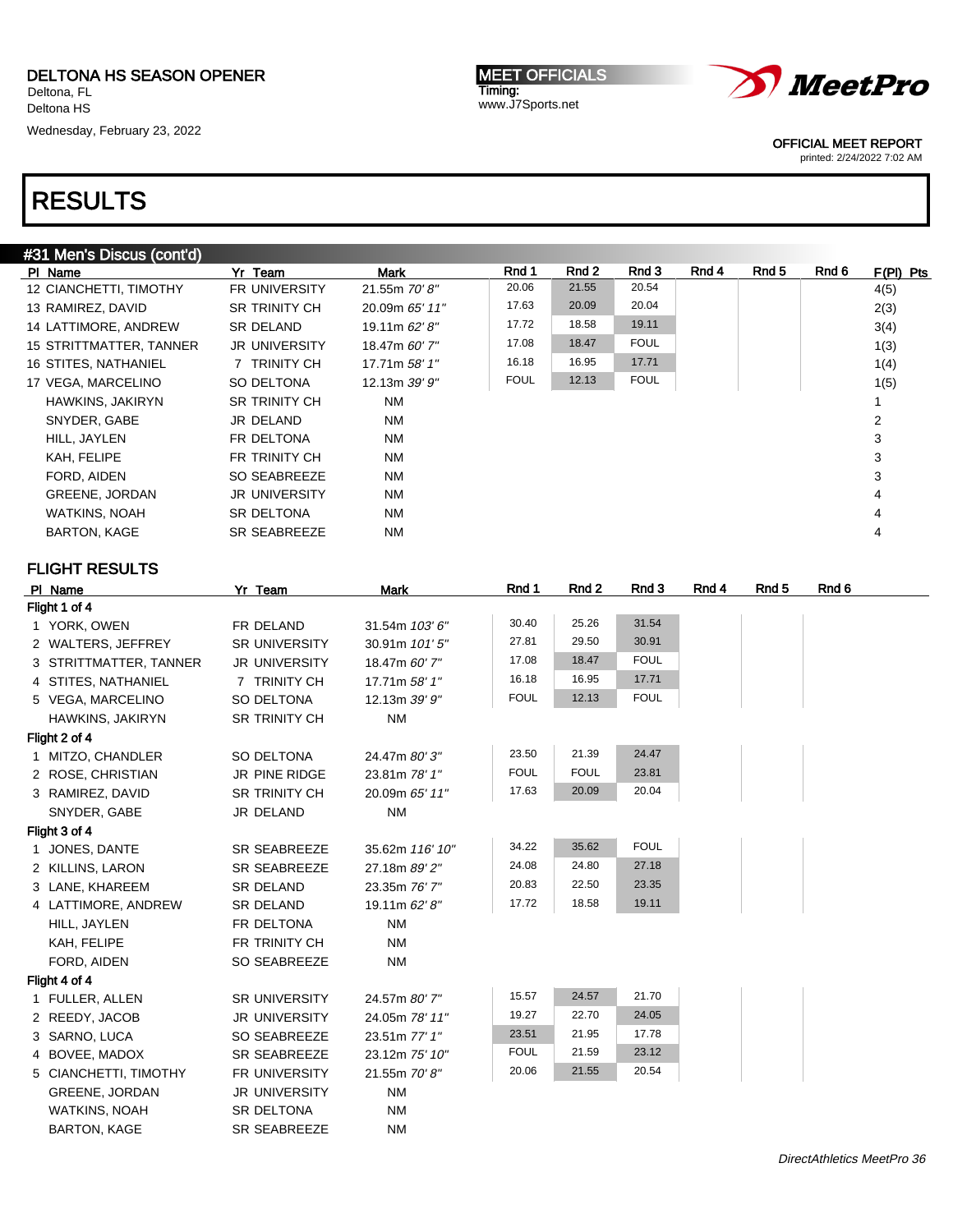Wednesday, February 23, 2022

**MEET OFFICIALS** Timing: www.J7Sports.net



OFFICIAL MEET REPORT

printed: 2/24/2022 7:02 AM

## RESULTS

| #31 Men's Discus (cont'd) |                      |                 |             |       |             |       |       |       |             |
|---------------------------|----------------------|-----------------|-------------|-------|-------------|-------|-------|-------|-------------|
| PI Name                   | Yr Team              | Mark            | Rnd 1       | Rnd 2 | Rnd 3       | Rnd 4 | Rnd 5 | Rnd 6 | $F(PI)$ Pts |
| 12 CIANCHETTI, TIMOTHY    | <b>FR UNIVERSITY</b> | 21.55m 70'8"    | 20.06       | 21.55 | 20.54       |       |       |       | 4(5)        |
| 13 RAMIREZ, DAVID         | <b>SR TRINITY CH</b> | 20.09m 65' 11"  | 17.63       | 20.09 | 20.04       |       |       |       | 2(3)        |
| 14 LATTIMORE, ANDREW      | SR DELAND            | 19.11m 62' 8"   | 17.72       | 18.58 | 19.11       |       |       |       | 3(4)        |
| 15 STRITTMATTER, TANNER   | <b>JR UNIVERSITY</b> | 18.47m 60' 7"   | 17.08       | 18.47 | <b>FOUL</b> |       |       |       | 1(3)        |
| 16 STITES, NATHANIEL      | 7 TRINITY CH         | 17.71m 58' 1"   | 16.18       | 16.95 | 17.71       |       |       |       | 1(4)        |
| 17 VEGA, MARCELINO        | SO DELTONA           | 12.13m $39'9''$ | <b>FOUL</b> | 12.13 | <b>FOUL</b> |       |       |       | 1(5)        |
| HAWKINS, JAKIRYN          | <b>SR TRINITY CH</b> | <b>NM</b>       |             |       |             |       |       |       |             |
| SNYDER, GABE              | JR DELAND            | <b>NM</b>       |             |       |             |       |       |       | 2           |
| HILL, JAYLEN              | FR DELTONA           | <b>NM</b>       |             |       |             |       |       |       | 3           |
| KAH, FELIPE               | FR TRINITY CH        | <b>NM</b>       |             |       |             |       |       |       | 3           |
| FORD, AIDEN               | SO SEABREEZE         | <b>NM</b>       |             |       |             |       |       |       | 3           |
| <b>GREENE, JORDAN</b>     | <b>JR UNIVERSITY</b> | <b>NM</b>       |             |       |             |       |       |       | 4           |
| WATKINS, NOAH             | SR DELTONA           | <b>NM</b>       |             |       |             |       |       |       | 4           |
| <b>BARTON, KAGE</b>       | SR SEABREEZE         | <b>NM</b>       |             |       |             |       |       |       | 4           |
|                           |                      |                 |             |       |             |       |       |       |             |

| PI Name                | Yr Team              | <b>Mark</b>     | Rnd 1       | Rnd 2       | Rnd 3       | Rnd 4 | Rnd <sub>5</sub> | Rnd 6 |
|------------------------|----------------------|-----------------|-------------|-------------|-------------|-------|------------------|-------|
| Flight 1 of 4          |                      |                 |             |             |             |       |                  |       |
| 1 YORK, OWEN           | FR DELAND            | 31.54m 103'6"   | 30.40       | 25.26       | 31.54       |       |                  |       |
| 2 WALTERS, JEFFREY     | <b>SR UNIVERSITY</b> | 30.91m 101'5"   | 27.81       | 29.50       | 30.91       |       |                  |       |
| 3 STRITTMATTER, TANNER | <b>JR UNIVERSITY</b> | 18.47m 60' 7"   | 17.08       | 18.47       | <b>FOUL</b> |       |                  |       |
| 4 STITES, NATHANIEL    | 7 TRINITY CH         | 17.71m 58' 1"   | 16.18       | 16.95       | 17.71       |       |                  |       |
| 5 VEGA, MARCELINO      | SO DELTONA           | 12.13m 39' 9"   | <b>FOUL</b> | 12.13       | <b>FOUL</b> |       |                  |       |
| HAWKINS, JAKIRYN       | <b>SR TRINITY CH</b> | <b>NM</b>       |             |             |             |       |                  |       |
| Flight 2 of 4          |                      |                 |             |             |             |       |                  |       |
| 1 MITZO, CHANDLER      | SO DELTONA           | 24.47m 80'3"    | 23.50       | 21.39       | 24.47       |       |                  |       |
| 2 ROSE, CHRISTIAN      | JR PINE RIDGE        | 23.81m 78' 1"   | <b>FOUL</b> | <b>FOUL</b> | 23.81       |       |                  |       |
| 3 RAMIREZ, DAVID       | <b>SR TRINITY CH</b> | 20.09m 65' 11"  | 17.63       | 20.09       | 20.04       |       |                  |       |
| SNYDER, GABE           | JR DELAND            | <b>NM</b>       |             |             |             |       |                  |       |
| Flight 3 of 4          |                      |                 |             |             |             |       |                  |       |
| 1 JONES, DANTE         | <b>SR SEABREEZE</b>  | 35.62m 116' 10" | 34.22       | 35.62       | <b>FOUL</b> |       |                  |       |
| 2 KILLINS, LARON       | <b>SR SEABREEZE</b>  | 27.18m 89' 2"   | 24.08       | 24.80       | 27.18       |       |                  |       |
| 3 LANE, KHAREEM        | <b>SR DELAND</b>     | 23.35m 76' 7"   | 20.83       | 22.50       | 23.35       |       |                  |       |
| 4 LATTIMORE, ANDREW    | <b>SR DELAND</b>     | 19.11m 62' 8"   | 17.72       | 18.58       | 19.11       |       |                  |       |
| HILL, JAYLEN           | FR DELTONA           | <b>NM</b>       |             |             |             |       |                  |       |
| KAH, FELIPE            | FR TRINITY CH        | <b>NM</b>       |             |             |             |       |                  |       |
| FORD, AIDEN            | SO SEABREEZE         | <b>NM</b>       |             |             |             |       |                  |       |
| Flight 4 of 4          |                      |                 |             |             |             |       |                  |       |
| 1 FULLER, ALLEN        | <b>SR UNIVERSITY</b> | 24.57m 80' 7"   | 15.57       | 24.57       | 21.70       |       |                  |       |
| 2 REEDY, JACOB         | <b>JR UNIVERSITY</b> | 24.05m 78' 11"  | 19.27       | 22.70       | 24.05       |       |                  |       |
| 3 SARNO, LUCA          | SO SEABREEZE         | 23.51m 77' 1"   | 23.51       | 21.95       | 17.78       |       |                  |       |
| 4 BOVEE, MADOX         | <b>SR SEABREEZE</b>  | 23.12m 75' 10"  | <b>FOUL</b> | 21.59       | 23.12       |       |                  |       |
| 5 CIANCHETTI, TIMOTHY  | FR UNIVERSITY        | 21.55m 70'8"    | 20.06       | 21.55       | 20.54       |       |                  |       |
| <b>GREENE, JORDAN</b>  | <b>JR UNIVERSITY</b> | <b>NM</b>       |             |             |             |       |                  |       |
| <b>WATKINS, NOAH</b>   | <b>SR DELTONA</b>    | <b>NM</b>       |             |             |             |       |                  |       |
| <b>BARTON, KAGE</b>    | <b>SR SEABREEZE</b>  | <b>NM</b>       |             |             |             |       |                  |       |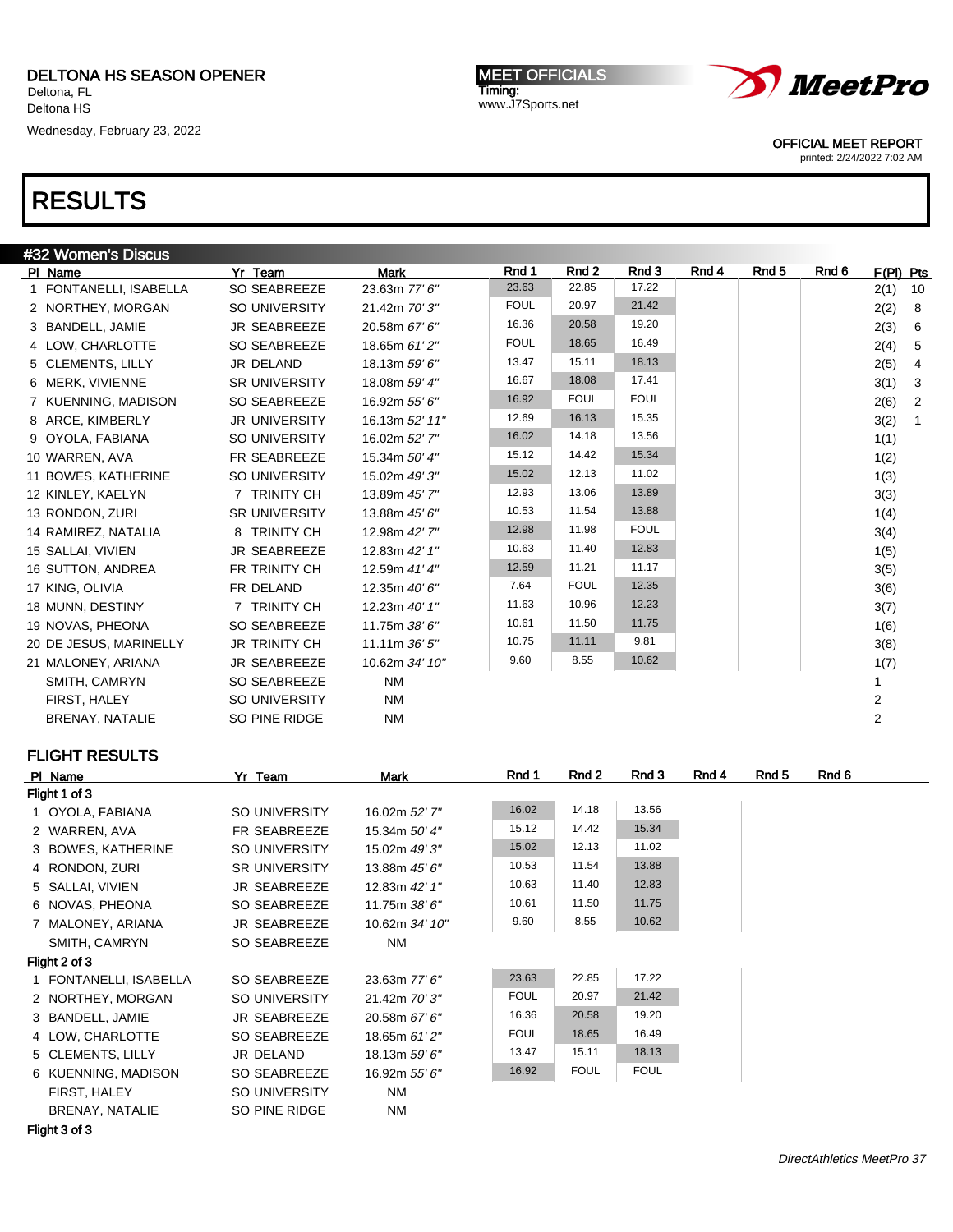Wednesday, February 23, 2022

**MEET OFFICIALS** Timing: www.J7Sports.net



OFFICIAL MEET REPORT

printed: 2/24/2022 7:02 AM

## RESULTS

|    | #32 Women's Discus     |                      |                 |             |             |             |       |       |       |                |              |
|----|------------------------|----------------------|-----------------|-------------|-------------|-------------|-------|-------|-------|----------------|--------------|
|    | PI Name                | Yr Team              | <b>Mark</b>     | Rnd 1       | Rnd 2       | Rnd 3       | Rnd 4 | Rnd 5 | Rnd 6 | F(PI) Pts      |              |
| 1. | FONTANELLI, ISABELLA   | <b>SO SEABREEZE</b>  | 23.63m 77' 6"   | 23.63       | 22.85       | 17.22       |       |       |       | 2(1)           | 10           |
|    | 2 NORTHEY, MORGAN      | SO UNIVERSITY        | 21.42m 70' 3"   | <b>FOUL</b> | 20.97       | 21.42       |       |       |       | 2(2)           | 8            |
|    | 3 BANDELL, JAMIE       | JR SEABREEZE         | 20.58m 67' 6"   | 16.36       | 20.58       | 19.20       |       |       |       | 2(3)           | 6            |
|    | 4 LOW, CHARLOTTE       | <b>SO SEABREEZE</b>  | 18.65m 61'2"    | <b>FOUL</b> | 18.65       | 16.49       |       |       |       | 2(4)           | 5            |
|    | 5 CLEMENTS, LILLY      | JR DELAND            | 18.13m 59' 6"   | 13.47       | 15.11       | 18.13       |       |       |       | 2(5)           | 4            |
|    | 6 MERK, VIVIENNE       | <b>SR UNIVERSITY</b> | 18.08m 59' 4"   | 16.67       | 18.08       | 17.41       |       |       |       | 3(1)           | 3            |
|    | 7 KUENNING, MADISON    | <b>SO SEABREEZE</b>  | 16.92m 55' 6"   | 16.92       | <b>FOUL</b> | <b>FOUL</b> |       |       |       | 2(6)           | 2            |
|    | 8 ARCE, KIMBERLY       | <b>JR UNIVERSITY</b> | 16.13m 52' 11"  | 12.69       | 16.13       | 15.35       |       |       |       | 3(2)           | $\mathbf{1}$ |
|    | 9 OYOLA, FABIANA       | SO UNIVERSITY        | 16.02m 52' 7"   | 16.02       | 14.18       | 13.56       |       |       |       | 1(1)           |              |
|    | 10 WARREN, AVA         | FR SEABREEZE         | 15.34m 50' 4"   | 15.12       | 14.42       | 15.34       |       |       |       | 1(2)           |              |
|    | 11 BOWES, KATHERINE    | <b>SO UNIVERSITY</b> | 15.02m 49' 3"   | 15.02       | 12.13       | 11.02       |       |       |       | 1(3)           |              |
|    | 12 KINLEY, KAELYN      | 7 TRINITY CH         | 13.89m 45' 7"   | 12.93       | 13.06       | 13.89       |       |       |       | 3(3)           |              |
|    | 13 RONDON, ZURI        | SR UNIVERSITY        | 13.88m 45' 6"   | 10.53       | 11.54       | 13.88       |       |       |       | 1(4)           |              |
|    | 14 RAMIREZ, NATALIA    | 8 TRINITY CH         | 12.98m 42' 7"   | 12.98       | 11.98       | <b>FOUL</b> |       |       |       | 3(4)           |              |
|    | 15 SALLAI, VIVIEN      | <b>JR SEABREEZE</b>  | 12.83m 42' 1"   | 10.63       | 11.40       | 12.83       |       |       |       | 1(5)           |              |
|    | 16 SUTTON, ANDREA      | FR TRINITY CH        | 12.59m 41' 4"   | 12.59       | 11.21       | 11.17       |       |       |       | 3(5)           |              |
|    | 17 KING, OLIVIA        | FR DELAND            | 12.35m 40'6"    | 7.64        | <b>FOUL</b> | 12.35       |       |       |       | 3(6)           |              |
|    | 18 MUNN, DESTINY       | 7 TRINITY CH         | 12.23m 40' 1"   | 11.63       | 10.96       | 12.23       |       |       |       | 3(7)           |              |
|    | 19 NOVAS, PHEONA       | SO SEABREEZE         | 11.75m 38' 6"   | 10.61       | 11.50       | 11.75       |       |       |       | 1(6)           |              |
|    | 20 DE JESUS, MARINELLY | <b>JR TRINITY CH</b> | 11.11m $36'5''$ | 10.75       | 11.11       | 9.81        |       |       |       | 3(8)           |              |
|    | 21 MALONEY, ARIANA     | <b>JR SEABREEZE</b>  | 10.62m 34' 10"  | 9.60        | 8.55        | 10.62       |       |       |       | 1(7)           |              |
|    | SMITH, CAMRYN          | <b>SO SEABREEZE</b>  | <b>NM</b>       |             |             |             |       |       |       | 1              |              |
|    | FIRST, HALEY           | SO UNIVERSITY        | <b>NM</b>       |             |             |             |       |       |       | $\overline{2}$ |              |
|    | <b>BRENAY, NATALIE</b> | SO PINE RIDGE        | <b>NM</b>       |             |             |             |       |       |       | $\overline{2}$ |              |
|    |                        |                      |                 |             |             |             |       |       |       |                |              |

| PI Name                | Yr Team              | Mark           | Rnd 1       | Rnd 2       | Rnd 3       | Rnd 4 | Rnd 5 | Rnd 6 |
|------------------------|----------------------|----------------|-------------|-------------|-------------|-------|-------|-------|
| Flight 1 of 3          |                      |                |             |             |             |       |       |       |
| 1 OYOLA, FABIANA       | SO UNIVERSITY        | 16.02m 52' 7"  | 16.02       | 14.18       | 13.56       |       |       |       |
| 2 WARREN, AVA          | FR SEABREEZE         | 15.34m 50' 4"  | 15.12       | 14.42       | 15.34       |       |       |       |
| 3 BOWES, KATHERINE     | SO UNIVERSITY        | 15.02m 49' 3"  | 15.02       | 12.13       | 11.02       |       |       |       |
| 4 RONDON, ZURI         | <b>SR UNIVERSITY</b> | 13.88m 45' 6"  | 10.53       | 11.54       | 13.88       |       |       |       |
| 5 SALLAI, VIVIEN       | JR SEABREEZE         | 12.83m 42' 1"  | 10.63       | 11.40       | 12.83       |       |       |       |
| 6 NOVAS, PHEONA        | SO SEABREEZE         | 11.75m 38' 6"  | 10.61       | 11.50       | 11.75       |       |       |       |
| 7 MALONEY, ARIANA      | <b>JR SEABREEZE</b>  | 10.62m 34' 10" | 9.60        | 8.55        | 10.62       |       |       |       |
| SMITH, CAMRYN          | SO SEABREEZE         | NM             |             |             |             |       |       |       |
| Flight 2 of 3          |                      |                |             |             |             |       |       |       |
| 1 FONTANELLI, ISABELLA | SO SEABREEZE         | 23.63m 77' 6"  | 23.63       | 22.85       | 17.22       |       |       |       |
| 2 NORTHEY, MORGAN      | SO UNIVERSITY        | 21.42m 70'3"   | <b>FOUL</b> | 20.97       | 21.42       |       |       |       |
| 3 BANDELL, JAMIE       | <b>JR SEABREEZE</b>  | 20.58m 67' 6"  | 16.36       | 20.58       | 19.20       |       |       |       |
| 4 LOW, CHARLOTTE       | SO SEABREEZE         | 18.65m 61'2"   | <b>FOUL</b> | 18.65       | 16.49       |       |       |       |
| 5 CLEMENTS, LILLY      | JR DELAND            | 18.13m 59' 6"  | 13.47       | 15.11       | 18.13       |       |       |       |
| 6 KUENNING, MADISON    | SO SEABREEZE         | 16.92m 55' 6"  | 16.92       | <b>FOUL</b> | <b>FOUL</b> |       |       |       |
| FIRST, HALEY           | SO UNIVERSITY        | NM             |             |             |             |       |       |       |
| BRENAY, NATALIE        | SO PINE RIDGE        | NM             |             |             |             |       |       |       |
| <b>PULLA LA</b>        |                      |                |             |             |             |       |       |       |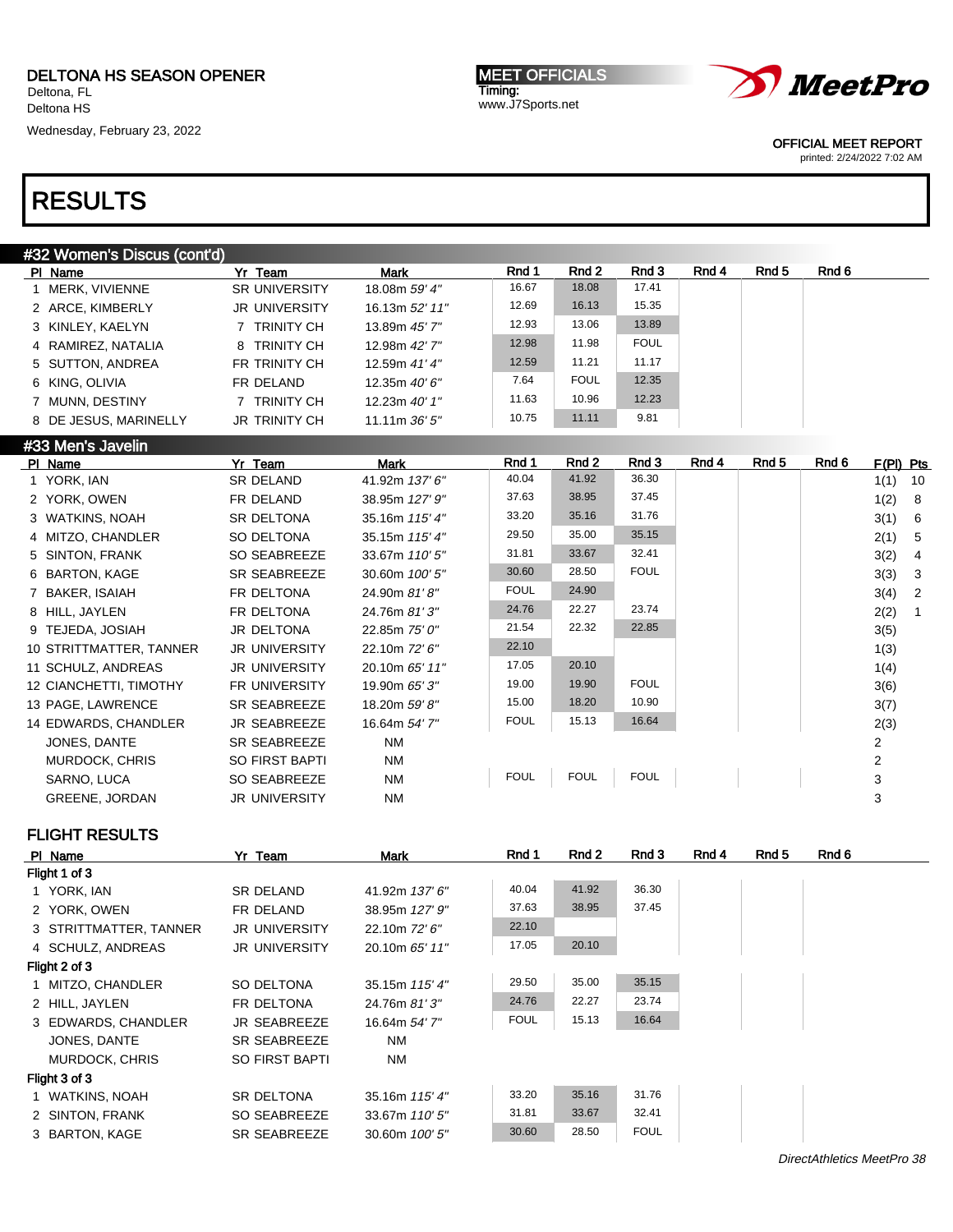Deltona HS Wednesday, February 23, 2022

MEET OFFICIALS Timing: www.J7Sports.net



OFFICIAL MEET REPORT

printed: 2/24/2022 7:02 AM

## RESULTS

| #32 Women's Discus (cont'd) |                       |                      |                 |       |             |             |       |       |       |
|-----------------------------|-----------------------|----------------------|-----------------|-------|-------------|-------------|-------|-------|-------|
|                             | PI Name               | Yr Team              | <b>Mark</b>     | Rnd 1 | Rnd 2       | Rnd 3       | Rnd 4 | Rnd 5 | Rnd 6 |
|                             | MERK. VIVIENNE        | <b>SR UNIVERSITY</b> | 18.08m 59' 4"   | 16.67 | 18.08       | 17.41       |       |       |       |
|                             | 2 ARCE, KIMBERLY      | <b>JR UNIVERSITY</b> | 16.13m 52' 11"  | 12.69 | 16.13       | 15.35       |       |       |       |
|                             | 3 KINLEY, KAELYN      | TRINITY CH           | 13.89m 45' 7"   | 12.93 | 13.06       | 13.89       |       |       |       |
|                             | 4 RAMIREZ, NATALIA    | 8 TRINITY CH         | 12.98m 42' 7"   | 12.98 | 11.98       | <b>FOUL</b> |       |       |       |
|                             | 5 SUTTON, ANDREA      | FR TRINITY CH        | 12.59m 41' 4"   | 12.59 | 11.21       | 11.17       |       |       |       |
|                             | 6 KING, OLIVIA        | FR DELAND            | 12.35m $40'6''$ | 7.64  | <b>FOUL</b> | 12.35       |       |       |       |
|                             | 7 MUNN, DESTINY       | TRINITY CH           | 12.23m 40' 1"   | 11.63 | 10.96       | 12.23       |       |       |       |
|                             | 8 DE JESUS, MARINELLY | JR TRINITY CH        | 11.11m $36'5''$ | 10.75 | 11.11       | 9.81        |       |       |       |

#### #33 Men's Javelin

| 41.92<br>36.30<br>40.04<br>1 YORK, IAN<br>SR DELAND<br>41.92m 137' 6"<br>37.45<br>37.63<br>38.95<br>2 YORK, OWEN<br>FR DELAND<br>38.95m 127' 9"<br>31.76<br>33.20<br>35.16<br>SR DELTONA<br>35.16m 115' 4"<br>3 WATKINS, NOAH<br>35.15<br>29.50<br>35.00<br>4 MITZO, CHANDLER<br>SO DELTONA<br>35.15m 115' 4"<br>32.41<br>31.81<br>33.67<br>5 SINTON, FRANK<br>SO SEABREEZE<br>33.67m 110' 5"<br><b>FOUL</b><br>30.60<br>28.50<br>6 BARTON, KAGE<br><b>SR SEABREEZE</b><br>30.60m 100' 5"<br>24.90<br><b>FOUL</b><br>FR DELTONA<br>7 BAKER, ISAIAH<br>24.90m 81'8"<br>24.76<br>22.27<br>23.74<br>8 HILL, JAYLEN<br>FR DELTONA<br>24.76m 81'3"<br>22.32<br>22.85<br>21.54<br>JR DELTONA<br>9 TEJEDA, JOSIAH<br>22.85m 75' 0"<br>22.10<br>10 STRITTMATTER, TANNER<br><b>JR UNIVERSITY</b><br>22.10m 72' 6"<br>20.10<br>17.05<br>11 SCHULZ, ANDREAS<br><b>JR UNIVERSITY</b><br>20.10m 65' 11"<br><b>FOUL</b><br>19.00<br>19.90<br>12 CIANCHETTI, TIMOTHY<br><b>FR UNIVERSITY</b><br>19.90m 65' 3"<br>10.90<br>15.00<br>18.20<br>13 PAGE, LAWRENCE<br>SR SEABREEZE<br>18.20m 59' 8"<br><b>FOUL</b><br>15.13<br>16.64<br>14 EDWARDS, CHANDLER<br><b>JR SEABREEZE</b><br>16.64m 54' 7"<br><b>NM</b><br>2<br>JONES, DANTE<br>SR SEABREEZE<br><b>NM</b><br>2<br>MURDOCK, CHRIS<br><b>SO FIRST BAPTI</b><br><b>FOUL</b><br><b>FOUL</b><br><b>FOUL</b><br>3<br>SARNO, LUCA<br>SO SEABREEZE<br><b>NM</b><br><b>NM</b><br>3<br><b>GREENE, JORDAN</b><br><b>JR UNIVERSITY</b> | PI Name | Yr Team | Mark | Rnd 1 | Rnd 2 | Rnd 3 | Rnd 4 | Rnd 5 | Rnd 6 | $F(PI)$ Pts |                |
|------------------------------------------------------------------------------------------------------------------------------------------------------------------------------------------------------------------------------------------------------------------------------------------------------------------------------------------------------------------------------------------------------------------------------------------------------------------------------------------------------------------------------------------------------------------------------------------------------------------------------------------------------------------------------------------------------------------------------------------------------------------------------------------------------------------------------------------------------------------------------------------------------------------------------------------------------------------------------------------------------------------------------------------------------------------------------------------------------------------------------------------------------------------------------------------------------------------------------------------------------------------------------------------------------------------------------------------------------------------------------------------------------------------------------------------------------------------|---------|---------|------|-------|-------|-------|-------|-------|-------|-------------|----------------|
|                                                                                                                                                                                                                                                                                                                                                                                                                                                                                                                                                                                                                                                                                                                                                                                                                                                                                                                                                                                                                                                                                                                                                                                                                                                                                                                                                                                                                                                                  |         |         |      |       |       |       |       |       |       | 1(1)        | 10             |
|                                                                                                                                                                                                                                                                                                                                                                                                                                                                                                                                                                                                                                                                                                                                                                                                                                                                                                                                                                                                                                                                                                                                                                                                                                                                                                                                                                                                                                                                  |         |         |      |       |       |       |       |       |       | 1(2)        | - 8            |
|                                                                                                                                                                                                                                                                                                                                                                                                                                                                                                                                                                                                                                                                                                                                                                                                                                                                                                                                                                                                                                                                                                                                                                                                                                                                                                                                                                                                                                                                  |         |         |      |       |       |       |       |       |       | 3(1)        | - 6            |
|                                                                                                                                                                                                                                                                                                                                                                                                                                                                                                                                                                                                                                                                                                                                                                                                                                                                                                                                                                                                                                                                                                                                                                                                                                                                                                                                                                                                                                                                  |         |         |      |       |       |       |       |       |       | 2(1)        | - 5            |
|                                                                                                                                                                                                                                                                                                                                                                                                                                                                                                                                                                                                                                                                                                                                                                                                                                                                                                                                                                                                                                                                                                                                                                                                                                                                                                                                                                                                                                                                  |         |         |      |       |       |       |       |       |       | 3(2)        | -4             |
|                                                                                                                                                                                                                                                                                                                                                                                                                                                                                                                                                                                                                                                                                                                                                                                                                                                                                                                                                                                                                                                                                                                                                                                                                                                                                                                                                                                                                                                                  |         |         |      |       |       |       |       |       |       | 3(3)        | - 3            |
|                                                                                                                                                                                                                                                                                                                                                                                                                                                                                                                                                                                                                                                                                                                                                                                                                                                                                                                                                                                                                                                                                                                                                                                                                                                                                                                                                                                                                                                                  |         |         |      |       |       |       |       |       |       | 3(4)        | $\overline{2}$ |
|                                                                                                                                                                                                                                                                                                                                                                                                                                                                                                                                                                                                                                                                                                                                                                                                                                                                                                                                                                                                                                                                                                                                                                                                                                                                                                                                                                                                                                                                  |         |         |      |       |       |       |       |       |       | 2(2)        |                |
|                                                                                                                                                                                                                                                                                                                                                                                                                                                                                                                                                                                                                                                                                                                                                                                                                                                                                                                                                                                                                                                                                                                                                                                                                                                                                                                                                                                                                                                                  |         |         |      |       |       |       |       |       |       | 3(5)        |                |
|                                                                                                                                                                                                                                                                                                                                                                                                                                                                                                                                                                                                                                                                                                                                                                                                                                                                                                                                                                                                                                                                                                                                                                                                                                                                                                                                                                                                                                                                  |         |         |      |       |       |       |       |       |       | 1(3)        |                |
|                                                                                                                                                                                                                                                                                                                                                                                                                                                                                                                                                                                                                                                                                                                                                                                                                                                                                                                                                                                                                                                                                                                                                                                                                                                                                                                                                                                                                                                                  |         |         |      |       |       |       |       |       |       | 1(4)        |                |
|                                                                                                                                                                                                                                                                                                                                                                                                                                                                                                                                                                                                                                                                                                                                                                                                                                                                                                                                                                                                                                                                                                                                                                                                                                                                                                                                                                                                                                                                  |         |         |      |       |       |       |       |       |       | 3(6)        |                |
|                                                                                                                                                                                                                                                                                                                                                                                                                                                                                                                                                                                                                                                                                                                                                                                                                                                                                                                                                                                                                                                                                                                                                                                                                                                                                                                                                                                                                                                                  |         |         |      |       |       |       |       |       |       | 3(7)        |                |
|                                                                                                                                                                                                                                                                                                                                                                                                                                                                                                                                                                                                                                                                                                                                                                                                                                                                                                                                                                                                                                                                                                                                                                                                                                                                                                                                                                                                                                                                  |         |         |      |       |       |       |       |       |       | 2(3)        |                |
|                                                                                                                                                                                                                                                                                                                                                                                                                                                                                                                                                                                                                                                                                                                                                                                                                                                                                                                                                                                                                                                                                                                                                                                                                                                                                                                                                                                                                                                                  |         |         |      |       |       |       |       |       |       |             |                |
|                                                                                                                                                                                                                                                                                                                                                                                                                                                                                                                                                                                                                                                                                                                                                                                                                                                                                                                                                                                                                                                                                                                                                                                                                                                                                                                                                                                                                                                                  |         |         |      |       |       |       |       |       |       |             |                |
|                                                                                                                                                                                                                                                                                                                                                                                                                                                                                                                                                                                                                                                                                                                                                                                                                                                                                                                                                                                                                                                                                                                                                                                                                                                                                                                                                                                                                                                                  |         |         |      |       |       |       |       |       |       |             |                |
|                                                                                                                                                                                                                                                                                                                                                                                                                                                                                                                                                                                                                                                                                                                                                                                                                                                                                                                                                                                                                                                                                                                                                                                                                                                                                                                                                                                                                                                                  |         |         |      |       |       |       |       |       |       |             |                |

|               | PI Name                | Yr Team               | Mark           | Rnd 1       | Rnd 2 | Rnd 3       | Rnd 4 | Rnd 5 | Rnd 6 |  |
|---------------|------------------------|-----------------------|----------------|-------------|-------|-------------|-------|-------|-------|--|
| Flight 1 of 3 |                        |                       |                |             |       |             |       |       |       |  |
|               | 1 YORK, IAN            | <b>SR DELAND</b>      | 41.92m 137' 6" | 40.04       | 41.92 | 36.30       |       |       |       |  |
|               | 2 YORK, OWEN           | FR DELAND             | 38.95m 127' 9" | 37.63       | 38.95 | 37.45       |       |       |       |  |
|               | 3 STRITTMATTER, TANNER | <b>JR UNIVERSITY</b>  | 22.10m 72' 6"  | 22.10       |       |             |       |       |       |  |
|               | 4 SCHULZ, ANDREAS      | <b>JR UNIVERSITY</b>  | 20.10m 65' 11" | 17.05       | 20.10 |             |       |       |       |  |
|               | Flight 2 of 3          |                       |                |             |       |             |       |       |       |  |
|               | 1 MITZO, CHANDLER      | SO DELTONA            | 35.15m 115' 4" | 29.50       | 35.00 | 35.15       |       |       |       |  |
|               | 2 HILL, JAYLEN         | FR DELTONA            | 24.76m 81'3"   | 24.76       | 22.27 | 23.74       |       |       |       |  |
|               | 3 EDWARDS, CHANDLER    | <b>JR SEABREEZE</b>   | 16.64m 54' 7"  | <b>FOUL</b> | 15.13 | 16.64       |       |       |       |  |
|               | JONES, DANTE           | <b>SR SEABREEZE</b>   | NM             |             |       |             |       |       |       |  |
|               | MURDOCK, CHRIS         | <b>SO FIRST BAPTI</b> | NM             |             |       |             |       |       |       |  |
|               | Flight 3 of 3          |                       |                |             |       |             |       |       |       |  |
|               | 1 WATKINS, NOAH        | <b>SR DELTONA</b>     | 35.16m 115' 4" | 33.20       | 35.16 | 31.76       |       |       |       |  |
|               | 2 SINTON, FRANK        | SO SEABREEZE          | 33.67m 110' 5" | 31.81       | 33.67 | 32.41       |       |       |       |  |
|               | 3 BARTON, KAGE         | <b>SR SEABREEZE</b>   | 30.60m 100' 5" | 30.60       | 28.50 | <b>FOUL</b> |       |       |       |  |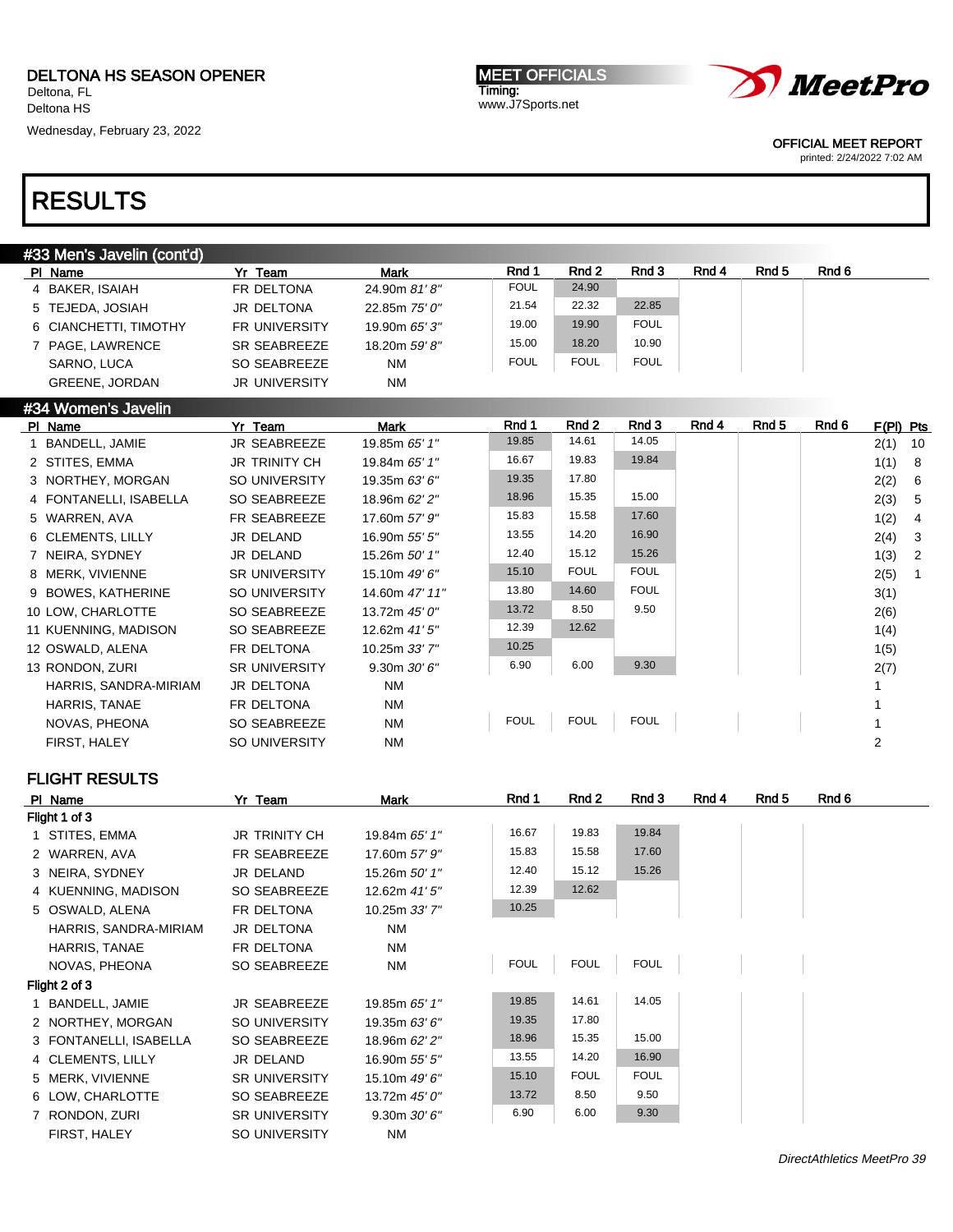Deltona HS

Wednesday, February 23, 2022

MEET OFFICIALS Timing: www.J7Sports.net



OFFICIAL MEET REPORT

printed: 2/24/2022 7:02 AM

## RESULTS

| #33 Men's Javelin (cont'd) |                       |                      |               |             |             |             |       |       |       |
|----------------------------|-----------------------|----------------------|---------------|-------------|-------------|-------------|-------|-------|-------|
|                            | PI Name               | Yr Team              | <b>Mark</b>   | Rnd 1       | Rnd 2       | Rnd 3       | Rnd 4 | Rnd 5 | Rnd 6 |
|                            | 4 BAKER, ISAIAH       | FR DELTONA           | 24.90m 81'8"  | <b>FOUL</b> | 24.90       |             |       |       |       |
|                            | 5 TEJEDA, JOSIAH      | JR DELTONA           | 22.85m 75' 0" | 21.54       | 22.32       | 22.85       |       |       |       |
|                            | 6 CIANCHETTI, TIMOTHY | <b>FR UNIVERSITY</b> | 19.90m 65' 3" | 19.00       | 19.90       | <b>FOUL</b> |       |       |       |
|                            | 7 PAGE, LAWRENCE      | SR SEABREEZE         | 18.20m 59' 8" | 15.00       | 18.20       | 10.90       |       |       |       |
|                            | SARNO, LUCA           | SO SEABREEZE         | <b>NM</b>     | <b>FOUL</b> | <b>FOUL</b> | <b>FOUL</b> |       |       |       |
|                            | <b>GREENE, JORDAN</b> | <b>JR UNIVERSITY</b> | <b>NM</b>     |             |             |             |       |       |       |

| #34 Women's Javelin    |                      |                  |             |             |             |       |       |       |           |                |
|------------------------|----------------------|------------------|-------------|-------------|-------------|-------|-------|-------|-----------|----------------|
| PI Name                | Yr Team              | Mark             | Rnd 1       | Rnd 2       | Rnd 3       | Rnd 4 | Rnd 5 | Rnd 6 | F(PI) Pts |                |
| BANDELL, JAMIE         | <b>JR SEABREEZE</b>  | 19.85m 65' 1"    | 19.85       | 14.61       | 14.05       |       |       |       | 2(1)      | 10             |
| 2 STITES, EMMA         | <b>JR TRINITY CH</b> | 19.84m 65' 1"    | 16.67       | 19.83       | 19.84       |       |       |       | 1(1)      | - 8            |
| 3 NORTHEY, MORGAN      | SO UNIVERSITY        | 19.35m $63'6''$  | 19.35       | 17.80       |             |       |       |       | 2(2)      | - 6            |
| 4 FONTANELLI, ISABELLA | SO SEABREEZE         | 18.96m 62' 2"    | 18.96       | 15.35       | 15.00       |       |       |       | 2(3)      | - 5            |
| 5 WARREN, AVA          | FR SEABREEZE         | 17.60m 57' 9"    | 15.83       | 15.58       | 17.60       |       |       |       | 1(2)      | -4             |
| 6 CLEMENTS, LILLY      | JR DELAND            | 16.90m 55' 5"    | 13.55       | 14.20       | 16.90       |       |       |       | 2(4)      | $\mathbf{3}$   |
| 7 NEIRA, SYDNEY        | JR DELAND            | 15.26m 50' 1"    | 12.40       | 15.12       | 15.26       |       |       |       | 1(3)      | $\overline{2}$ |
| 8 MERK, VIVIENNE       | <b>SR UNIVERSITY</b> | 15.10m 49' 6"    | 15.10       | <b>FOUL</b> | <b>FOUL</b> |       |       |       | 2(5)      |                |
| 9 BOWES, KATHERINE     | SO UNIVERSITY        | 14.60m 47' 11"   | 13.80       | 14.60       | <b>FOUL</b> |       |       |       | 3(1)      |                |
| 10 LOW, CHARLOTTE      | SO SEABREEZE         | 13.72m 45' 0"    | 13.72       | 8.50        | 9.50        |       |       |       | 2(6)      |                |
| 11 KUENNING, MADISON   | SO SEABREEZE         | 12.62m $41'5''$  | 12.39       | 12.62       |             |       |       |       | 1(4)      |                |
| 12 OSWALD, ALENA       | FR DELTONA           | 10.25m 33'7"     | 10.25       |             |             |       |       |       | 1(5)      |                |
| 13 RONDON, ZURI        | <b>SR UNIVERSITY</b> | $9.30m$ $30'6''$ | 6.90        | 6.00        | 9.30        |       |       |       | 2(7)      |                |
| HARRIS, SANDRA-MIRIAM  | <b>JR DELTONA</b>    | <b>NM</b>        |             |             |             |       |       |       |           |                |
| <b>HARRIS, TANAE</b>   | FR DELTONA           | <b>NM</b>        |             |             |             |       |       |       |           |                |
| NOVAS, PHEONA          | SO SEABREEZE         | <b>NM</b>        | <b>FOUL</b> | <b>FOUL</b> | <b>FOUL</b> |       |       |       |           |                |
| FIRST, HALEY           | SO UNIVERSITY        | <b>NM</b>        |             |             |             |       |       |       | 2         |                |
|                        |                      |                  |             |             |             |       |       |       |           |                |

| PI Name                | Yr Team              | Mark             | Rnd 1       | Rnd 2       | Rnd 3       | Rnd 4 | Rnd 5 | Rnd 6 |
|------------------------|----------------------|------------------|-------------|-------------|-------------|-------|-------|-------|
| Flight 1 of 3          |                      |                  |             |             |             |       |       |       |
| 1 STITES, EMMA         | <b>JR TRINITY CH</b> | 19.84m 65' 1"    | 16.67       | 19.83       | 19.84       |       |       |       |
| 2 WARREN, AVA          | FR SEABREEZE         | 17.60m 57' 9"    | 15.83       | 15.58       | 17.60       |       |       |       |
| 3 NEIRA, SYDNEY        | JR DELAND            | 15.26m 50' 1"    | 12.40       | 15.12       | 15.26       |       |       |       |
| 4 KUENNING, MADISON    | SO SEABREEZE         | 12.62m 41' 5"    | 12.39       | 12.62       |             |       |       |       |
| 5 OSWALD, ALENA        | FR DELTONA           | 10.25m 33' 7"    | 10.25       |             |             |       |       |       |
| HARRIS, SANDRA-MIRIAM  | <b>JR DELTONA</b>    | <b>NM</b>        |             |             |             |       |       |       |
| HARRIS, TANAE          | FR DELTONA           | <b>NM</b>        |             |             |             |       |       |       |
| NOVAS, PHEONA          | SO SEABREEZE         | <b>NM</b>        | <b>FOUL</b> | <b>FOUL</b> | <b>FOUL</b> |       |       |       |
| Flight 2 of 3          |                      |                  |             |             |             |       |       |       |
| 1 BANDELL, JAMIE       | <b>JR SEABREEZE</b>  | 19.85m 65' 1"    | 19.85       | 14.61       | 14.05       |       |       |       |
| 2 NORTHEY, MORGAN      | SO UNIVERSITY        | 19.35m 63' 6"    | 19.35       | 17.80       |             |       |       |       |
| 3 FONTANELLI, ISABELLA | SO SEABREEZE         | 18.96m 62' 2"    | 18.96       | 15.35       | 15.00       |       |       |       |
| 4 CLEMENTS, LILLY      | JR DELAND            | 16.90m 55' 5"    | 13.55       | 14.20       | 16.90       |       |       |       |
| 5 MERK, VIVIENNE       | <b>SR UNIVERSITY</b> | 15.10m 49' 6"    | 15.10       | <b>FOUL</b> | <b>FOUL</b> |       |       |       |
| 6 LOW, CHARLOTTE       | SO SEABREEZE         | 13.72m 45' 0"    | 13.72       | 8.50        | 9.50        |       |       |       |
| 7 RONDON, ZURI         | <b>SR UNIVERSITY</b> | $9.30m$ $30'6''$ | 6.90        | 6.00        | 9.30        |       |       |       |
| FIRST, HALEY           | SO UNIVERSITY        | <b>NM</b>        |             |             |             |       |       |       |